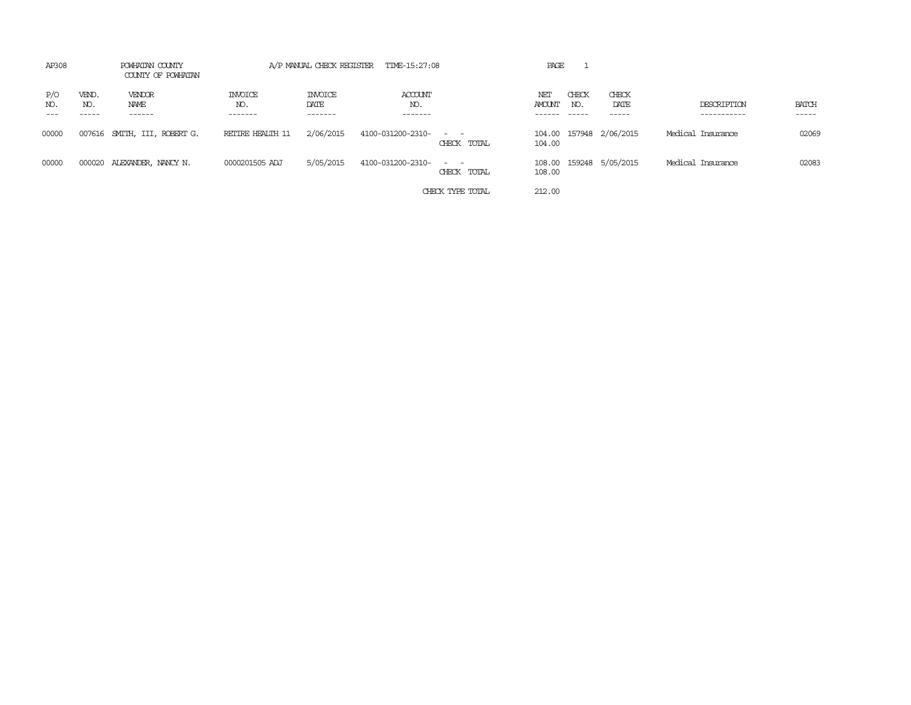| AP308      |                       | POWHATAN COUNTY<br>COUNTY OF POWHATAN |                                  |                                   | A/P MANUAL CHECK REGISTER TIME-15:27:08 |                                           | PAGE          |              |                         |                            |                             |
|------------|-----------------------|---------------------------------------|----------------------------------|-----------------------------------|-----------------------------------------|-------------------------------------------|---------------|--------------|-------------------------|----------------------------|-----------------------------|
| P/O<br>NO. | VEND.<br>NO.<br>----- | VENDOR<br>NAME<br>------              | <b>INVOICE</b><br>NO.<br>------- | <b>INVOICE</b><br>DATE<br>------- | ACCOUNT<br>NO.<br>-------               |                                           | NET<br>AMOUNT | CHECK<br>NO. | CHECK<br>DATE<br>-----  | DESCRIPTION<br>----------- | <b>BATCH</b><br>$- - - - -$ |
| 00000      |                       | 007616 SMITH, III, ROBERT G.          | RETIRE HEALTH 11                 | 2/06/2015                         | 4100-031200-2310- - -                   | CHECK TOTAL                               | 104.00        |              | 104.00 157948 2/06/2015 | Medical Insurance          | 02069                       |
| 00000      |                       | 000020 ALEXANDER, NANCY N.            | 0000201505 ADJ                   | 5/05/2015                         | 4100-031200-2310-                       | the company of the company<br>CHECK TOTAL | 108.00        |              | 108.00 159248 5/05/2015 | Medical Insurance          | 02083                       |
|            |                       |                                       |                                  |                                   |                                         | CHECK TYPE TOTAL                          | 212.00        |              |                         |                            |                             |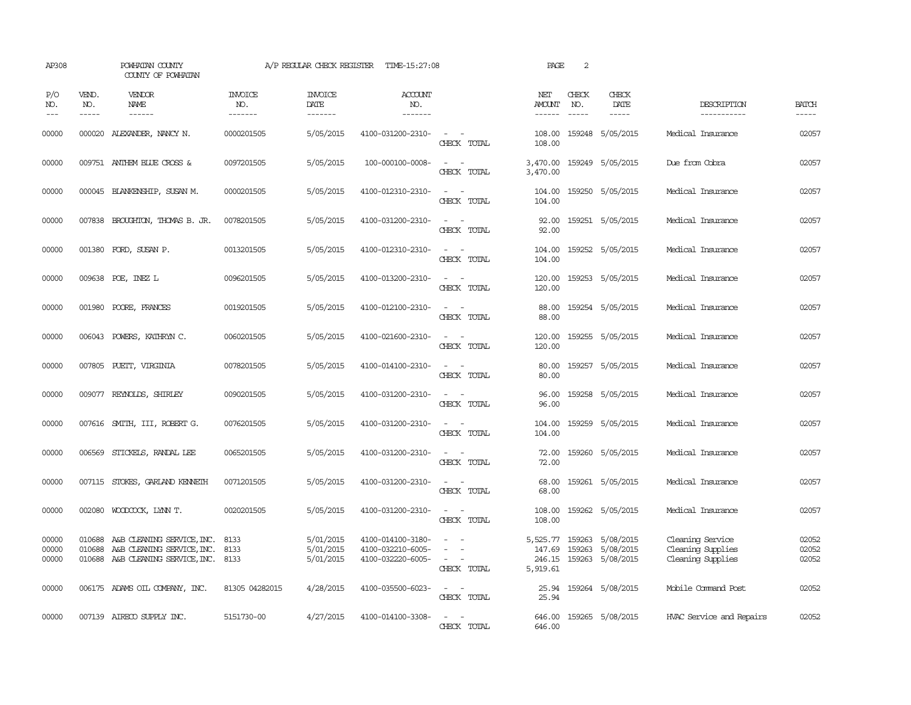| AP308                   |                               | POWHATAN COUNTY<br>COUNTY OF POWHATAN                                                                |                                   | A/P REGULAR CHECK REGISTER                | TIME-15:27:08                                               |                                                                                                                                          | PAGE                                  | 2                             |                                                                   |                                                            |                             |
|-------------------------|-------------------------------|------------------------------------------------------------------------------------------------------|-----------------------------------|-------------------------------------------|-------------------------------------------------------------|------------------------------------------------------------------------------------------------------------------------------------------|---------------------------------------|-------------------------------|-------------------------------------------------------------------|------------------------------------------------------------|-----------------------------|
| P/O<br>NO.<br>$- - -$   | VEND.<br>NO.<br>$\frac{1}{2}$ | <b>VENDOR</b><br>NAME<br>$- - - - - -$                                                               | <b>INVOICE</b><br>NO.<br>-------- | <b>INVOICE</b><br>DATE<br>$- - - - - - -$ | <b>ACCOUNT</b><br>NO.<br>-------                            |                                                                                                                                          | NET<br><b>AMOUNT</b><br>$- - - - - -$ | CHECK<br>NO.<br>$\frac{1}{2}$ | CHECK<br>DATE<br>$- - - - -$                                      | DESCRIPTION<br>-----------                                 | <b>BATCH</b><br>$- - - - -$ |
| 00000                   | 000020                        | ALEXANDER, NANCY N.                                                                                  | 0000201505                        | 5/05/2015                                 | 4100-031200-2310-                                           | $\sim$ $ \sim$<br>CHECK TOTAL                                                                                                            | 108.00<br>108.00                      |                               | 159248 5/05/2015                                                  | Medical Insurance                                          | 02057                       |
| 00000                   |                               | 009751 ANTHEM BLUE CROSS &                                                                           | 0097201505                        | 5/05/2015                                 | 100-000100-0008-                                            | $\overline{\phantom{a}}$<br>$\sim$<br>CHECK TOTAL                                                                                        | 3,470.00<br>3,470.00                  |                               | 159249 5/05/2015                                                  | Due from Cobra                                             | 02057                       |
| 00000                   |                               | 000045 BLANKENSHIP, SUSAN M.                                                                         | 0000201505                        | 5/05/2015                                 | 4100-012310-2310-                                           | $ -$<br>CHECK TOTAL                                                                                                                      | 104.00<br>104.00                      |                               | 159250 5/05/2015                                                  | Medical Insurance                                          | 02057                       |
| 00000                   |                               | 007838 BROUGHTON, THOMAS B. JR.                                                                      | 0078201505                        | 5/05/2015                                 | 4100-031200-2310-                                           | $\frac{1}{2} \left( \frac{1}{2} \right) \left( \frac{1}{2} \right) = \frac{1}{2} \left( \frac{1}{2} \right)$<br>CHECK TOTAL              | 92.00<br>92.00                        |                               | 159251 5/05/2015                                                  | Medical Insurance                                          | 02057                       |
| 00000                   |                               | 001380 FORD, SUSAN P.                                                                                | 0013201505                        | 5/05/2015                                 | 4100-012310-2310-                                           | $\sim$<br>$\sim$<br>CHECK TOTAL                                                                                                          | 104.00<br>104.00                      |                               | 159252 5/05/2015                                                  | Medical Insurance                                          | 02057                       |
| 00000                   |                               | 009638 POE, INEZ L                                                                                   | 0096201505                        | 5/05/2015                                 | 4100-013200-2310-                                           | $\overline{\phantom{a}}$<br>$\sim$<br>CHECK TOTAL                                                                                        | 120.00<br>120.00                      |                               | 159253 5/05/2015                                                  | Medical Insurance                                          | 02057                       |
| 00000                   |                               | 001980 POORE, FRANCES                                                                                | 0019201505                        | 5/05/2015                                 | 4100-012100-2310-                                           | CHECK TOTAL                                                                                                                              | 88.00<br>88.00                        |                               | 159254 5/05/2015                                                  | Medical Insurance                                          | 02057                       |
| 00000                   |                               | 006043 POWERS, KATHRYN C.                                                                            | 0060201505                        | 5/05/2015                                 | 4100-021600-2310-                                           | $\frac{1}{2} \left( \frac{1}{2} \right) \left( \frac{1}{2} \right) = \frac{1}{2} \left( \frac{1}{2} \right)$<br>CHECK TOTAL              | 120.00<br>120.00                      |                               | 159255 5/05/2015                                                  | Medical Insurance                                          | 02057                       |
| 00000                   |                               | 007805 PUETT, VIRGINIA                                                                               | 0078201505                        | 5/05/2015                                 | 4100-014100-2310-                                           | $\frac{1}{2} \left( \frac{1}{2} \right) \left( \frac{1}{2} \right) = \frac{1}{2} \left( \frac{1}{2} \right)$<br>CHECK TOTAL              | 80.00<br>80.00                        |                               | 159257 5/05/2015                                                  | Medical Insurance                                          | 02057                       |
| 00000                   |                               | 009077 REYNOLDS, SHIRLEY                                                                             | 0090201505                        | 5/05/2015                                 | 4100-031200-2310-                                           | CHECK TOTAL                                                                                                                              | 96.00<br>96.00                        |                               | 159258 5/05/2015                                                  | Medical Insurance                                          | 02057                       |
| 00000                   |                               | 007616 SMITH, III, ROBERT G.                                                                         | 0076201505                        | 5/05/2015                                 | 4100-031200-2310-                                           | $\sim$<br>CHECK TOTAL                                                                                                                    | 104.00<br>104.00                      |                               | 159259 5/05/2015                                                  | Medical Insurance                                          | 02057                       |
| 00000                   |                               | 006569 STICKELS, RANDAL LEE                                                                          | 0065201505                        | 5/05/2015                                 | 4100-031200-2310-                                           | $\frac{1}{2} \left( \frac{1}{2} \right) \left( \frac{1}{2} \right) = \frac{1}{2} \left( \frac{1}{2} \right)$<br>CHECK TOTAL              | 72.00<br>72.00                        |                               | 159260 5/05/2015                                                  | Medical Insurance                                          | 02057                       |
| 00000                   |                               | 007115 STOKES, GARLAND KENNETH                                                                       | 0071201505                        | 5/05/2015                                 | 4100-031200-2310-                                           | $\frac{1}{2} \left( \frac{1}{2} \right) \left( \frac{1}{2} \right) = \frac{1}{2} \left( \frac{1}{2} \right)$<br>CHECK TOTAL              | 68.00<br>68.00                        |                               | 159261 5/05/2015                                                  | Medical Insurance                                          | 02057                       |
| 00000                   |                               | 002080 WOODCOCK, LYNN T.                                                                             | 0020201505                        | 5/05/2015                                 | 4100-031200-2310-                                           | $\sim$ $ \sim$<br>CHECK TOTAL                                                                                                            | 108.00<br>108.00                      |                               | 159262 5/05/2015                                                  | Medical Insurance                                          | 02057                       |
| 00000<br>00000<br>00000 | 010688                        | 010688 A&B CLEANING SERVICE, INC.<br>A&B CLEANING SERVICE, INC.<br>010688 A&B CLEANING SERVICE, INC. | 8133<br>8133<br>8133              | 5/01/2015<br>5/01/2015<br>5/01/2015       | 4100-014100-3180-<br>4100-032210-6005-<br>4100-032220-6005- | $\sim$<br>$\overline{\phantom{a}}$<br>$\sim$<br>CHECK TOTAL                                                                              | 147.69<br>246.15<br>5,919.61          |                               | 5,525.77 159263 5/08/2015<br>159263 5/08/2015<br>159263 5/08/2015 | Cleaning Service<br>Cleaning Supplies<br>Cleaning Supplies | 02052<br>02052<br>02052     |
| 00000                   |                               | 006175 ADAMS OIL COMPANY, INC.                                                                       | 81305 04282015                    | 4/28/2015                                 | 4100-035500-6023-                                           | $\frac{1}{2} \left( \frac{1}{2} \right) \left( \frac{1}{2} \right) \left( \frac{1}{2} \right) \left( \frac{1}{2} \right)$<br>CHECK TOTAL | 25.94<br>25.94                        |                               | 159264 5/08/2015                                                  | Mobile Command Post                                        | 02052                       |
| 00000                   |                               | 007139 AIRECO SUPPLY INC.                                                                            | 5151730-00                        | 4/27/2015                                 | 4100-014100-3308-                                           | $\sim$<br>$\sim$<br>CHECK TOTAL                                                                                                          | 646.00<br>646.00                      |                               | 159265 5/08/2015                                                  | HVAC Service and Repairs                                   | 02052                       |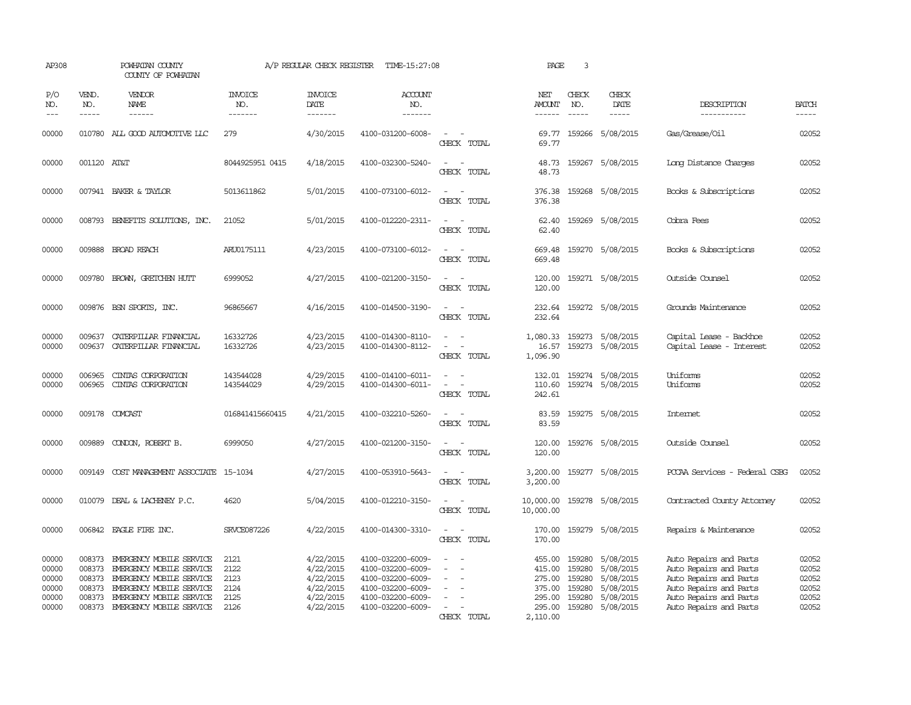| AP308                                              |                                                | POWHATAN COUNTY<br>COUNTY OF POWHATAN                                                                                                                                       |                                              | A/P REGULAR CHECK REGISTER                                                 | TIME-15:27:08                                                                                                              |                                                                     | PAGE                                                                 | 3                                              |                                                                                   |                                                                                                                                                          |                                                    |
|----------------------------------------------------|------------------------------------------------|-----------------------------------------------------------------------------------------------------------------------------------------------------------------------------|----------------------------------------------|----------------------------------------------------------------------------|----------------------------------------------------------------------------------------------------------------------------|---------------------------------------------------------------------|----------------------------------------------------------------------|------------------------------------------------|-----------------------------------------------------------------------------------|----------------------------------------------------------------------------------------------------------------------------------------------------------|----------------------------------------------------|
| P/O<br>NO.<br>$---$                                | VEND.<br>NO.<br>$\frac{1}{2}$                  | <b>VENDOR</b><br>NAME<br>$- - - - - -$                                                                                                                                      | <b>INVOICE</b><br>NO.<br>-------             | <b>INVOICE</b><br>DATE<br>-------                                          | <b>ACCOUNT</b><br>NO.<br>-------                                                                                           |                                                                     | NET<br><b>AMOUNT</b><br>------                                       | CHECK<br>NO.<br>$\frac{1}{2}$                  | CHECK<br>DATE<br>$- - - - -$                                                      | DESCRIPTION<br>-----------                                                                                                                               | <b>BATCH</b><br>$- - - - -$                        |
| 00000                                              |                                                | 010780 ALL GOOD AUTOMOTTVE LLC                                                                                                                                              | 279                                          | 4/30/2015                                                                  | 4100-031200-6008-                                                                                                          | $\overline{\phantom{a}}$<br>CHECK TOTAL                             | 69.77                                                                |                                                | 69.77 159266 5/08/2015                                                            | Gas/Grease/Oil                                                                                                                                           | 02052                                              |
| 00000                                              | 001120 AT&T                                    |                                                                                                                                                                             | 8044925951 0415                              | 4/18/2015                                                                  | 4100-032300-5240-                                                                                                          | CHECK TOTAL                                                         | 48.73<br>48.73                                                       |                                                | 159267 5/08/2015                                                                  | Long Distance Charges                                                                                                                                    | 02052                                              |
| 00000                                              |                                                | 007941 BAKER & TAYLOR                                                                                                                                                       | 5013611862                                   | 5/01/2015                                                                  | 4100-073100-6012-                                                                                                          | $\sim$ $\sim$<br>CHECK TOTAL                                        | 376.38<br>376.38                                                     |                                                | 159268 5/08/2015                                                                  | Books & Subscriptions                                                                                                                                    | 02052                                              |
| 00000                                              |                                                | 008793 BENEFITS SOLUTIONS, INC.                                                                                                                                             | 21052                                        | 5/01/2015                                                                  | 4100-012220-2311-                                                                                                          | $\sim$ 100 $\sim$<br>CHECK TOTAL                                    | 62.40<br>62.40                                                       |                                                | 159269 5/08/2015                                                                  | Cobra Fees                                                                                                                                               | 02052                                              |
| 00000                                              |                                                | 009888 BROAD REACH                                                                                                                                                          | ARU0175111                                   | 4/23/2015                                                                  | 4100-073100-6012-                                                                                                          | CHECK TOTAL                                                         | 669.48<br>669.48                                                     |                                                | 159270 5/08/2015                                                                  | Books & Subscriptions                                                                                                                                    | 02052                                              |
| 00000                                              | 009780                                         | BROWN, GRETCHEN HUTT                                                                                                                                                        | 6999052                                      | 4/27/2015                                                                  | 4100-021200-3150-                                                                                                          | $\sim$<br>CHECK TOTAL                                               | 120.00<br>120.00                                                     |                                                | 159271 5/08/2015                                                                  | Outside Counsel                                                                                                                                          | 02052                                              |
| 00000                                              |                                                | 009876 BSN SPORTS, INC.                                                                                                                                                     | 96865667                                     | 4/16/2015                                                                  | 4100-014500-3190-                                                                                                          | $\overline{\phantom{a}}$<br>$\overline{\phantom{a}}$<br>CHECK TOTAL | 232.64<br>232.64                                                     |                                                | 159272 5/08/2015                                                                  | Grounds Maintenance                                                                                                                                      | 02052                                              |
| 00000<br>00000                                     | 009637<br>009637                               | CATERPILLAR FINANCIAL<br>CATERPILLAR FINANCIAL                                                                                                                              | 16332726<br>16332726                         | 4/23/2015<br>4/23/2015                                                     | 4100-014300-8110-<br>4100-014300-8112-                                                                                     | $\sim$<br>$\sim$<br>$\sim$<br>CHECK TOTAL                           | 1,080.33<br>16.57<br>1,096.90                                        |                                                | 159273 5/08/2015<br>159273 5/08/2015                                              | Capital Lease - Backhoe<br>Capital Lease - Interest                                                                                                      | 02052<br>02052                                     |
| 00000<br>00000                                     | 006965<br>006965                               | CINIAS CORPORATION<br>CINIAS CORPORATION                                                                                                                                    | 143544028<br>143544029                       | 4/29/2015<br>4/29/2015                                                     | 4100-014100-6011-<br>4100-014300-6011-                                                                                     | $\sim$ 100 $\sim$ 100 $\sim$<br>$\equiv$<br>CHECK TOTAL             | 132.01<br>110.60<br>242.61                                           |                                                | 159274 5/08/2015<br>159274 5/08/2015                                              | Uniforms<br>Uniforms                                                                                                                                     | 02052<br>02052                                     |
| 00000                                              | 009178                                         | COMCAST                                                                                                                                                                     | 016841415660415                              | 4/21/2015                                                                  | 4100-032210-5260-                                                                                                          | $\sim$<br>CHECK TOTAL                                               | 83.59<br>83.59                                                       |                                                | 159275 5/08/2015                                                                  | Intemet                                                                                                                                                  | 02052                                              |
| 00000                                              |                                                | 009889 CONDON, ROBERT B.                                                                                                                                                    | 6999050                                      | 4/27/2015                                                                  | 4100-021200-3150-                                                                                                          | $ -$<br>CHECK TOTAL                                                 | 120.00<br>120.00                                                     |                                                | 159276 5/08/2015                                                                  | Outside Counsel                                                                                                                                          | 02052                                              |
| 00000                                              | 009149                                         | COST MANAGEMENT ASSOCIATE 15-1034                                                                                                                                           |                                              | 4/27/2015                                                                  | 4100-053910-5643-                                                                                                          | $\overline{\phantom{a}}$<br>$\sim$<br>CHECK TOTAL                   | 3,200.00<br>3,200.00                                                 |                                                | 159277 5/08/2015                                                                  | PCCAA Services - Federal CSBG                                                                                                                            | 02052                                              |
| 00000                                              | 010079                                         | DEAL & LACHENEY P.C.                                                                                                                                                        | 4620                                         | 5/04/2015                                                                  | 4100-012210-3150-                                                                                                          | CHECK TOTAL                                                         | 10,000.00<br>10,000.00                                               |                                                | 159278 5/08/2015                                                                  | Contracted County Attorney                                                                                                                               | 02052                                              |
| 00000                                              |                                                | 006842 EAGLE FIRE INC.                                                                                                                                                      | SRVCE087226                                  | 4/22/2015                                                                  | 4100-014300-3310-                                                                                                          | $\sim$<br>$\sim$<br>CHECK TOTAL                                     | 170.00<br>170.00                                                     |                                                | 159279 5/08/2015                                                                  | Repairs & Maintenance                                                                                                                                    | 02052                                              |
| 00000<br>00000<br>00000<br>00000<br>00000<br>00000 | 008373<br>008373<br>008373<br>008373<br>008373 | EMERGENCY MOBILE SERVICE<br>EMERGENCY MOBILE SERVICE<br>EMERGENCY MOBILE SERVICE<br>EMERGENCY MOBILE SERVICE<br>EMERGENCY MOBILE SERVICE<br>008373 EMERGENCY MOBILE SERVICE | 2121<br>2122<br>2123<br>2124<br>2125<br>2126 | 4/22/2015<br>4/22/2015<br>4/22/2015<br>4/22/2015<br>4/22/2015<br>4/22/2015 | 4100-032200-6009-<br>4100-032200-6009-<br>4100-032200-6009-<br>4100-032200-6009-<br>4100-032200-6009-<br>4100-032200-6009- | CHECK TOTAL                                                         | 455.00<br>415.00<br>275.00<br>375.00<br>295.00<br>295.00<br>2,110.00 | 159280<br>159280<br>159280<br>159280<br>159280 | 5/08/2015<br>5/08/2015<br>5/08/2015<br>5/08/2015<br>5/08/2015<br>159280 5/08/2015 | Auto Repairs and Parts<br>Auto Repairs and Parts<br>Auto Repairs and Parts<br>Auto Repairs and Parts<br>Auto Repairs and Parts<br>Auto Repairs and Parts | 02052<br>02052<br>02052<br>02052<br>02052<br>02052 |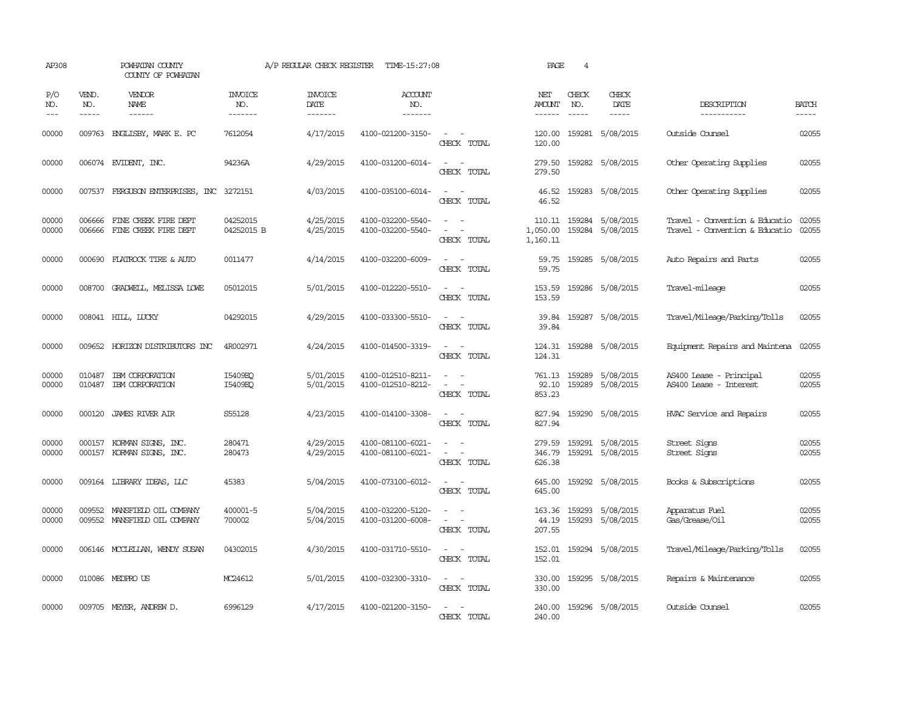| AP308                 |                               | POWHATAN COUNTY<br>COUNTY OF POWHATAN                        |                                  | A/P REGULAR CHECK REGISTER         | TIME-15:27:08                          |                                                                                                                             | PAGE                           | $\overline{4}$                |                                             |                                                                  |                             |
|-----------------------|-------------------------------|--------------------------------------------------------------|----------------------------------|------------------------------------|----------------------------------------|-----------------------------------------------------------------------------------------------------------------------------|--------------------------------|-------------------------------|---------------------------------------------|------------------------------------------------------------------|-----------------------------|
| P/O<br>NO.<br>$- - -$ | VEND.<br>NO.<br>$\frac{1}{2}$ | VENDOR<br>NAME                                               | <b>INVOICE</b><br>NO.<br>------- | <b>INVOICE</b><br>DATE<br>-------- | <b>ACCOUNT</b><br>NO.<br>--------      |                                                                                                                             | NET<br><b>AMOUNT</b><br>------ | CHECK<br>NO.<br>$\frac{1}{2}$ | CHECK<br>DATE<br>$- - - - -$                | DESCRIPTION<br>-----------                                       | <b>BATCH</b><br>$- - - - -$ |
| 00000                 |                               | 009763 ENGLISBY, MARK E. PC                                  | 7612054                          | 4/17/2015                          | 4100-021200-3150-                      | $\sim$ $ -$<br>CHECK TOTAL                                                                                                  | 120.00<br>120.00               |                               | 159281 5/08/2015                            | Outside Counsel                                                  | 02055                       |
| 00000                 |                               | 006074 EVIDENT, INC.                                         | 94236A                           | 4/29/2015                          | 4100-031200-6014-                      | $\frac{1}{2} \left( \frac{1}{2} \right) \left( \frac{1}{2} \right) = \frac{1}{2} \left( \frac{1}{2} \right)$<br>CHECK TOTAL | 279.50<br>279.50               |                               | 159282 5/08/2015                            | Other Operating Supplies                                         | 02055                       |
| 00000                 |                               | 007537 FERGUSON ENTERPRISES, INC 3272151                     |                                  | 4/03/2015                          | 4100-035100-6014-                      | $\sim$ 10 $\sim$ 10 $\sim$<br>CHECK TOTAL                                                                                   | 46.52<br>46.52                 |                               | 159283 5/08/2015                            | Other Operating Supplies                                         | 02055                       |
| 00000<br>00000        | 006666                        | FINE CREEK FIRE DEPT<br>006666 FINE CREEK FIRE DEPT          | 04252015<br>04252015 B           | 4/25/2015<br>4/25/2015             | 4100-032200-5540-<br>4100-032200-5540- | $\equiv$<br>CHECK TOTAL                                                                                                     | 1,050.00<br>1,160.11           |                               | 110.11 159284 5/08/2015<br>159284 5/08/2015 | Travel - Convention & Educatio<br>Travel - Convention & Educatio | 02055<br>02055              |
| 00000                 | 000690                        | FLATROCK TIRE & AUTO                                         | 0011477                          | 4/14/2015                          | 4100-032200-6009-                      | $\sim$ $\sim$<br>CHECK TOTAL                                                                                                | 59.75<br>59.75                 |                               | 159285 5/08/2015                            | Auto Repairs and Parts                                           | 02055                       |
| 00000                 |                               | 008700 GRADWELL, MELISSA LOWE                                | 05012015                         | 5/01/2015                          | 4100-012220-5510-                      | $\sim$ 100 $\sim$<br>CHECK TOTAL                                                                                            | 153.59<br>153.59               |                               | 159286 5/08/2015                            | Travel-mileage                                                   | 02055                       |
| 00000                 |                               | 008041 HILL, LUCKY                                           | 04292015                         | 4/29/2015                          | 4100-033300-5510-                      | CHECK TOTAL                                                                                                                 | 39.84                          |                               | 39.84 159287 5/08/2015                      | Travel/Mileage/Parking/Tolls                                     | 02055                       |
| 00000                 | 009652                        | HORIZON DISTRIBUTORS INC                                     | 4R002971                         | 4/24/2015                          | 4100-014500-3319-                      | $\sim$<br>$\sim$<br>CHECK TOTAL                                                                                             | 124.31<br>124.31               |                               | 159288 5/08/2015                            | Equipment Repairs and Maintena                                   | 02055                       |
| 00000<br>00000        | 010487<br>010487              | IBM CORPORATION<br>IBM CORPORATION                           | I5409EQ<br>I5409EO               | 5/01/2015<br>5/01/2015             | 4100-012510-8211-<br>4100-012510-8212- | $\omega_{\rm{max}}$ and $\omega_{\rm{max}}$<br>$\overline{\phantom{a}}$<br>CHECK TOTAL                                      | 92.10<br>853.23                |                               | 761.13 159289 5/08/2015<br>159289 5/08/2015 | AS400 Lease - Principal<br>AS400 Lease - Interest                | 02055<br>02055              |
| 00000                 |                               | 000120 JAMES RIVER AIR                                       | S55128                           | 4/23/2015                          | 4100-014100-3308-                      | $\sim$ 100 $\sim$ 100 $\sim$<br>CHECK TOTAL                                                                                 | 827.94<br>827.94               |                               | 159290 5/08/2015                            | HVAC Service and Repairs                                         | 02055                       |
| 00000<br>00000        | 000157                        | KORMAN SIGNS, INC.<br>000157 KORMAN SIGNS, INC.              | 280471<br>280473                 | 4/29/2015<br>4/29/2015             | 4100-081100-6021-<br>4100-081100-6021- | $\sim$<br>$\overline{\phantom{a}}$<br>$\overline{\phantom{a}}$<br>$\overline{\phantom{a}}$<br>CHECK TOTAL                   | 279.59<br>346.79<br>626.38     |                               | 159291 5/08/2015<br>159291 5/08/2015        | Street Signs<br>Street Signs                                     | 02055<br>02055              |
| 00000                 |                               | 009164 LIBRARY IDEAS, LLC                                    | 45383                            | 5/04/2015                          | 4100-073100-6012-                      | $\sim$ $\sim$<br>CHECK TOTAL                                                                                                | 645.00<br>645.00               |                               | 159292 5/08/2015                            | Books & Subscriptions                                            | 02055                       |
| 00000<br>00000        |                               | 009552 MANSFIELD OIL COMPANY<br>009552 MANSFIELD OIL COMPANY | 400001-5<br>700002               | 5/04/2015<br>5/04/2015             | 4100-032200-5120-<br>4100-031200-6008- | $\sim$ 10 $\sim$ 10 $\sim$<br>$\omega_{\rm{max}}$ and $\omega_{\rm{max}}$<br>CHECK TOTAL                                    | 44.19<br>207.55                |                               | 163.36 159293 5/08/2015<br>159293 5/08/2015 | Apparatus Fuel<br>Gas/Grease/Oil                                 | 02055<br>02055              |
| 00000                 |                               | 006146 MCCLELLAN, WENDY SUSAN                                | 04302015                         | 4/30/2015                          | 4100-031710-5510-                      | $\sim$<br>CHECK TOTAL                                                                                                       | 152.01<br>152.01               |                               | 159294 5/08/2015                            | Travel/Mileage/Parking/Tolls                                     | 02055                       |
| 00000                 |                               | 010086 MEDPROUS                                              | MC24612                          | 5/01/2015                          | 4100-032300-3310-                      | $\omega_{\rm{max}}$ and $\omega_{\rm{max}}$<br>CHECK TOTAL                                                                  | 330.00<br>330.00               |                               | 159295 5/08/2015                            | Repairs & Maintenance                                            | 02055                       |
| 00000                 |                               | 009705 MEYER, ANDREW D.                                      | 6996129                          | 4/17/2015                          | 4100-021200-3150-                      | $\sim$ 100 $\sim$ 100 $\sim$<br>CHECK TOTAL                                                                                 | 240.00<br>240.00               |                               | 159296 5/08/2015                            | Outside Counsel                                                  | 02055                       |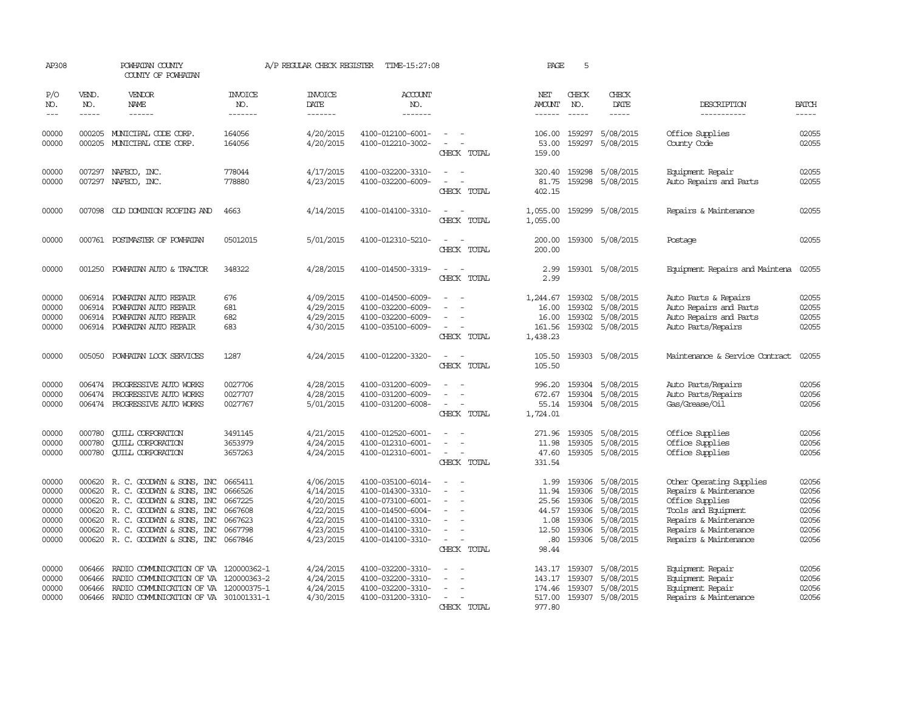| AP308                                                       |                                                | POWHATAN COUNTY<br>COUNTY OF POWHATAN                                                                                                                                                                                         |                                                                | A/P REGULAR CHECK REGISTER                                                              | TIME-15:27:08                                                                                                                                   |                                         | PAGE                                                             | 5                                              |                                                                                                       |                                                                                                                                                                        |                                                                                                                                                                                                                                                                                                                                                                                                                                                                                                     |
|-------------------------------------------------------------|------------------------------------------------|-------------------------------------------------------------------------------------------------------------------------------------------------------------------------------------------------------------------------------|----------------------------------------------------------------|-----------------------------------------------------------------------------------------|-------------------------------------------------------------------------------------------------------------------------------------------------|-----------------------------------------|------------------------------------------------------------------|------------------------------------------------|-------------------------------------------------------------------------------------------------------|------------------------------------------------------------------------------------------------------------------------------------------------------------------------|-----------------------------------------------------------------------------------------------------------------------------------------------------------------------------------------------------------------------------------------------------------------------------------------------------------------------------------------------------------------------------------------------------------------------------------------------------------------------------------------------------|
| P/O<br>NO.<br>$\qquad \qquad - -$                           | VEND.<br>NO.<br>$- - - - -$                    | VENDOR<br><b>NAME</b><br>------                                                                                                                                                                                               | <b>INVOICE</b><br>NO.<br>-------                               | <b>INVOICE</b><br>DATE<br>-------                                                       | <b>ACCOUNT</b><br>NO.<br>-------                                                                                                                |                                         | NET<br>AMOUNT                                                    | CHECK<br>NO.<br>$\frac{1}{2}$                  | CHECK<br><b>DATE</b><br>-----                                                                         | DESCRIPTION<br>-----------                                                                                                                                             | <b>BATCH</b><br>$\begin{tabular}{ccccc} \multicolumn{2}{c}{} & \multicolumn{2}{c}{} & \multicolumn{2}{c}{} & \multicolumn{2}{c}{} & \multicolumn{2}{c}{} & \multicolumn{2}{c}{} & \multicolumn{2}{c}{} & \multicolumn{2}{c}{} & \multicolumn{2}{c}{} & \multicolumn{2}{c}{} & \multicolumn{2}{c}{} & \multicolumn{2}{c}{} & \multicolumn{2}{c}{} & \multicolumn{2}{c}{} & \multicolumn{2}{c}{} & \multicolumn{2}{c}{} & \multicolumn{2}{c}{} & \multicolumn{2}{c}{} & \multicolumn{2}{c}{} & \mult$ |
| 00000<br>00000                                              | 000205                                         | MUNICIPAL CODE CORP.<br>000205 MUNICIPAL CODE CORP.                                                                                                                                                                           | 164056<br>164056                                               | 4/20/2015<br>4/20/2015                                                                  | 4100-012100-6001-<br>4100-012210-3002-                                                                                                          | CHECK TOTAL                             | 106.00<br>53.00<br>159.00                                        | 159297                                         | 5/08/2015<br>159297 5/08/2015                                                                         | Office Supplies<br>County Code                                                                                                                                         | 02055<br>02055                                                                                                                                                                                                                                                                                                                                                                                                                                                                                      |
| 00000<br>00000                                              | 007297                                         | NAFECO, INC.<br>007297 NAFECO, INC.                                                                                                                                                                                           | 778044<br>778880                                               | 4/17/2015<br>4/23/2015                                                                  | 4100-032200-3310-<br>4100-032200-6009-                                                                                                          | CHECK TOTAL                             | 320.40<br>81.75<br>402.15                                        |                                                | 159298 5/08/2015<br>159298 5/08/2015                                                                  | Equipment Repair<br>Auto Repairs and Parts                                                                                                                             | 02055<br>02055                                                                                                                                                                                                                                                                                                                                                                                                                                                                                      |
| 00000                                                       |                                                | 007098 OLD DOMINION ROOFING AND                                                                                                                                                                                               | 4663                                                           | 4/14/2015                                                                               | 4100-014100-3310-                                                                                                                               | $\overline{\phantom{a}}$<br>CHECK TOTAL | 1,055.00<br>1,055.00                                             |                                                | 159299 5/08/2015                                                                                      | Repairs & Maintenance                                                                                                                                                  | 02055                                                                                                                                                                                                                                                                                                                                                                                                                                                                                               |
| 00000                                                       |                                                | 000761 POSTMASTER OF POWHATAN                                                                                                                                                                                                 | 05012015                                                       | 5/01/2015                                                                               | 4100-012310-5210-                                                                                                                               | CHECK TOTAL                             | 200.00<br>200.00                                                 |                                                | 159300 5/08/2015                                                                                      | Postage                                                                                                                                                                | 02055                                                                                                                                                                                                                                                                                                                                                                                                                                                                                               |
| 00000                                                       | 001250                                         | POWHATAN AUTO & TRACTOR                                                                                                                                                                                                       | 348322                                                         | 4/28/2015                                                                               | 4100-014500-3319-                                                                                                                               | CHECK TOTAL                             | 2.99<br>2.99                                                     |                                                | 159301 5/08/2015                                                                                      | Equipment Repairs and Maintena                                                                                                                                         | 02055                                                                                                                                                                                                                                                                                                                                                                                                                                                                                               |
| 00000<br>00000<br>00000<br>00000                            | 006914<br>006914                               | POWHATAN AUTO REPAIR<br>POWHATAN AUTO REPAIR<br>006914 POWHATAN AUTO REPAIR<br>006914 POWHATAN AUTO REPAIR                                                                                                                    | 676<br>681<br>682<br>683                                       | 4/09/2015<br>4/29/2015<br>4/29/2015<br>4/30/2015                                        | 4100-014500-6009-<br>4100-032200-6009-<br>4100-032200-6009-<br>4100-035100-6009-                                                                | CHECK TOTAL                             | 1,244.67<br>16.00<br>16.00<br>161.56<br>1,438.23                 | 159302<br>159302                               | 5/08/2015<br>5/08/2015<br>159302 5/08/2015<br>159302 5/08/2015                                        | Auto Parts & Repairs<br>Auto Repairs and Parts<br>Auto Repairs and Parts<br>Auto Parts/Repairs                                                                         | 02055<br>02055<br>02055<br>02055                                                                                                                                                                                                                                                                                                                                                                                                                                                                    |
| 00000                                                       | 005050                                         | POWHATAN LOCK SERVICES                                                                                                                                                                                                        | 1287                                                           | 4/24/2015                                                                               | 4100-012200-3320-                                                                                                                               | CHECK TOTAL                             | 105.50<br>105.50                                                 |                                                | 159303 5/08/2015                                                                                      | Maintenance & Service Contract                                                                                                                                         | 02055                                                                                                                                                                                                                                                                                                                                                                                                                                                                                               |
| 00000<br>00000<br>00000                                     | 006474<br>006474<br>006474                     | PROGRESSIVE AUTO WORKS<br>PROGRESSIVE AUTO WORKS<br>PROGRESSIVE AUTO WORKS                                                                                                                                                    | 0027706<br>0027707<br>0027767                                  | 4/28/2015<br>4/28/2015<br>5/01/2015                                                     | 4100-031200-6009-<br>4100-031200-6009-<br>4100-031200-6008-                                                                                     | $\equiv$<br>CHECK TOTAL                 | 996.20<br>672.67<br>55.14<br>1,724.01                            | 159304<br>159304                               | 159304 5/08/2015<br>5/08/2015<br>5/08/2015                                                            | Auto Parts/Repairs<br>Auto Parts/Repairs<br>Gas/Grease/Oil                                                                                                             | 02056<br>02056<br>02056                                                                                                                                                                                                                                                                                                                                                                                                                                                                             |
| 00000<br>00000<br>00000                                     | 000780<br>000780                               | <b>QUILL CORPORATION</b><br><b>CUILL CORPORATION</b><br>000780 CUILL CORPORATION                                                                                                                                              | 3491145<br>3653979<br>3657263                                  | 4/21/2015<br>4/24/2015<br>4/24/2015                                                     | 4100-012520-6001-<br>4100-012310-6001-<br>4100-012310-6001-                                                                                     | CHECK TOTAL                             | 271.96<br>11.98<br>47.60<br>331.54                               | 159305<br>159305                               | 5/08/2015<br>5/08/2015<br>159305 5/08/2015                                                            | Office Supplies<br>Office Supplies<br>Office Supplies                                                                                                                  | 02056<br>02056<br>02056                                                                                                                                                                                                                                                                                                                                                                                                                                                                             |
| 00000<br>00000<br>00000<br>00000<br>00000<br>00000<br>00000 | 000620<br>000620<br>000620<br>000620<br>000620 | 000620 R. C. GOODWYN & SONS, INC<br>R. C. GOODWYN & SONS, INC<br>R. C. GOODWYN & SONS, INC<br>R. C. GOODWYN & SONS, INC<br>R. C. GOODWYN & SONS, INC<br>R. C. GOODWYN & SONS, INC<br>000620 R. C. GOODWYN & SONS, INC 0667846 | 0665411<br>0666526<br>0667225<br>0667608<br>0667623<br>0667798 | 4/06/2015<br>4/14/2015<br>4/20/2015<br>4/22/2015<br>4/22/2015<br>4/23/2015<br>4/23/2015 | 4100-035100-6014-<br>4100-014300-3310-<br>4100-073100-6001-<br>4100-014500-6004-<br>4100-014100-3310-<br>4100-014100-3310-<br>4100-014100-3310- | $\sim$<br>CHECK TOTAL                   | 1.99<br>11.94<br>25.56<br>44.57<br>1.08<br>12.50<br>.80<br>98.44 | 159306<br>159306<br>159306<br>159306<br>159306 | 159306 5/08/2015<br>5/08/2015<br>5/08/2015<br>5/08/2015<br>5/08/2015<br>5/08/2015<br>159306 5/08/2015 | Other Operating Supplies<br>Repairs & Maintenance<br>Office Supplies<br>Tools and Equipment<br>Repairs & Maintenance<br>Repairs & Maintenance<br>Repairs & Maintenance | 02056<br>02056<br>02056<br>02056<br>02056<br>02056<br>02056                                                                                                                                                                                                                                                                                                                                                                                                                                         |
| 00000<br>00000<br>00000<br>00000                            | 006466<br>006466<br>006466<br>006466           | RADIO COMMUNICATION OF VA 120000362-1<br>RADIO COMMUNICATION OF VA 120000363-2<br>RADIO COMMUNICATION OF VA 120000375-1<br>RADIO COMUNICATION OF VA 301001331-1                                                               |                                                                | 4/24/2015<br>4/24/2015<br>4/24/2015<br>4/30/2015                                        | 4100-032200-3310-<br>4100-032200-3310-<br>4100-032200-3310-<br>4100-031200-3310-                                                                | $\overline{\phantom{a}}$<br>CHECK TOTAL | 143.17<br>143.17<br>174.46<br>517.00<br>977.80                   | 159307<br>159307<br>159307<br>159307           | 5/08/2015<br>5/08/2015<br>5/08/2015<br>5/08/2015                                                      | Equipment Repair<br>Equipment Repair<br>Equipment Repair<br>Repairs & Maintenance                                                                                      | 02056<br>02056<br>02056<br>02056                                                                                                                                                                                                                                                                                                                                                                                                                                                                    |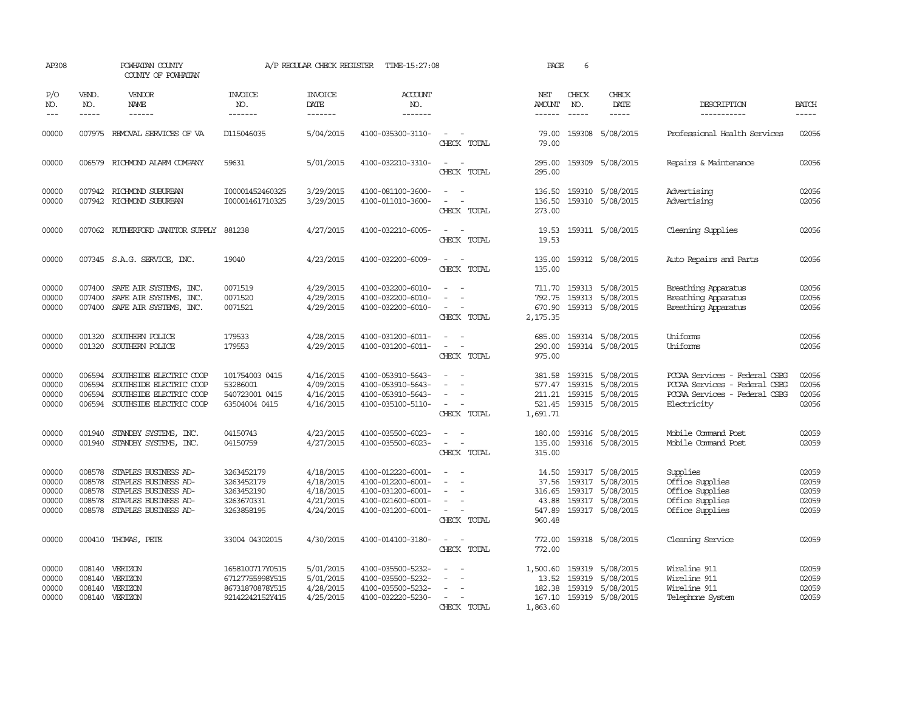| AP308                                     |                                      | POWHATAN COUNTY<br>COUNTY OF POWHATAN                                                                                       |                                                                          | A/P REGULAR CHECK REGISTER                                    | TIME-15:27:08                                                                                         |                                                                     | PAGE                                                  | 6            |                                                                                                  |                                                                                                                |                                           |
|-------------------------------------------|--------------------------------------|-----------------------------------------------------------------------------------------------------------------------------|--------------------------------------------------------------------------|---------------------------------------------------------------|-------------------------------------------------------------------------------------------------------|---------------------------------------------------------------------|-------------------------------------------------------|--------------|--------------------------------------------------------------------------------------------------|----------------------------------------------------------------------------------------------------------------|-------------------------------------------|
| P/O<br>NO.<br>$---$                       | VEND.<br>NO.<br>$- - - - -$          | VENDOR<br><b>NAME</b><br>------                                                                                             | <b>INVOICE</b><br>NO.<br>-------                                         | <b>INVOICE</b><br>DATE<br>-------                             | <b>ACCOUNT</b><br>NO.<br>-------                                                                      |                                                                     | NET<br>AMOUNT<br>$- - - - - -$                        | CHECK<br>NO. | CHECK<br>DATE<br>$- - - - -$                                                                     | DESCRIPTION<br>-----------                                                                                     | <b>BATCH</b><br>-----                     |
| 00000                                     |                                      | 007975 REMOVAL SERVICES OF VA                                                                                               | D115046035                                                               | 5/04/2015                                                     | 4100-035300-3110-                                                                                     | $\equiv$<br>CHECK TOTAL                                             | 79.00<br>79.00                                        |              | 159308 5/08/2015                                                                                 | Professional Health Services                                                                                   | 02056                                     |
| 00000                                     |                                      | 006579 RICHMOND ALARM COMPANY                                                                                               | 59631                                                                    | 5/01/2015                                                     | 4100-032210-3310-                                                                                     | $\sim$<br>CHECK TOTAL                                               | 295.00<br>295.00                                      |              | 159309 5/08/2015                                                                                 | Repairs & Maintenance                                                                                          | 02056                                     |
| 00000<br>00000                            |                                      | 007942 RICHMOND SUBURBAN<br>007942 RICHMOND SUBURBAN                                                                        | I00001452460325<br>I00001461710325                                       | 3/29/2015<br>3/29/2015                                        | 4100-081100-3600-<br>4100-011010-3600-                                                                | $\overline{\phantom{a}}$<br>$\sim$<br>CHECK TOTAL                   | 136.50<br>136.50<br>273.00                            |              | 159310 5/08/2015<br>159310 5/08/2015                                                             | Advertising<br>Advertising                                                                                     | 02056<br>02056                            |
| 00000                                     |                                      | 007062 RUIHERFORD JANITOR SUPPLY                                                                                            | 881238                                                                   | 4/27/2015                                                     | 4100-032210-6005-                                                                                     | $\overline{a}$<br>CHECK TOTAL                                       | 19.53<br>19.53                                        |              | 159311 5/08/2015                                                                                 | Cleaning Supplies                                                                                              | 02056                                     |
| 00000                                     |                                      | 007345 S.A.G. SERVICE, INC.                                                                                                 | 19040                                                                    | 4/23/2015                                                     | 4100-032200-6009-                                                                                     | CHECK TOTAL                                                         | 135.00<br>135.00                                      |              | 159312 5/08/2015                                                                                 | Auto Repairs and Parts                                                                                         | 02056                                     |
| 00000<br>00000<br>00000                   | 007400<br>007400                     | SAFE AIR SYSTEMS, INC.<br>SAFE AIR SYSTEMS, INC.<br>007400 SAFE AIR SYSTEMS, INC.                                           | 0071519<br>0071520<br>0071521                                            | 4/29/2015<br>4/29/2015<br>4/29/2015                           | 4100-032200-6010-<br>4100-032200-6010-<br>4100-032200-6010-                                           | CHECK TOTAL                                                         | 711.70<br>792.75<br>670.90<br>2,175.35                |              | 159313 5/08/2015<br>159313 5/08/2015<br>159313 5/08/2015                                         | Breathing Apparatus<br>Breathing Apparatus<br>Breathing Apparatus                                              | 02056<br>02056<br>02056                   |
| 00000<br>00000                            | 001320<br>001320                     | SOUTHERN POLICE<br>SOUTHERN POLICE                                                                                          | 179533<br>179553                                                         | 4/28/2015<br>4/29/2015                                        | 4100-031200-6011-<br>4100-031200-6011-                                                                | CHECK TOTAL                                                         | 685.00<br>290.00<br>975.00                            |              | 159314 5/08/2015<br>159314 5/08/2015                                                             | Uniforms<br>Uniforms                                                                                           | 02056<br>02056                            |
| 00000<br>00000<br>00000<br>00000          | 006594<br>006594<br>006594           | SOUTHSIDE ELECTRIC COOP<br>SOUTHSIDE ELECTRIC COOP<br>SOUTHSIDE ELECTRIC COOP<br>006594 SOUTHSIDE ELECTRIC COOP             | 101754003 0415<br>53286001<br>540723001 0415<br>63504004 0415            | 4/16/2015<br>4/09/2015<br>4/16/2015<br>4/16/2015              | 4100-053910-5643-<br>4100-053910-5643-<br>4100-053910-5643-<br>4100-035100-5110-                      | $\overline{\phantom{a}}$<br>CHECK TOTAL                             | 381.58<br>577.47<br>211.21<br>521.45<br>1,691.71      |              | 159315 5/08/2015<br>159315 5/08/2015<br>159315 5/08/2015<br>159315 5/08/2015                     | PCCAA Services - Federal CSBG<br>PCCAA Services - Federal CSBG<br>PCCAA Services - Federal CSBG<br>Electricity | 02056<br>02056<br>02056<br>02056          |
| 00000<br>00000                            | 001940                               | STANDBY SYSTEMS, INC.<br>001940 STANDBY SYSTEMS, INC.                                                                       | 04150743<br>04150759                                                     | 4/23/2015<br>4/27/2015                                        | 4100-035500-6023-<br>4100-035500-6023-                                                                | $\equiv$<br>CHECK TOTAL                                             | 180.00<br>135.00<br>315.00                            |              | 159316 5/08/2015<br>159316 5/08/2015                                                             | Mobile Command Post<br>Mobile Command Post                                                                     | 02059<br>02059                            |
| 00000<br>00000<br>00000<br>00000<br>00000 | 008578<br>008578<br>008578<br>008578 | STAPLES BUSINESS AD-<br>STAPLES BUSINESS AD-<br>STAPLES BUSINESS AD-<br>STAPLES BUSINESS AD-<br>008578 STAPLES BUSINESS AD- | 3263452179<br>3263452179<br>3263452190<br>3263670331<br>3263858195       | 4/18/2015<br>4/18/2015<br>4/18/2015<br>4/21/2015<br>4/24/2015 | 4100-012220-6001-<br>4100-012200-6001-<br>4100-031200-6001-<br>4100-021600-6001-<br>4100-031200-6001- | $\overline{\phantom{a}}$<br>$\overline{\phantom{a}}$<br>CHECK TOTAL | 14.50<br>37.56<br>316.65<br>43.88<br>547.89<br>960.48 |              | 159317 5/08/2015<br>159317 5/08/2015<br>159317 5/08/2015<br>159317 5/08/2015<br>159317 5/08/2015 | Supplies<br>Office Supplies<br>Office Supplies<br>Office Supplies<br>Office Supplies                           | 02059<br>02059<br>02059<br>02059<br>02059 |
| 00000                                     |                                      | 000410 THOMAS, PETE                                                                                                         | 33004 04302015                                                           | 4/30/2015                                                     | 4100-014100-3180-                                                                                     | $\equiv$<br>CHECK TOTAL                                             | 772.00<br>772.00                                      |              | 159318 5/08/2015                                                                                 | Cleaning Service                                                                                               | 02059                                     |
| 00000<br>00000<br>00000<br>00000          | 008140<br>008140<br>008140<br>008140 | VERIZON<br>VERIZON<br>VERIZON<br>VERIZON                                                                                    | 1658100717Y0515<br>67127755998Y515<br>86731870878Y515<br>92142242152Y415 | 5/01/2015<br>5/01/2015<br>4/28/2015<br>4/25/2015              | 4100-035500-5232-<br>4100-035500-5232-<br>4100-035500-5232-<br>4100-032220-5230-                      | CHECK TOTAL                                                         | 1,500.60<br>13.52<br>182.38<br>167.10<br>1,863.60     | 159319       | 5/08/2015<br>159319 5/08/2015<br>159319 5/08/2015<br>159319 5/08/2015                            | Wireline 911<br>Wireline 911<br>Wireline 911<br>Telephone System                                               | 02059<br>02059<br>02059<br>02059          |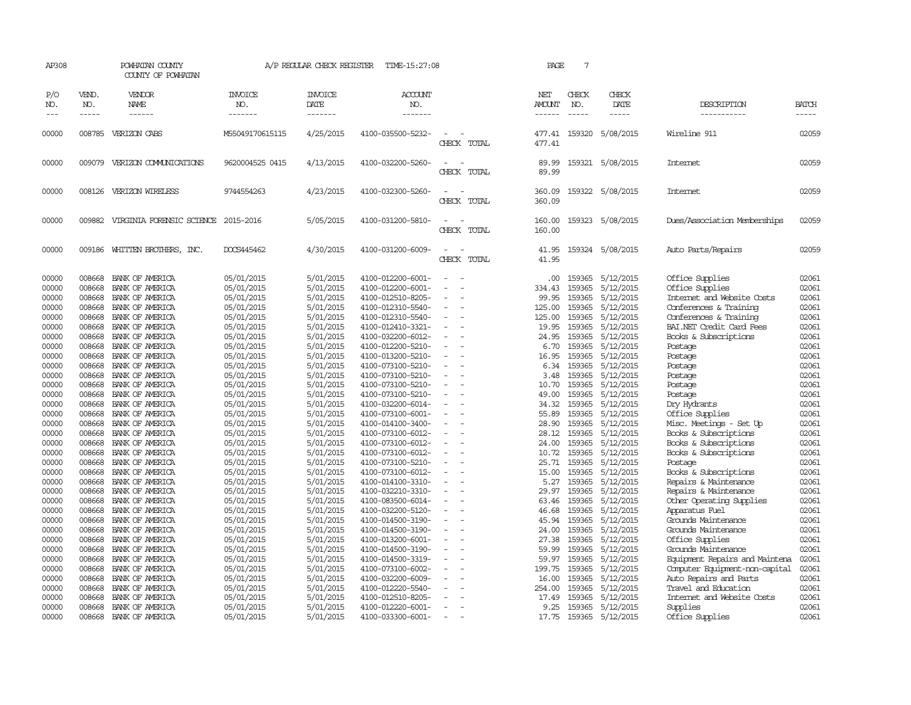| AP308                                                                                  |                                                                                                  | POWHATAN COUNTY<br>COUNTY OF POWHATAN                                                                                                                                                      |                                                                                                                                          | A/P REGULAR CHECK REGISTER                                                                                                     | TIME-15:27:08                                                                                                                                                                                                  |                                                                          | PAGE                                                                                   | 7                                                                                                |                                                                                                                                |                                                                                                                                                                                                            |                                                                                        |
|----------------------------------------------------------------------------------------|--------------------------------------------------------------------------------------------------|--------------------------------------------------------------------------------------------------------------------------------------------------------------------------------------------|------------------------------------------------------------------------------------------------------------------------------------------|--------------------------------------------------------------------------------------------------------------------------------|----------------------------------------------------------------------------------------------------------------------------------------------------------------------------------------------------------------|--------------------------------------------------------------------------|----------------------------------------------------------------------------------------|--------------------------------------------------------------------------------------------------|--------------------------------------------------------------------------------------------------------------------------------|------------------------------------------------------------------------------------------------------------------------------------------------------------------------------------------------------------|----------------------------------------------------------------------------------------|
| P/O<br>NO.<br>$---$                                                                    | VEND.<br>NO.<br>$- - - - -$                                                                      | VENDOR<br>NAME<br>------                                                                                                                                                                   | <b>INVOICE</b><br>NO.<br>-------                                                                                                         | <b>INVOICE</b><br>DATE<br>-------                                                                                              | ACCOUNT<br>NO.<br>-------                                                                                                                                                                                      |                                                                          | NET<br>AMOUNT<br>$- - - - - -$                                                         | CHECK<br>NO.<br>$\frac{1}{2}$                                                                    | CHECK<br>DATE<br>$- - - - -$                                                                                                   | DESCRIPTION<br>-----------                                                                                                                                                                                 | <b>BATCH</b><br>-----                                                                  |
| 00000                                                                                  |                                                                                                  | 008785 VERIZON CABS                                                                                                                                                                        | M55049170615115                                                                                                                          | 4/25/2015                                                                                                                      | 4100-035500-5232-                                                                                                                                                                                              | CHECK TOTAL                                                              | 477.41<br>477.41                                                                       |                                                                                                  | 159320 5/08/2015                                                                                                               | Wireline 911                                                                                                                                                                                               | 02059                                                                                  |
| 00000                                                                                  |                                                                                                  | 009079 VERIZON COMUNICATIONS                                                                                                                                                               | 9620004525 0415                                                                                                                          | 4/13/2015                                                                                                                      | 4100-032200-5260-                                                                                                                                                                                              | CHECK TOTAL                                                              | 89.99<br>89.99                                                                         |                                                                                                  | 159321 5/08/2015                                                                                                               | Internet                                                                                                                                                                                                   | 02059                                                                                  |
| 00000                                                                                  |                                                                                                  | 008126 VERIZON WIRELESS                                                                                                                                                                    | 9744554263                                                                                                                               | 4/23/2015                                                                                                                      | 4100-032300-5260-                                                                                                                                                                                              | $\equiv$<br>CHECK TOTAL                                                  | 360.09<br>360.09                                                                       |                                                                                                  | 159322 5/08/2015                                                                                                               | Internet                                                                                                                                                                                                   | 02059                                                                                  |
| 00000                                                                                  |                                                                                                  | 009882 VIRGINIA FORENSIC SCIENCE 2015-2016                                                                                                                                                 |                                                                                                                                          | 5/05/2015                                                                                                                      | 4100-031200-5810-                                                                                                                                                                                              | CHECK TOTAL                                                              | 160.00<br>160.00                                                                       |                                                                                                  | 159323 5/08/2015                                                                                                               | Dues/Association Memberships                                                                                                                                                                               | 02059                                                                                  |
| 00000                                                                                  |                                                                                                  | 009186 WHITTEN BROTHERS, INC.                                                                                                                                                              | DOCS445462                                                                                                                               | 4/30/2015                                                                                                                      | 4100-031200-6009-                                                                                                                                                                                              | $\equiv$<br>CHECK TOTAL                                                  | 41.95<br>41.95                                                                         |                                                                                                  | 159324 5/08/2015                                                                                                               | Auto Parts/Repairs                                                                                                                                                                                         | 02059                                                                                  |
| 00000<br>00000<br>00000<br>00000<br>00000<br>00000<br>00000<br>00000<br>00000<br>00000 | 008668<br>008668<br>008668<br>008668<br>008668<br>008668<br>008668<br>008668<br>008668<br>008668 | BANK OF AMERICA<br>BANK OF AMERICA<br>BANK OF AMERICA<br>BANK OF AMERICA<br>BANK OF AMERICA<br>BANK OF AMERICA<br>BANK OF AMERICA<br>BANK OF AMERICA<br>BANK OF AMERICA<br>BANK OF AMERICA | 05/01/2015<br>05/01/2015<br>05/01/2015<br>05/01/2015<br>05/01/2015<br>05/01/2015<br>05/01/2015<br>05/01/2015<br>05/01/2015<br>05/01/2015 | 5/01/2015<br>5/01/2015<br>5/01/2015<br>5/01/2015<br>5/01/2015<br>5/01/2015<br>5/01/2015<br>5/01/2015<br>5/01/2015<br>5/01/2015 | 4100-012200-6001-<br>4100-012200-6001-<br>4100-012510-8205-<br>4100-012310-5540-<br>4100-012310-5540-<br>4100-012410-3321-<br>4100-032200-6012-<br>4100-012200-5210-<br>4100-013200-5210-<br>4100-073100-5210- | $\sim$<br>$\overline{\phantom{a}}$<br>$\sim$<br>$\overline{\phantom{a}}$ | .00.<br>334.43<br>99.95<br>125.00<br>125.00<br>19.95<br>24.95<br>6.70<br>16.95<br>6.34 | 159365<br>159365<br>159365<br>159365<br>159365<br>159365<br>159365<br>159365<br>159365<br>159365 | 5/12/2015<br>5/12/2015<br>5/12/2015<br>5/12/2015<br>5/12/2015<br>5/12/2015<br>5/12/2015<br>5/12/2015<br>5/12/2015<br>5/12/2015 | Office Supplies<br>Office Supplies<br>Internet and Website Costs<br>Conferences & Training<br>Conferences & Training<br>BAI.NET Credit Card Fees<br>Books & Subscriptions<br>Postage<br>Postage<br>Postage | 02061<br>02061<br>02061<br>02061<br>02061<br>02061<br>02061<br>02061<br>02061<br>02061 |
| 00000<br>00000<br>00000<br>00000<br>00000<br>00000<br>00000<br>00000                   | 008668<br>008668<br>008668<br>008668<br>008668<br>008668<br>008668<br>008668                     | BANK OF AMERICA<br>BANK OF AMERICA<br>BANK OF AMERICA<br>BANK OF AMERICA<br>BANK OF AMERICA<br>BANK OF AMERICA<br>BANK OF AMERICA<br>BANK OF AMERICA                                       | 05/01/2015<br>05/01/2015<br>05/01/2015<br>05/01/2015<br>05/01/2015<br>05/01/2015<br>05/01/2015<br>05/01/2015                             | 5/01/2015<br>5/01/2015<br>5/01/2015<br>5/01/2015<br>5/01/2015<br>5/01/2015<br>5/01/2015<br>5/01/2015                           | 4100-073100-5210-<br>4100-073100-5210-<br>4100-073100-5210-<br>4100-032200-6014-<br>4100-073100-6001-<br>4100-014100-3400-<br>4100-073100-6012-<br>4100-073100-6012-                                           | $\equiv$<br>$\sim$                                                       | 3.48<br>10.70<br>49.00<br>34.32<br>55.89<br>28.90<br>28.12<br>24.00                    | 159365<br>159365<br>159365<br>159365<br>159365<br>159365<br>159365<br>159365                     | 5/12/2015<br>5/12/2015<br>5/12/2015<br>5/12/2015<br>5/12/2015<br>5/12/2015<br>5/12/2015<br>5/12/2015                           | Postage<br>Postage<br>Postage<br>Dry Hydrants<br>Office Supplies<br>Misc. Meetings - Set Up<br>Books & Subscriptions<br>Books & Subscriptions                                                              | 02061<br>02061<br>02061<br>02061<br>02061<br>02061<br>02061<br>02061                   |
| 00000<br>00000<br>00000<br>00000<br>00000<br>00000<br>00000                            | 008668<br>008668<br>008668<br>008668<br>008668<br>008668<br>008668                               | BANK OF AMERICA<br>BANK OF AMERICA<br>BANK OF AMERICA<br>BANK OF AMERICA<br>BANK OF AMERICA<br>BANK OF AMERICA<br>BANK OF AMERICA                                                          | 05/01/2015<br>05/01/2015<br>05/01/2015<br>05/01/2015<br>05/01/2015<br>05/01/2015<br>05/01/2015                                           | 5/01/2015<br>5/01/2015<br>5/01/2015<br>5/01/2015<br>5/01/2015<br>5/01/2015<br>5/01/2015                                        | 4100-073100-6012-<br>4100-073100-5210-<br>4100-073100-6012-<br>4100-014100-3310-<br>4100-032210-3310-<br>4100-083500-6014-<br>4100-032200-5120-                                                                | $\sim$<br>$\overline{\phantom{a}}$                                       | 10.72<br>25.71<br>15.00<br>5.27<br>29.97<br>63.46<br>46.68                             | 159365<br>159365<br>159365<br>159365<br>159365<br>159365                                         | 5/12/2015<br>159365 5/12/2015<br>5/12/2015<br>5/12/2015<br>5/12/2015<br>5/12/2015<br>5/12/2015                                 | Books & Subscriptions<br>Postage<br>Books & Subscriptions<br>Repairs & Maintenance<br>Repairs & Maintenance<br>Other Operating Supplies<br>Apparatus Fuel                                                  | 02061<br>02061<br>02061<br>02061<br>02061<br>02061<br>02061                            |
| 00000<br>00000<br>00000<br>00000<br>00000<br>00000                                     | 008668<br>008668<br>008668<br>008668<br>008668<br>008668                                         | BANK OF AMERICA<br>BANK OF AMERICA<br>BANK OF AMERICA<br>BANK OF AMERICA<br>BANK OF AMERICA<br>BANK OF AMERICA                                                                             | 05/01/2015<br>05/01/2015<br>05/01/2015<br>05/01/2015<br>05/01/2015<br>05/01/2015                                                         | 5/01/2015<br>5/01/2015<br>5/01/2015<br>5/01/2015<br>5/01/2015<br>5/01/2015                                                     | 4100-014500-3190-<br>4100-014500-3190-<br>4100-013200-6001-<br>4100-014500-3190-<br>4100-014500-3319-<br>4100-073100-6002-                                                                                     | $\equiv$<br>$\overline{\phantom{a}}$                                     | 45.94<br>24.00<br>27.38<br>59.99<br>59.97<br>199.75                                    | 159365<br>159365<br>159365<br>159365<br>159365<br>159365                                         | 5/12/2015<br>5/12/2015<br>5/12/2015<br>5/12/2015<br>5/12/2015<br>5/12/2015                                                     | Grounds Maintenance<br>Grounds Maintenance<br>Office Supplies<br>Grounds Maintenance<br>Equipment Repairs and Maintena<br>Computer Equipment-non-capital                                                   | 02061<br>02061<br>02061<br>02061<br>02061<br>02061                                     |
| 00000<br>00000<br>00000<br>00000<br>00000                                              | 008668<br>008668<br>008668<br>008668<br>008668                                                   | BANK OF AMERICA<br>BANK OF AMERICA<br>BANK OF AMERICA<br>BANK OF AMERICA<br>BANK OF AMERICA                                                                                                | 05/01/2015<br>05/01/2015<br>05/01/2015<br>05/01/2015<br>05/01/2015                                                                       | 5/01/2015<br>5/01/2015<br>5/01/2015<br>5/01/2015<br>5/01/2015                                                                  | 4100-032200-6009-<br>4100-012220-5540-<br>4100-012510-8205-<br>4100-012220-6001-<br>4100-033300-6001-                                                                                                          | $\equiv$<br>$\sim$                                                       | 16.00<br>254.00<br>17.49<br>9.25<br>17.75                                              | 159365<br>159365<br>159365<br>159365                                                             | 5/12/2015<br>5/12/2015<br>5/12/2015<br>5/12/2015<br>159365 5/12/2015                                                           | Auto Repairs and Parts<br>Travel and Education<br>Internet and Website Costs<br>Supplies<br>Office Supplies                                                                                                | 02061<br>02061<br>02061<br>02061<br>02061                                              |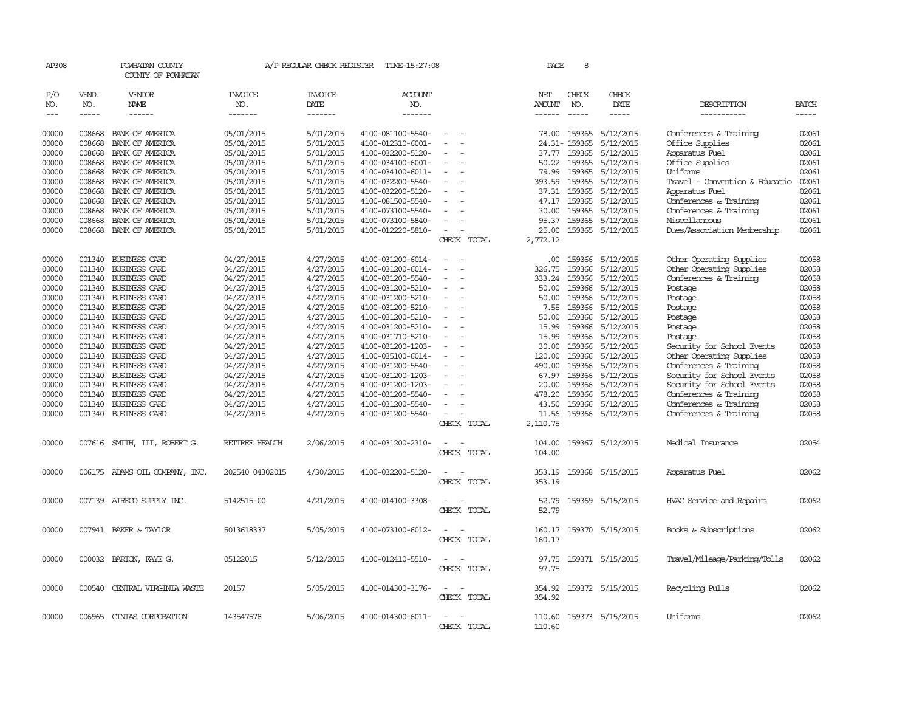| AP308          |                  | POWHATAN COUNTY<br>COUNTY OF POWHATAN        |                          |                        | A/P REGULAR CHECK REGISTER TIME-15:27:08 |                                         | PAGE            | 8                      |                         |                                                          |                |
|----------------|------------------|----------------------------------------------|--------------------------|------------------------|------------------------------------------|-----------------------------------------|-----------------|------------------------|-------------------------|----------------------------------------------------------|----------------|
| P/O<br>NO.     | VEND.<br>NO.     | VENDOR<br>NAME                               | INVOICE<br>NO.           | <b>INVOICE</b><br>DATE | <b>ACCOUNT</b><br>NO.                    |                                         | NET<br>AMOUNT   | CHECK<br>NO.           | CHECK<br>DATE           | DESCRIPTION                                              | <b>BATCH</b>   |
| $---$          | $\frac{1}{2}$    | $- - - - - -$                                | --------                 | --------               | -------                                  |                                         | $- - - - - -$   | $\frac{1}{2}$          | -----                   | -----------                                              | $- - - - -$    |
| 00000<br>00000 | 008668<br>008668 | BANK OF AMERICA<br>BANK OF AMERICA           | 05/01/2015<br>05/01/2015 | 5/01/2015<br>5/01/2015 | 4100-081100-5540-<br>4100-012310-6001-   | $\overline{\phantom{a}}$<br>$\sim$      | 78.00           | 159365<br>24.31-159365 | 5/12/2015<br>5/12/2015  | Conferences & Training<br>Office Supplies                | 02061<br>02061 |
| 00000          | 008668           | BANK OF AMERICA                              | 05/01/2015               | 5/01/2015              | 4100-032200-5120-                        |                                         | 37.77           | 159365                 | 5/12/2015               | Apparatus Fuel                                           | 02061          |
| 00000          | 008668           | BANK OF AMERICA                              | 05/01/2015               | 5/01/2015              | 4100-034100-6001-                        | $\sim$                                  | 50.22           | 159365                 | 5/12/2015               | Office Supplies                                          | 02061          |
| 00000<br>00000 | 008668           | 008668 BANK OF AMERICA<br>BANK OF AMERICA    | 05/01/2015<br>05/01/2015 | 5/01/2015<br>5/01/2015 | 4100-034100-6011-<br>4100-032200-5540-   |                                         | 79.99<br>393.59 | 159365<br>159365       | 5/12/2015<br>5/12/2015  | Uniforms<br>Travel - Convention & Educatio               | 02061<br>02061 |
| 00000          | 008668           | BANK OF AMERICA                              | 05/01/2015               | 5/01/2015              | 4100-032200-5120-                        |                                         | 37.31           | 159365                 | 5/12/2015               | Apparatus Fuel                                           | 02061          |
| 00000          | 008668           | BANK OF AMERICA                              | 05/01/2015               | 5/01/2015              | 4100-081500-5540-                        |                                         | 47.17           | 159365                 | 5/12/2015               | Conferences & Training                                   | 02061          |
| 00000          | 008668           | BANK OF AMERICA                              | 05/01/2015               | 5/01/2015              | 4100-073100-5540-                        |                                         | 30.00           | 159365                 | 5/12/2015               | Conferences & Training                                   | 02061          |
| 00000          | 008668           | BANK OF AMERICA                              | 05/01/2015               | 5/01/2015              | 4100-073100-5840-                        |                                         | 95.37           | 159365                 | 5/12/2015               | Miscellaneous                                            | 02061          |
| 00000          | 008668           | BANK OF AMERICA                              | 05/01/2015               | 5/01/2015              | 4100-012220-5810-                        | $\overline{\phantom{a}}$<br>CHECK TOTAL | 25.00           |                        | 159365 5/12/2015        | Dues/Association Membership                              | 02061          |
|                |                  |                                              |                          |                        |                                          |                                         | 2,772.12        |                        |                         |                                                          |                |
| 00000          | 001340           | BUSINESS CARD                                | 04/27/2015               | 4/27/2015              | 4100-031200-6014-                        |                                         | .00             | 159366                 | 5/12/2015               | Other Operating Supplies                                 | 02058          |
| 00000          | 001340           | <b>BUSINESS CARD</b>                         | 04/27/2015               | 4/27/2015              | 4100-031200-6014-                        |                                         | 326.75          | 159366                 | 5/12/2015               | Other Operating Supplies                                 | 02058          |
| 00000          |                  | 001340 BUSINESS CARD                         | 04/27/2015               | 4/27/2015              | 4100-031200-5540-                        | $\overline{\phantom{a}}$                | 333.24          | 159366                 | 5/12/2015               | Conferences & Training                                   | 02058          |
| 00000          |                  | 001340 BUSINESS CARD                         | 04/27/2015               | 4/27/2015              | 4100-031200-5210-                        |                                         | 50.00           | 159366                 | 5/12/2015               | Postage                                                  | 02058          |
| 00000<br>00000 |                  | 001340 BUSINESS CARD<br>001340 BUSINESS CARD | 04/27/2015<br>04/27/2015 | 4/27/2015<br>4/27/2015 | 4100-031200-5210-<br>4100-031200-5210-   |                                         | 50.00<br>7.55   | 159366<br>159366       | 5/12/2015<br>5/12/2015  | Postage<br>Postage                                       | 02058<br>02058 |
| 00000          |                  | 001340 BUSINESS CARD                         | 04/27/2015               | 4/27/2015              | 4100-031200-5210-                        |                                         | 50.00           | 159366                 | 5/12/2015               | Postage                                                  | 02058          |
| 00000          | 001340           | BUSINESS CARD                                | 04/27/2015               | 4/27/2015              | 4100-031200-5210-                        |                                         | 15.99           | 159366                 | 5/12/2015               | Postage                                                  | 02058          |
| 00000          |                  | 001340 BUSINESS CARD                         | 04/27/2015               | 4/27/2015              | 4100-031710-5210-                        |                                         | 15.99           | 159366                 | 5/12/2015               | Postage                                                  | 02058          |
| 00000          |                  | 001340 BUSINESS CARD                         | 04/27/2015               | 4/27/2015              | 4100-031200-1203-                        | $\overline{\phantom{a}}$                | 30.00           | 159366                 | 5/12/2015               | Security for School Events                               | 02058          |
| 00000          |                  | 001340 BUSINESS CARD                         | 04/27/2015               | 4/27/2015              | 4100-035100-6014-                        |                                         | 120.00          | 159366                 | 5/12/2015               | Other Operating Supplies                                 | 02058          |
| 00000<br>00000 |                  | 001340 BUSINESS CARD<br>001340 BUSINESS CARD | 04/27/2015               | 4/27/2015              | 4100-031200-5540-<br>4100-031200-1203-   |                                         | 490.00<br>67.97 | 159366<br>159366       | 5/12/2015<br>5/12/2015  | Conferences & Training                                   | 02058<br>02058 |
| 00000          |                  | 001340 BUSINESS CARD                         | 04/27/2015<br>04/27/2015 | 4/27/2015<br>4/27/2015 | 4100-031200-1203-                        |                                         | 20.00           | 159366                 | 5/12/2015               | Security for School Events<br>Security for School Events | 02058          |
| 00000          | 001340           | <b>BUSINESS CARD</b>                         | 04/27/2015               | 4/27/2015              | 4100-031200-5540-                        |                                         | 478.20          | 159366                 | 5/12/2015               | Conferences & Training                                   | 02058          |
| 00000          |                  | 001340 BUSINESS CARD                         | 04/27/2015               | 4/27/2015              | 4100-031200-5540-                        |                                         | 43.50           | 159366                 | 5/12/2015               | Conferences & Training                                   | 02058          |
| 00000          |                  | 001340 BUSINESS CARD                         | 04/27/2015               | 4/27/2015              | 4100-031200-5540-                        | $\overline{\phantom{a}}$                | 11.56           |                        | 159366 5/12/2015        | Conferences & Training                                   | 02058          |
|                |                  |                                              |                          |                        |                                          | CHECK TOTAL                             | 2,110.75        |                        |                         |                                                          |                |
| 00000          |                  | 007616 SMITH, III, ROBERT G.                 | RETIREE HEALTH           | 2/06/2015              | 4100-031200-2310-                        |                                         | 104.00          |                        | 159367 5/12/2015        | Medical Insurance                                        | 02054          |
|                |                  |                                              |                          |                        |                                          | CHECK TOTAL                             | 104.00          |                        |                         |                                                          |                |
|                |                  |                                              |                          |                        |                                          |                                         |                 |                        |                         |                                                          |                |
| 00000          |                  | 006175 ADAMS OIL COMPANY, INC.               | 202540 04302015          | 4/30/2015              | 4100-032200-5120-                        |                                         | 353.19          |                        | 159368 5/15/2015        | Apparatus Fuel                                           | 02062          |
|                |                  |                                              |                          |                        |                                          | CHECK TOTAL                             | 353.19          |                        |                         |                                                          |                |
|                |                  |                                              |                          |                        |                                          |                                         |                 |                        |                         |                                                          |                |
| 00000          |                  | 007139 AIRECO SUPPLY INC.                    | 5142515-00               | 4/21/2015              | 4100-014100-3308-                        | CHECK TOTAL                             | 52.79<br>52.79  |                        | 159369 5/15/2015        | HVAC Service and Repairs                                 | 02062          |
|                |                  |                                              |                          |                        |                                          |                                         |                 |                        |                         |                                                          |                |
| 00000          |                  | 007941 BAKER & TAYLOR                        | 5013618337               | 5/05/2015              | 4100-073100-6012-                        |                                         | 160.17          |                        | 159370 5/15/2015        | Books & Subscriptions                                    | 02062          |
|                |                  |                                              |                          |                        |                                          | CHECK TOTAL                             | 160.17          |                        |                         |                                                          |                |
|                |                  |                                              |                          |                        |                                          |                                         |                 |                        |                         |                                                          |                |
| 00000          |                  | 000032 BARTON, FAYE G.                       | 05122015                 | 5/12/2015              | 4100-012410-5510-                        |                                         |                 |                        | 97.75 159371 5/15/2015  | Travel/Mileage/Parking/Tolls                             | 02062          |
|                |                  |                                              |                          |                        |                                          | TOTAL<br>CHECK                          | 97.75           |                        |                         |                                                          |                |
| 00000          | 000540           | CENTRAL VIRGINIA WASTE                       | 20157                    | 5/05/2015              | 4100-014300-3176-                        |                                         | 354.92          |                        | 159372 5/15/2015        | Recycling Pulls                                          | 02062          |
|                |                  |                                              |                          |                        |                                          | CHECK TOTAL                             | 354.92          |                        |                         |                                                          |                |
|                |                  |                                              |                          |                        |                                          |                                         |                 |                        |                         |                                                          |                |
| 00000          |                  | 006965 CINTAS CORPORATION                    | 143547578                | 5/06/2015              | 4100-014300-6011-                        |                                         |                 |                        | 110.60 159373 5/15/2015 | Uniforms                                                 | 02062          |
|                |                  |                                              |                          |                        |                                          | CHECK<br>TOTAL                          | 110.60          |                        |                         |                                                          |                |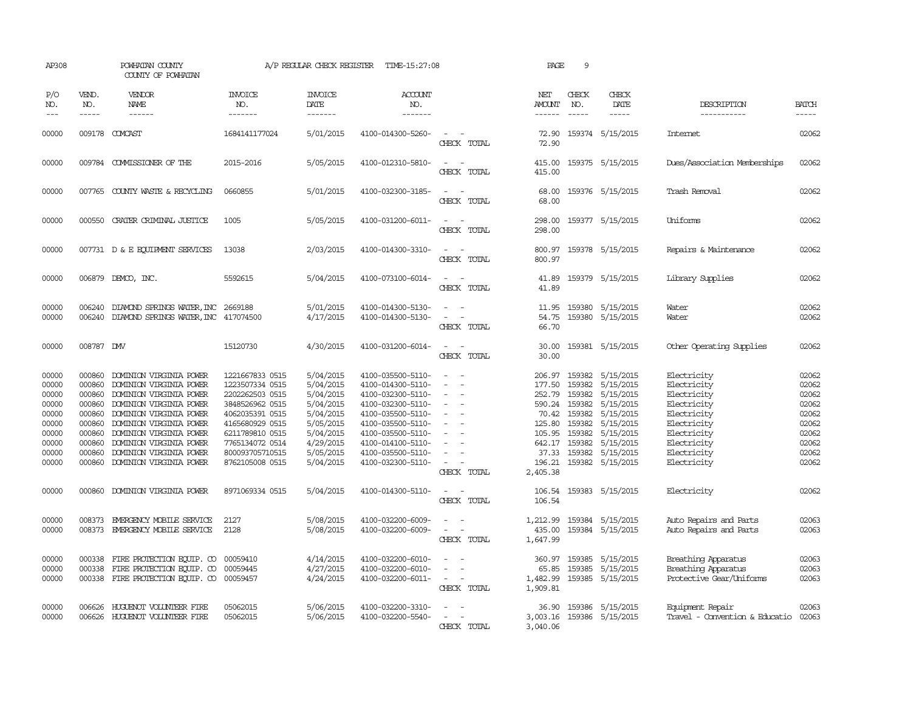| AP308                                                                                  |                                                                                                  | POWHATAN COUNTY<br>COUNTY OF POWHATAN                                                                                                                                                                                                                                      |                                                                                                                                                                                            | A/P REGULAR CHECK REGISTER                                                                                                     | TIME-15:27:08                                                                                                                                                                                                  |                                         | PAGE                                                                                                    | 9                                                                                                                                                                                                                                                                                                                                                                                                                                                                                          |                                                                                                                                                                          |                                                                                                                                                    |                                                                                        |
|----------------------------------------------------------------------------------------|--------------------------------------------------------------------------------------------------|----------------------------------------------------------------------------------------------------------------------------------------------------------------------------------------------------------------------------------------------------------------------------|--------------------------------------------------------------------------------------------------------------------------------------------------------------------------------------------|--------------------------------------------------------------------------------------------------------------------------------|----------------------------------------------------------------------------------------------------------------------------------------------------------------------------------------------------------------|-----------------------------------------|---------------------------------------------------------------------------------------------------------|--------------------------------------------------------------------------------------------------------------------------------------------------------------------------------------------------------------------------------------------------------------------------------------------------------------------------------------------------------------------------------------------------------------------------------------------------------------------------------------------|--------------------------------------------------------------------------------------------------------------------------------------------------------------------------|----------------------------------------------------------------------------------------------------------------------------------------------------|----------------------------------------------------------------------------------------|
| P/O<br>NO.<br>$---$                                                                    | VEND.<br>NO.<br>-----                                                                            | <b>VENDOR</b><br>NAME<br>------                                                                                                                                                                                                                                            | <b>INVOICE</b><br>NO.<br>-------                                                                                                                                                           | <b>INVOICE</b><br>DATE<br>-------                                                                                              | ACCOUNT<br>NO.<br>-------                                                                                                                                                                                      |                                         | NET<br>AMOUNT<br>------                                                                                 | CHECK<br>NO.<br>$\frac{1}{2} \left( \frac{1}{2} \right) \left( \frac{1}{2} \right) \left( \frac{1}{2} \right) \left( \frac{1}{2} \right) \left( \frac{1}{2} \right) \left( \frac{1}{2} \right) \left( \frac{1}{2} \right) \left( \frac{1}{2} \right) \left( \frac{1}{2} \right) \left( \frac{1}{2} \right) \left( \frac{1}{2} \right) \left( \frac{1}{2} \right) \left( \frac{1}{2} \right) \left( \frac{1}{2} \right) \left( \frac{1}{2} \right) \left( \frac{1}{2} \right) \left( \frac$ | CHECK<br>DATE                                                                                                                                                            | DESCRIPTION<br>-----------                                                                                                                         | <b>BATCH</b><br>-----                                                                  |
| 00000                                                                                  |                                                                                                  | 009178 COMCAST                                                                                                                                                                                                                                                             | 1684141177024                                                                                                                                                                              | 5/01/2015                                                                                                                      | 4100-014300-5260-                                                                                                                                                                                              | CHECK TOTAL                             | 72.90                                                                                                   |                                                                                                                                                                                                                                                                                                                                                                                                                                                                                            | 72.90 159374 5/15/2015                                                                                                                                                   | Internet.                                                                                                                                          | 02062                                                                                  |
| 00000                                                                                  |                                                                                                  | 009784 COMMISSIONER OF THE                                                                                                                                                                                                                                                 | 2015-2016                                                                                                                                                                                  | 5/05/2015                                                                                                                      | 4100-012310-5810-                                                                                                                                                                                              | CHECK TOTAL                             | 415.00<br>415.00                                                                                        |                                                                                                                                                                                                                                                                                                                                                                                                                                                                                            | 159375 5/15/2015                                                                                                                                                         | Dues/Association Memberships                                                                                                                       | 02062                                                                                  |
| 00000                                                                                  |                                                                                                  | 007765 COUNTY WASTE & RECYCLING                                                                                                                                                                                                                                            | 0660855                                                                                                                                                                                    | 5/01/2015                                                                                                                      | 4100-032300-3185-                                                                                                                                                                                              | CHECK TOTAL                             | 68.00<br>68.00                                                                                          |                                                                                                                                                                                                                                                                                                                                                                                                                                                                                            | 159376 5/15/2015                                                                                                                                                         | Trash Removal                                                                                                                                      | 02062                                                                                  |
| 00000                                                                                  | 000550                                                                                           | CRATER CRIMINAL JUSTICE                                                                                                                                                                                                                                                    | 1005                                                                                                                                                                                       | 5/05/2015                                                                                                                      | 4100-031200-6011-                                                                                                                                                                                              | $\overline{\phantom{a}}$<br>CHECK TOTAL | 298.00<br>298.00                                                                                        |                                                                                                                                                                                                                                                                                                                                                                                                                                                                                            | 159377 5/15/2015                                                                                                                                                         | Uniforms                                                                                                                                           | 02062                                                                                  |
| 00000                                                                                  |                                                                                                  | 007731 D & E EQUIPMENT SERVICES                                                                                                                                                                                                                                            | 13038                                                                                                                                                                                      | 2/03/2015                                                                                                                      | 4100-014300-3310-                                                                                                                                                                                              | $\sim$<br>CHECK TOTAL                   | 800.97<br>800.97                                                                                        |                                                                                                                                                                                                                                                                                                                                                                                                                                                                                            | 159378 5/15/2015                                                                                                                                                         | Repairs & Maintenance                                                                                                                              | 02062                                                                                  |
| 00000                                                                                  |                                                                                                  | 006879 DEMCO, INC.                                                                                                                                                                                                                                                         | 5592615                                                                                                                                                                                    | 5/04/2015                                                                                                                      | 4100-073100-6014-                                                                                                                                                                                              | $ -$<br>CHECK TOTAL                     | 41.89<br>41.89                                                                                          |                                                                                                                                                                                                                                                                                                                                                                                                                                                                                            | 159379 5/15/2015                                                                                                                                                         | Library Supplies                                                                                                                                   | 02062                                                                                  |
| 00000<br>00000                                                                         | 006240<br>006240                                                                                 | DIAMOND SPRINGS WATER, INC 2669188<br>DIAMOND SPRINGS WATER, INC 417074500                                                                                                                                                                                                 |                                                                                                                                                                                            | 5/01/2015<br>4/17/2015                                                                                                         | 4100-014300-5130-<br>4100-014300-5130-                                                                                                                                                                         | $\sim$<br>CHECK TOTAL                   | 11.95<br>54.75<br>66.70                                                                                 |                                                                                                                                                                                                                                                                                                                                                                                                                                                                                            | 159380 5/15/2015<br>159380 5/15/2015                                                                                                                                     | Water<br>Water                                                                                                                                     | 02062<br>02062                                                                         |
| 00000                                                                                  | 008787 DW                                                                                        |                                                                                                                                                                                                                                                                            | 15120730                                                                                                                                                                                   | 4/30/2015                                                                                                                      | 4100-031200-6014-                                                                                                                                                                                              | $\sim$<br>$\sim$<br>CHECK TOTAL         | 30.00<br>30.00                                                                                          |                                                                                                                                                                                                                                                                                                                                                                                                                                                                                            | 159381 5/15/2015                                                                                                                                                         | Other Operating Supplies                                                                                                                           | 02062                                                                                  |
| 00000<br>00000<br>00000<br>00000<br>00000<br>00000<br>00000<br>00000<br>00000<br>00000 | 000860<br>000860<br>000860<br>000860<br>000860<br>000860<br>000860<br>000860<br>000860<br>000860 | DOMINION VIRGINIA POWER<br>DOMINION VIRGINIA POWER<br>DOMINION VIRGINIA POWER<br>DOMINION VIRGINIA POWER<br>DOMINION VIRGINIA POWER<br>DOMINION VIRGINIA POWER<br>DOMINION VIRGINIA POWER<br>DOMINION VIRGINIA POWER<br>DOMINION VIRGINIA POWER<br>DOMINION VIRGINIA POWER | 1221667833 0515<br>1223507334 0515<br>2202262503 0515<br>3848526962 0515<br>4062035391 0515<br>4165680929 0515<br>6211789810 0515<br>7765134072 0514<br>800093705710515<br>8762105008 0515 | 5/04/2015<br>5/04/2015<br>5/04/2015<br>5/04/2015<br>5/04/2015<br>5/05/2015<br>5/04/2015<br>4/29/2015<br>5/05/2015<br>5/04/2015 | 4100-035500-5110-<br>4100-014300-5110-<br>4100-032300-5110-<br>4100-032300-5110-<br>4100-035500-5110-<br>4100-035500-5110-<br>4100-035500-5110-<br>4100-014100-5110-<br>4100-035500-5110-<br>4100-032300-5110- | CHECK TOTAL                             | 206.97<br>177.50<br>252.79<br>590.24 159382<br>70.42<br>125.80<br>105.95<br>37.33<br>196.21<br>2,405.38 | 159382<br>159382<br>159382<br>159382                                                                                                                                                                                                                                                                                                                                                                                                                                                       | 159382 5/15/2015<br>159382 5/15/2015<br>5/15/2015<br>5/15/2015<br>5/15/2015<br>5/15/2015<br>159382 5/15/2015<br>642.17 159382 5/15/2015<br>5/15/2015<br>159382 5/15/2015 | Electricity<br>Electricity<br>Electricity<br>Electricity<br>Electricity<br>Electricity<br>Electricity<br>Electricity<br>Electricity<br>Electricity | 02062<br>02062<br>02062<br>02062<br>02062<br>02062<br>02062<br>02062<br>02062<br>02062 |
| 00000                                                                                  | 000860                                                                                           | DOMINION VIRGINIA POWER                                                                                                                                                                                                                                                    | 8971069334 0515                                                                                                                                                                            | 5/04/2015                                                                                                                      | 4100-014300-5110-                                                                                                                                                                                              | CHECK TOTAL                             | 106.54                                                                                                  |                                                                                                                                                                                                                                                                                                                                                                                                                                                                                            | 106.54 159383 5/15/2015                                                                                                                                                  | Electricity                                                                                                                                        | 02062                                                                                  |
| 00000<br>00000                                                                         | 008373                                                                                           | EMERGENCY MOBILE SERVICE<br>008373 EMERGENCY MOBILE SERVICE                                                                                                                                                                                                                | 2127<br>2128                                                                                                                                                                               | 5/08/2015<br>5/08/2015                                                                                                         | 4100-032200-6009-<br>4100-032200-6009-                                                                                                                                                                         | $\overline{\phantom{a}}$<br>CHECK TOTAL | 1,212.99<br>435.00<br>1,647.99                                                                          |                                                                                                                                                                                                                                                                                                                                                                                                                                                                                            | 159384 5/15/2015<br>159384 5/15/2015                                                                                                                                     | Auto Repairs and Parts<br>Auto Repairs and Parts                                                                                                   | 02063<br>02063                                                                         |
| 00000<br>00000<br>00000                                                                | 000338<br>000338                                                                                 | FIRE PROTECTION EQUIP. CO<br>FIRE PROTECTION EQUIP. CO<br>000338 FIRE PROTECTION EQUIP. CO                                                                                                                                                                                 | 00059410<br>00059445<br>00059457                                                                                                                                                           | 4/14/2015<br>4/27/2015<br>4/24/2015                                                                                            | 4100-032200-6010-<br>4100-032200-6010-<br>4100-032200-6011-                                                                                                                                                    | $\overline{\phantom{a}}$<br>CHECK TOTAL | 360.97<br>65.85<br>1,482.99<br>1,909.81                                                                 | 159385                                                                                                                                                                                                                                                                                                                                                                                                                                                                                     | 159385 5/15/2015<br>5/15/2015<br>159385 5/15/2015                                                                                                                        | Breathing Apparatus<br>Breathing Apparatus<br>Protective Gear/Uniforms                                                                             | 02063<br>02063<br>02063                                                                |
| 00000<br>00000                                                                         | 006626                                                                                           | HUGUENOT VOLUNTEER FIRE<br>006626 HUGUENOT VOLUNTEER FIRE                                                                                                                                                                                                                  | 05062015<br>05062015                                                                                                                                                                       | 5/06/2015<br>5/06/2015                                                                                                         | 4100-032200-3310-<br>4100-032200-5540-                                                                                                                                                                         | CHECK TOTAL                             | 36.90<br>3,003.16<br>3,040.06                                                                           |                                                                                                                                                                                                                                                                                                                                                                                                                                                                                            | 159386 5/15/2015<br>159386 5/15/2015                                                                                                                                     | Equipment Repair<br>Travel - Convention & Educatio                                                                                                 | 02063<br>02063                                                                         |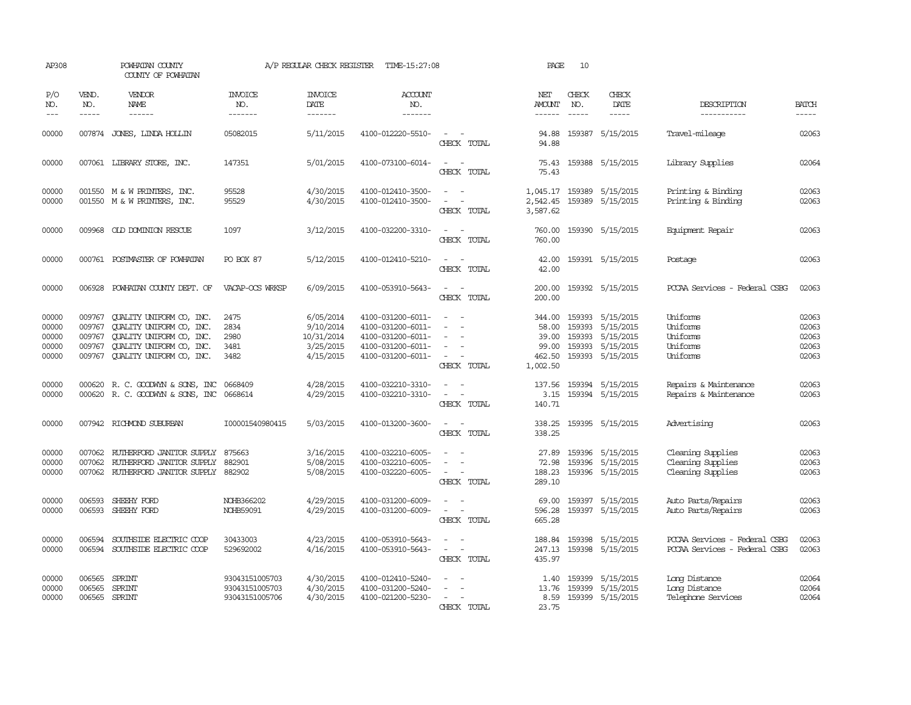| AP308                                     |                                      | POWHATAN COUNTY<br>COUNTY OF POWHATAN                                                                                                           |                                                    | A/P REGULAR CHECK REGISTER                                     | TIME-15:27:08                                                                                         |                                                                                                                             | PAGE                                                    | 10           |                                                                                                  |                                                                |                                           |
|-------------------------------------------|--------------------------------------|-------------------------------------------------------------------------------------------------------------------------------------------------|----------------------------------------------------|----------------------------------------------------------------|-------------------------------------------------------------------------------------------------------|-----------------------------------------------------------------------------------------------------------------------------|---------------------------------------------------------|--------------|--------------------------------------------------------------------------------------------------|----------------------------------------------------------------|-------------------------------------------|
| P/O<br>NO.<br>$---$                       | VEND.<br>NO.                         | VENDOR<br><b>NAME</b><br>$- - - - - -$                                                                                                          | <b>INVOICE</b><br>NO.<br>$- - - - - - -$           | <b>INVOICE</b><br>DATE<br>-------                              | <b>ACCOUNT</b><br>NO.<br>$- - - - - - -$                                                              |                                                                                                                             | NET<br>AMOUNT<br>------                                 | CHECK<br>NO. | CHECK<br>DATE                                                                                    | DESCRIPTION<br>-----------                                     | <b>BATCH</b><br>-----                     |
| 00000                                     |                                      | 007874 JONES, LINDA HOLLIN                                                                                                                      | 05082015                                           | 5/11/2015                                                      | 4100-012220-5510-                                                                                     | CHECK TOTAL                                                                                                                 | 94.88<br>94.88                                          |              | 159387 5/15/2015                                                                                 | Travel-mileage                                                 | 02063                                     |
| 00000                                     |                                      | 007061 LIBRARY STORE, INC.                                                                                                                      | 147351                                             | 5/01/2015                                                      | 4100-073100-6014-                                                                                     | $\overline{\phantom{a}}$<br>$\sim$<br>CHECK TOTAL                                                                           | 75.43<br>75.43                                          |              | 159388 5/15/2015                                                                                 | Library Supplies                                               | 02064                                     |
| 00000<br>00000                            |                                      | 001550 M & W PRINTERS, INC.<br>001550 M & W PRINTERS, INC.                                                                                      | 95528<br>95529                                     | 4/30/2015<br>4/30/2015                                         | 4100-012410-3500-<br>4100-012410-3500-                                                                | $\sim$<br>$\overline{\phantom{a}}$<br>$\sim$<br>CHECK TOTAL                                                                 | 1,045.17<br>2,542.45<br>3,587.62                        |              | 159389 5/15/2015<br>159389 5/15/2015                                                             | Printing & Binding<br>Printing & Binding                       | 02063<br>02063                            |
| 00000                                     |                                      | 009968 OLD DOMINION RESCUE                                                                                                                      | 1097                                               | 3/12/2015                                                      | 4100-032200-3310-                                                                                     | $\frac{1}{2} \left( \frac{1}{2} \right) \left( \frac{1}{2} \right) = \frac{1}{2} \left( \frac{1}{2} \right)$<br>CHECK TOTAL | 760.00<br>760.00                                        |              | 159390 5/15/2015                                                                                 | Equipment Repair                                               | 02063                                     |
| 00000                                     |                                      | 000761 POSTMASTER OF POWHATAN                                                                                                                   | PO BOX 87                                          | 5/12/2015                                                      | 4100-012410-5210-                                                                                     | $\sim$ $\sim$<br>CHECK TOTAL                                                                                                | 42.00<br>42.00                                          |              | 159391 5/15/2015                                                                                 | Postage                                                        | 02063                                     |
| 00000                                     |                                      | 006928 POWHATAN COUNTY DEPT. OF                                                                                                                 | VACAP-OCS WRKSP                                    | 6/09/2015                                                      | 4100-053910-5643-                                                                                     | $\sim$<br>CHECK TOTAL                                                                                                       | 200.00<br>200.00                                        |              | 159392 5/15/2015                                                                                 | PCCAA Services - Federal CSBG                                  | 02063                                     |
| 00000<br>00000<br>00000<br>00000<br>00000 | 009767<br>009767<br>009767<br>009767 | QUALITY UNIFORM CO, INC.<br>OUALITY UNIFORM CO, INC.<br>QUALITY UNIFORM CO, INC.<br>QUALITY UNIFORM CO, INC.<br>009767 QUALITY UNIFORM CO, INC. | 2475<br>2834<br>2980<br>3481<br>3482               | 6/05/2014<br>9/10/2014<br>10/31/2014<br>3/25/2015<br>4/15/2015 | 4100-031200-6011-<br>4100-031200-6011-<br>4100-031200-6011-<br>4100-031200-6011-<br>4100-031200-6011- | CHECK TOTAL                                                                                                                 | 344.00<br>58.00<br>39.00<br>99.00<br>462.50<br>1,002.50 |              | 159393 5/15/2015<br>159393 5/15/2015<br>159393 5/15/2015<br>159393 5/15/2015<br>159393 5/15/2015 | Uniforms<br>Uniforms<br>Uniforms<br>Uniforms<br>Uniforms       | 02063<br>02063<br>02063<br>02063<br>02063 |
| 00000<br>00000                            |                                      | 000620 R. C. GOODWYN & SONS, INC<br>000620 R. C. GOODWYN & SONS, INC 0668614                                                                    | 0668409                                            | 4/28/2015<br>4/29/2015                                         | 4100-032210-3310-<br>4100-032210-3310-                                                                | $\sim$ $-$<br>$\overline{\phantom{a}}$<br>CHECK TOTAL                                                                       | 137.56<br>140.71                                        |              | 159394 5/15/2015<br>3.15 159394 5/15/2015                                                        | Repairs & Maintenance<br>Repairs & Maintenance                 | 02063<br>02063                            |
| 00000                                     |                                      | 007942 RICHMOND SUBURBAN                                                                                                                        | I00001540980415                                    | 5/03/2015                                                      | 4100-013200-3600-                                                                                     | $\sim$<br>CHECK TOTAL                                                                                                       | 338.25<br>338.25                                        |              | 159395 5/15/2015                                                                                 | Advertising                                                    | 02063                                     |
| 00000<br>00000<br>00000                   | 007062<br>007062                     | RUTHERFORD JANITOR SUPPLY<br>RUIHERFORD JANITOR SUPPLY<br>007062 RUIHERFORD JANITOR SUPPLY 882902                                               | 875663<br>882901                                   | 3/16/2015<br>5/08/2015<br>5/08/2015                            | 4100-032210-6005-<br>4100-032210-6005-<br>4100-032220-6005-                                           | $\sim$<br>CHECK TOTAL                                                                                                       | 27.89<br>72.98<br>188.23<br>289.10                      |              | 159396 5/15/2015<br>159396 5/15/2015<br>159396 5/15/2015                                         | Cleaning Supplies<br>Cleaning Supplies<br>Cleaning Supplies    | 02063<br>02063<br>02063                   |
| 00000<br>00000                            | 006593                               | SHEEHY FORD<br>006593 SHEEHY FORD                                                                                                               | NOHB366202<br>NOHB59091                            | 4/29/2015<br>4/29/2015                                         | 4100-031200-6009-<br>4100-031200-6009-                                                                | $\frac{1}{2} \left( \frac{1}{2} \right) \left( \frac{1}{2} \right) = \frac{1}{2} \left( \frac{1}{2} \right)$<br>CHECK TOTAL | 69.00<br>596.28<br>665.28                               |              | 159397 5/15/2015<br>159397 5/15/2015                                                             | Auto Parts/Repairs<br>Auto Parts/Repairs                       | 02063<br>02063                            |
| 00000<br>00000                            | 006594                               | SOUTHSIDE ELECTRIC COOP<br>006594 SOUTHSIDE ELECTRIC COOP                                                                                       | 30433003<br>529692002                              | 4/23/2015<br>4/16/2015                                         | 4100-053910-5643-<br>4100-053910-5643-                                                                | $\sim$<br>CHECK TOTAL                                                                                                       | 188.84<br>435.97                                        |              | 159398 5/15/2015<br>247.13 159398 5/15/2015                                                      | PCCAA Services - Federal CSBG<br>PCCAA Services - Federal CSBG | 02063<br>02063                            |
| 00000<br>00000<br>00000                   | 006565<br>006565                     | SPRINT<br><b>SPRINT</b><br>006565 SPRINT                                                                                                        | 93043151005703<br>93043151005703<br>93043151005706 | 4/30/2015<br>4/30/2015<br>4/30/2015                            | 4100-012410-5240-<br>4100-031200-5240-<br>4100-021200-5230-                                           | $\sim$<br>CHECK TOTAL                                                                                                       | 13.76<br>8.59<br>23.75                                  |              | 1.40 159399 5/15/2015<br>159399 5/15/2015<br>159399 5/15/2015                                    | Long Distance<br>Long Distance<br>Telephone Services           | 02064<br>02064<br>02064                   |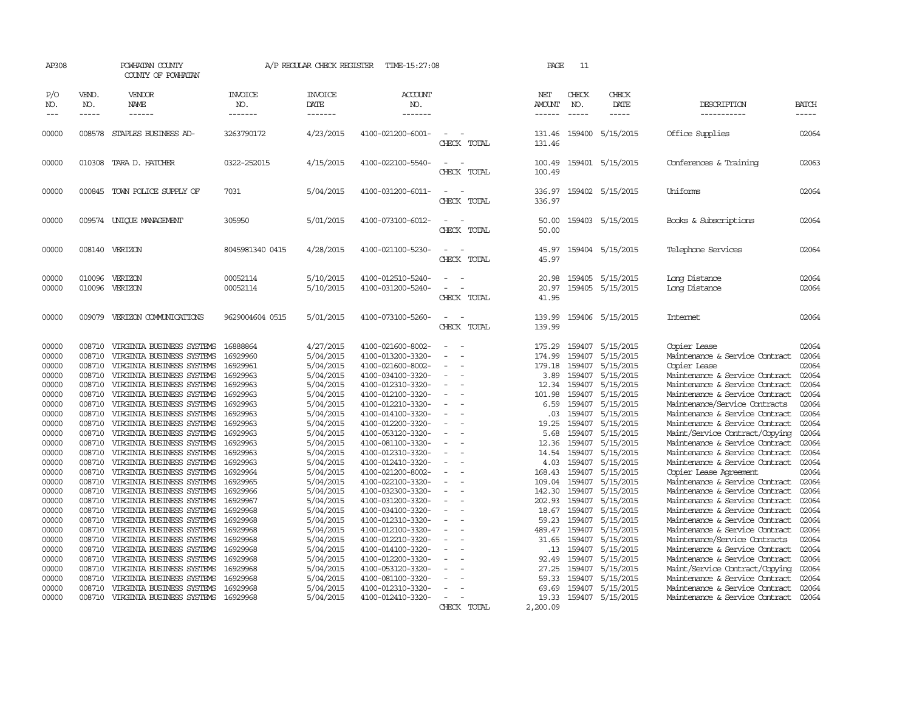| AP308                                                                                                                                                                                                                                                                                                                                                                                                                          | POWHATAN COUNTY<br>COUNTY OF POWHATAN                                                                                                                                                                                                                                                                                                                                                                                                                                                                                                                                                                                                                      |                                                                                                                                                                                                                                                                      | A/P REGULAR CHECK REGISTER                                                                                                                                                                                                                                                                 | TIME-15:27:08                                                                                                                                                                                                                                                                                                                                                                                                                                                              |                                                  | PAGE                                                                                                                                                                                               | 11                                                                                                                                                                                                             |                                                                                                                                                                                                                                                                                                   |                                                                                                                                                                                                                                                                                                                                                                                                                                                                                                                                                                                                                                                                                                                                              |                                                                                                                                                                                                    |
|--------------------------------------------------------------------------------------------------------------------------------------------------------------------------------------------------------------------------------------------------------------------------------------------------------------------------------------------------------------------------------------------------------------------------------|------------------------------------------------------------------------------------------------------------------------------------------------------------------------------------------------------------------------------------------------------------------------------------------------------------------------------------------------------------------------------------------------------------------------------------------------------------------------------------------------------------------------------------------------------------------------------------------------------------------------------------------------------------|----------------------------------------------------------------------------------------------------------------------------------------------------------------------------------------------------------------------------------------------------------------------|--------------------------------------------------------------------------------------------------------------------------------------------------------------------------------------------------------------------------------------------------------------------------------------------|----------------------------------------------------------------------------------------------------------------------------------------------------------------------------------------------------------------------------------------------------------------------------------------------------------------------------------------------------------------------------------------------------------------------------------------------------------------------------|--------------------------------------------------|----------------------------------------------------------------------------------------------------------------------------------------------------------------------------------------------------|----------------------------------------------------------------------------------------------------------------------------------------------------------------------------------------------------------------|---------------------------------------------------------------------------------------------------------------------------------------------------------------------------------------------------------------------------------------------------------------------------------------------------|----------------------------------------------------------------------------------------------------------------------------------------------------------------------------------------------------------------------------------------------------------------------------------------------------------------------------------------------------------------------------------------------------------------------------------------------------------------------------------------------------------------------------------------------------------------------------------------------------------------------------------------------------------------------------------------------------------------------------------------------|----------------------------------------------------------------------------------------------------------------------------------------------------------------------------------------------------|
| P/O<br>VEND.<br>NO.<br>NO.<br>$- - - - -$<br>$\frac{1}{2}$                                                                                                                                                                                                                                                                                                                                                                     | VENDOR<br>NAME<br>$- - - - - -$                                                                                                                                                                                                                                                                                                                                                                                                                                                                                                                                                                                                                            | <b>INVOICE</b><br>NO.<br>-------                                                                                                                                                                                                                                     | <b>INVOICE</b><br>DATE<br>-------                                                                                                                                                                                                                                                          | <b>ACCOUNT</b><br>NO.<br>-------                                                                                                                                                                                                                                                                                                                                                                                                                                           |                                                  | NET<br>AMOUNT<br>------                                                                                                                                                                            | CHECK<br>NO.<br>$\frac{1}{2}$                                                                                                                                                                                  | CHECK<br>DATE<br>$- - - - -$                                                                                                                                                                                                                                                                      | DESCRIPTION<br>-----------                                                                                                                                                                                                                                                                                                                                                                                                                                                                                                                                                                                                                                                                                                                   | <b>BATCH</b><br>-----                                                                                                                                                                              |
| 00000<br>008578                                                                                                                                                                                                                                                                                                                                                                                                                | STAPLES BUSINESS AD-                                                                                                                                                                                                                                                                                                                                                                                                                                                                                                                                                                                                                                       | 3263790172                                                                                                                                                                                                                                                           | 4/23/2015                                                                                                                                                                                                                                                                                  | 4100-021200-6001-                                                                                                                                                                                                                                                                                                                                                                                                                                                          | $\sim$<br>CHECK TOTAL                            | 131.46<br>131.46                                                                                                                                                                                   | 159400                                                                                                                                                                                                         | 5/15/2015                                                                                                                                                                                                                                                                                         | Office Supplies                                                                                                                                                                                                                                                                                                                                                                                                                                                                                                                                                                                                                                                                                                                              | 02064                                                                                                                                                                                              |
| 00000<br>010308                                                                                                                                                                                                                                                                                                                                                                                                                | TARA D. HATCHER                                                                                                                                                                                                                                                                                                                                                                                                                                                                                                                                                                                                                                            | 0322-252015                                                                                                                                                                                                                                                          | 4/15/2015                                                                                                                                                                                                                                                                                  | 4100-022100-5540-                                                                                                                                                                                                                                                                                                                                                                                                                                                          | CHECK TOTAL                                      | 100.49<br>100.49                                                                                                                                                                                   |                                                                                                                                                                                                                | 159401 5/15/2015                                                                                                                                                                                                                                                                                  | Conferences & Training                                                                                                                                                                                                                                                                                                                                                                                                                                                                                                                                                                                                                                                                                                                       | 02063                                                                                                                                                                                              |
| 00000                                                                                                                                                                                                                                                                                                                                                                                                                          | 000845 TOWN POLICE SUPPLY OF                                                                                                                                                                                                                                                                                                                                                                                                                                                                                                                                                                                                                               | 7031                                                                                                                                                                                                                                                                 | 5/04/2015                                                                                                                                                                                                                                                                                  | 4100-031200-6011-                                                                                                                                                                                                                                                                                                                                                                                                                                                          | $\sim$<br>CHECK TOTAL                            | 336.97<br>336.97                                                                                                                                                                                   |                                                                                                                                                                                                                | 159402 5/15/2015                                                                                                                                                                                                                                                                                  | Uniforms                                                                                                                                                                                                                                                                                                                                                                                                                                                                                                                                                                                                                                                                                                                                     | 02064                                                                                                                                                                                              |
| 00000                                                                                                                                                                                                                                                                                                                                                                                                                          | 009574 UNIOUE MANAGEMENT                                                                                                                                                                                                                                                                                                                                                                                                                                                                                                                                                                                                                                   | 305950                                                                                                                                                                                                                                                               | 5/01/2015                                                                                                                                                                                                                                                                                  | 4100-073100-6012-                                                                                                                                                                                                                                                                                                                                                                                                                                                          | CHECK TOTAL                                      | 50.00<br>50.00                                                                                                                                                                                     |                                                                                                                                                                                                                | 159403 5/15/2015                                                                                                                                                                                                                                                                                  | Books & Subscriptions                                                                                                                                                                                                                                                                                                                                                                                                                                                                                                                                                                                                                                                                                                                        | 02064                                                                                                                                                                                              |
| 00000                                                                                                                                                                                                                                                                                                                                                                                                                          | 008140 VERIZON                                                                                                                                                                                                                                                                                                                                                                                                                                                                                                                                                                                                                                             | 8045981340 0415                                                                                                                                                                                                                                                      | 4/28/2015                                                                                                                                                                                                                                                                                  | 4100-021100-5230-                                                                                                                                                                                                                                                                                                                                                                                                                                                          | CHECK TOTAL                                      | 45.97<br>45.97                                                                                                                                                                                     |                                                                                                                                                                                                                | 159404 5/15/2015                                                                                                                                                                                                                                                                                  | Telephone Services                                                                                                                                                                                                                                                                                                                                                                                                                                                                                                                                                                                                                                                                                                                           | 02064                                                                                                                                                                                              |
| 00000<br>010096<br>00000<br>010096                                                                                                                                                                                                                                                                                                                                                                                             | VERIZON<br>VERIZON                                                                                                                                                                                                                                                                                                                                                                                                                                                                                                                                                                                                                                         | 00052114<br>00052114                                                                                                                                                                                                                                                 | 5/10/2015<br>5/10/2015                                                                                                                                                                                                                                                                     | 4100-012510-5240-<br>4100-031200-5240-                                                                                                                                                                                                                                                                                                                                                                                                                                     | CHECK TOTAL                                      | 20.98<br>20.97<br>41.95                                                                                                                                                                            | 159405<br>159405                                                                                                                                                                                               | 5/15/2015<br>5/15/2015                                                                                                                                                                                                                                                                            | Long Distance<br>Long Distance                                                                                                                                                                                                                                                                                                                                                                                                                                                                                                                                                                                                                                                                                                               | 02064<br>02064                                                                                                                                                                                     |
| 00000                                                                                                                                                                                                                                                                                                                                                                                                                          | 009079 VERIZON COMUNICATIONS                                                                                                                                                                                                                                                                                                                                                                                                                                                                                                                                                                                                                               | 9629004604 0515                                                                                                                                                                                                                                                      | 5/01/2015                                                                                                                                                                                                                                                                                  | 4100-073100-5260-                                                                                                                                                                                                                                                                                                                                                                                                                                                          | CHECK TOTAL                                      | 139.99<br>139.99                                                                                                                                                                                   |                                                                                                                                                                                                                | 159406 5/15/2015                                                                                                                                                                                                                                                                                  | Internet                                                                                                                                                                                                                                                                                                                                                                                                                                                                                                                                                                                                                                                                                                                                     | 02064                                                                                                                                                                                              |
| 00000<br>008710<br>00000<br>008710<br>008710<br>00000<br>00000<br>008710<br>00000<br>008710<br>00000<br>008710<br>00000<br>008710<br>00000<br>008710<br>00000<br>008710<br>00000<br>008710<br>00000<br>008710<br>008710<br>00000<br>00000<br>008710<br>00000<br>008710<br>00000<br>008710<br>00000<br>008710<br>00000<br>008710<br>00000<br>008710<br>00000<br>008710<br>008710<br>00000<br>008710<br>00000<br>008710<br>00000 | VIRGINIA BUSINESS SYSTEMS<br>VIRGINIA BUSINESS SYSTEMS<br>VIRGINIA BUSINESS SYSTEMS<br>VIRGINIA BUSINESS SYSTEMS<br>VIRGINIA BUSINESS SYSTEMS<br>VIRGINIA BUSINESS SYSTEMS<br>VIRGINIA BUSINESS SYSTEMS<br>VIRGINIA BUSINESS SYSTEMS<br>VIRGINIA BUSINESS SYSTEMS<br>VIRGINIA BUSINESS SYSTEMS<br>VIRGINIA BUSINESS SYSTEMS<br>VIRGINIA BUSINESS SYSTEMS<br>VIRGINIA BUSINESS SYSTEMS<br>VIRGINIA BUSINESS SYSTEMS<br>VIRGINIA BUSINESS SYSTEMS<br>VIRGINIA BUSINESS SYSTEMS<br>VIRGINIA BUSINESS SYSTEMS<br>VIRGINIA BUSINESS SYSTEMS<br>VIRGINIA BUSINESS SYSTEMS<br>VIRGINIA BUSINESS SYSTEMS<br>VIRGINIA BUSINESS SYSTEMS<br>VIRGINIA BUSINESS SYSTEMS | 16929960<br>16929961<br>16929963<br>16929963<br>16929963<br>16929963<br>16929963<br>16929963<br>16929963<br>16929963<br>16929963<br>16929963<br>16929964<br>16929965<br>16929966<br>16929967<br>16929968<br>16929968<br>16929968<br>16929968<br>16929968<br>16929968 | 5/04/2015<br>5/04/2015<br>5/04/2015<br>5/04/2015<br>5/04/2015<br>5/04/2015<br>5/04/2015<br>5/04/2015<br>5/04/2015<br>5/04/2015<br>5/04/2015<br>5/04/2015<br>5/04/2015<br>5/04/2015<br>5/04/2015<br>5/04/2015<br>5/04/2015<br>5/04/2015<br>5/04/2015<br>5/04/2015<br>5/04/2015<br>5/04/2015 | 4100-013200-3320-<br>4100-021600-8002-<br>4100-034100-3320-<br>4100-012310-3320-<br>4100-012100-3320-<br>4100-012210-3320-<br>4100-014100-3320-<br>4100-012200-3320-<br>4100-053120-3320-<br>4100-081100-3320-<br>4100-012310-3320-<br>4100-012410-3320-<br>4100-021200-8002-<br>4100-022100-3320-<br>4100-032300-3320-<br>4100-031200-3320-<br>4100-034100-3320-<br>4100-012310-3320-<br>4100-012100-3320-<br>4100-012210-3320-<br>4100-014100-3320-<br>4100-012200-3320- | $\equiv$<br>$\equiv$<br>$\overline{\phantom{a}}$ | 174.99<br>179.18<br>3.89<br>12.34<br>101.98<br>6.59<br>.03<br>19.25<br>5.68<br>12.36<br>14.54<br>4.03<br>168.43<br>109.04<br>142.30<br>202.93<br>18.67<br>59.23<br>489.47<br>31.65<br>.13<br>92.49 | 159407<br>159407<br>159407<br>159407<br>159407<br>159407<br>159407<br>159407<br>159407<br>159407<br>159407<br>159407<br>159407<br>159407<br>159407<br>159407<br>159407<br>159407<br>159407<br>159407<br>159407 | 5/15/2015<br>5/15/2015<br>5/15/2015<br>5/15/2015<br>5/15/2015<br>5/15/2015<br>5/15/2015<br>5/15/2015<br>5/15/2015<br>5/15/2015<br>5/15/2015<br>5/15/2015<br>5/15/2015<br>5/15/2015<br>5/15/2015<br>5/15/2015<br>5/15/2015<br>5/15/2015<br>5/15/2015<br>5/15/2015<br>5/15/2015<br>159407 5/15/2015 | Maintenance & Service Contract<br>Copier Lease<br>Maintenance & Service Contract<br>Maintenance & Service Contract<br>Maintenance & Service Contract<br>Maintenance/Service Contracts<br>Maintenance & Service Contract<br>Maintenance & Service Contract<br>Maint/Service Contract/Copying<br>Maintenance & Service Contract<br>Maintenance & Service Contract<br>Maintenance & Service Contract<br>Copier Lease Agreement<br>Maintenance & Service Contract<br>Maintenance & Service Contract<br>Maintenance & Service Contract<br>Maintenance & Service Contract<br>Maintenance & Service Contract<br>Maintenance & Service Contract<br>Maintenance/Service Contracts<br>Maintenance & Service Contract<br>Maintenance & Service Contract | 02064<br>02064<br>02064<br>02064<br>02064<br>02064<br>02064<br>02064<br>02064<br>02064<br>02064<br>02064<br>02064<br>02064<br>02064<br>02064<br>02064<br>02064<br>02064<br>02064<br>02064<br>02064 |
| 008710<br>00000<br>00000<br>008710<br>00000<br>008710<br>00000<br>008710                                                                                                                                                                                                                                                                                                                                                       | VIRGINIA BUSINESS SYSTEMS<br>VIRGINIA BUSINESS SYSTEMS<br>VIRGINIA BUSINESS SYSTEMS<br>VIRGINIA BUSINESS SYSTEMS 16929968                                                                                                                                                                                                                                                                                                                                                                                                                                                                                                                                  | 16929968<br>16929968<br>16929968                                                                                                                                                                                                                                     | 5/04/2015<br>5/04/2015<br>5/04/2015<br>5/04/2015                                                                                                                                                                                                                                           | 4100-053120-3320-<br>4100-081100-3320-<br>4100-012310-3320-<br>4100-012410-3320-                                                                                                                                                                                                                                                                                                                                                                                           | CHECK TOTAL                                      | 27.25<br>59.33<br>69.69<br>19.33<br>2,200.09                                                                                                                                                       | 159407<br>159407                                                                                                                                                                                               | 159407 5/15/2015<br>5/15/2015<br>5/15/2015<br>159407 5/15/2015                                                                                                                                                                                                                                    | Maint/Service Contract/Copying<br>Maintenance & Service Contract<br>Maintenance & Service Contract<br>Maintenance & Service Contract                                                                                                                                                                                                                                                                                                                                                                                                                                                                                                                                                                                                         | 02064<br>02064<br>02064<br>02064                                                                                                                                                                   |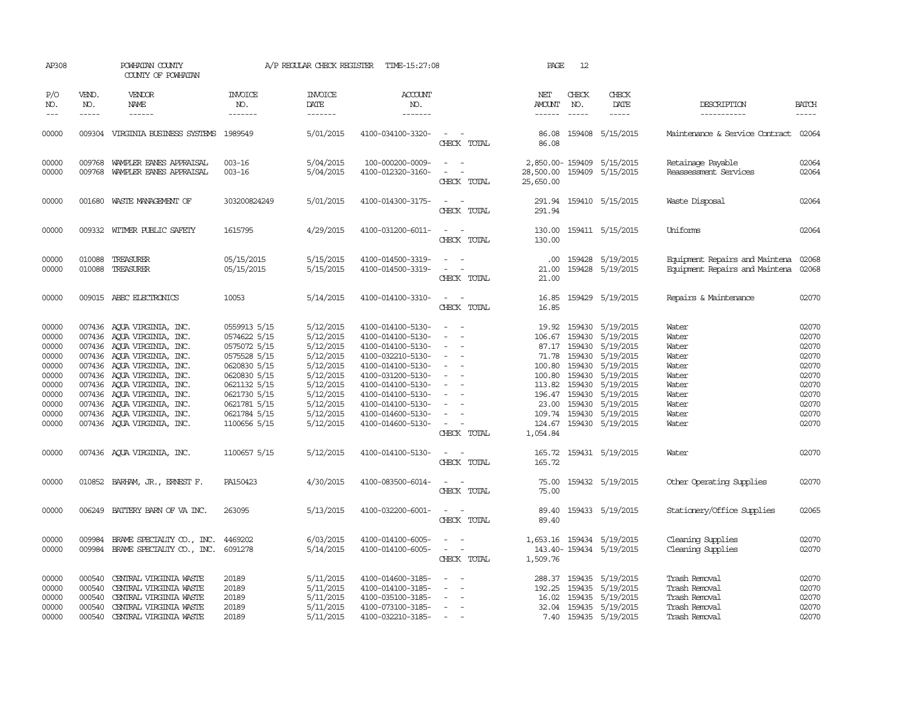| AP308                                                                |                                                | POWHATAN COUNTY<br>COUNTY OF POWHATAN                                                                                                                                                                                                        |                                                                                                                              | A/P REGULAR CHECK REGISTER                                                                           | TIME-15:27:08                                                                                                                                                        |                                                                                                                                                  | PAGE                          | 12                          |                                                                                                                                                                                                                   |                                                                                   |                                                                      |
|----------------------------------------------------------------------|------------------------------------------------|----------------------------------------------------------------------------------------------------------------------------------------------------------------------------------------------------------------------------------------------|------------------------------------------------------------------------------------------------------------------------------|------------------------------------------------------------------------------------------------------|----------------------------------------------------------------------------------------------------------------------------------------------------------------------|--------------------------------------------------------------------------------------------------------------------------------------------------|-------------------------------|-----------------------------|-------------------------------------------------------------------------------------------------------------------------------------------------------------------------------------------------------------------|-----------------------------------------------------------------------------------|----------------------------------------------------------------------|
| P/O<br>NO.<br>$\qquad \qquad - -$                                    | VEND.<br>NO.<br>$- - - - -$                    | VENDOR<br><b>NAME</b><br>------                                                                                                                                                                                                              | <b>INVOICE</b><br>NO.<br>-------                                                                                             | INVOICE<br>DATE<br>-------                                                                           | <b>ACCOUNT</b><br>NO.<br>-------                                                                                                                                     |                                                                                                                                                  | NET<br>AMOUNT<br>------       | CHECK<br>NO.<br>$- - - - -$ | CHECK<br>DATE<br>-----                                                                                                                                                                                            | DESCRIPTION<br>-----------                                                        | <b>BATCH</b><br>-----                                                |
|                                                                      |                                                |                                                                                                                                                                                                                                              |                                                                                                                              |                                                                                                      |                                                                                                                                                                      |                                                                                                                                                  |                               |                             |                                                                                                                                                                                                                   |                                                                                   |                                                                      |
| 00000                                                                |                                                | 009304 VIRGINIA BUSINESS SYSTEMS 1989549                                                                                                                                                                                                     |                                                                                                                              | 5/01/2015                                                                                            | 4100-034100-3320-                                                                                                                                                    | $\sim$ $ \sim$<br>CHECK TOTAL                                                                                                                    | 86.08                         |                             | 86.08 159408 5/15/2015                                                                                                                                                                                            | Maintenance & Service Contract 02064                                              |                                                                      |
| 00000<br>00000                                                       | 009768                                         | WAMPLER EANES APPRAISAL<br>009768 WAMPLER EANES APPRAISAL                                                                                                                                                                                    | $003 - 16$<br>$003 - 16$                                                                                                     | 5/04/2015<br>5/04/2015                                                                               | 100-000200-0009-<br>4100-012320-3160-                                                                                                                                | $\omega_{\rm{max}}$ and $\omega_{\rm{max}}$<br>$\sim$<br>$\sim$<br>CHECK TOTAL                                                                   | 25,650.00                     |                             | 2,850.00-159409 5/15/2015<br>28,500.00 159409 5/15/2015                                                                                                                                                           | Retainage Payable<br>Reassessment Services                                        | 02064<br>02064                                                       |
| 00000                                                                |                                                | 001680 WASTE MANAGEMENT OF                                                                                                                                                                                                                   | 303200824249                                                                                                                 | 5/01/2015                                                                                            | 4100-014300-3175-                                                                                                                                                    | $\sim$ $  -$<br>CHECK TOTAL                                                                                                                      | 291.94                        |                             | 291.94 159410 5/15/2015                                                                                                                                                                                           | Waste Disposal                                                                    | 02064                                                                |
| 00000                                                                |                                                | 009332 WITMER PUBLIC SAFETY                                                                                                                                                                                                                  | 1615795                                                                                                                      | 4/29/2015                                                                                            | 4100-031200-6011-                                                                                                                                                    | $\sim$ $ \sim$<br>CHECK TOTAL                                                                                                                    | 130.00                        |                             | 130.00 159411 5/15/2015                                                                                                                                                                                           | Uniforms                                                                          | 02064                                                                |
| 00000<br>00000                                                       | 010088<br>010088                               | TREASURER<br>TREASURER                                                                                                                                                                                                                       | 05/15/2015<br>05/15/2015                                                                                                     | 5/15/2015<br>5/15/2015                                                                               | 4100-014500-3319-<br>4100-014500-3319-                                                                                                                               | $\sim$<br>$\sim$<br>$\sim$<br>CHECK TOTAL                                                                                                        | $.00 \cdot$<br>21.00<br>21.00 |                             | 159428 5/19/2015<br>159428 5/19/2015                                                                                                                                                                              | Equipment Repairs and Maintena<br>Equipment Repairs and Maintena                  | 02068<br>02068                                                       |
| 00000                                                                |                                                | 009015 ABEC ELECTRONICS                                                                                                                                                                                                                      | 10053                                                                                                                        | 5/14/2015                                                                                            | 4100-014100-3310-                                                                                                                                                    | $\sim$ $ \sim$<br>CHECK TOTAL                                                                                                                    | 16.85                         |                             | 16.85 159429 5/19/2015                                                                                                                                                                                            | Repairs & Maintenance                                                             | 02070                                                                |
| 00000<br>00000<br>00000<br>00000<br>00000<br>00000<br>00000<br>00000 |                                                | 007436 AQUA VIRGINIA, INC.<br>007436 AQUA VIRGINIA, INC.<br>007436 AQUA VIRGINIA, INC.<br>007436 AQUA VIRGINIA, INC.<br>007436 AQUA VIRGINIA, INC.<br>007436 AQUA VIRGINIA, INC.<br>007436 AQUA VIRGINIA, INC.<br>007436 AOUA VIRGINIA, INC. | 0559913 5/15<br>0574622 5/15<br>0575072 5/15<br>0575528 5/15<br>0620830 5/15<br>0620830 5/15<br>0621132 5/15<br>0621730 5/15 | 5/12/2015<br>5/12/2015<br>5/12/2015<br>5/12/2015<br>5/12/2015<br>5/12/2015<br>5/12/2015<br>5/12/2015 | 4100-014100-5130-<br>4100-014100-5130-<br>4100-014100-5130-<br>4100-032210-5130-<br>4100-014100-5130-<br>4100-031200-5130-<br>4100-014100-5130-<br>4100-014100-5130- | $\sim$ $-$<br>$\sim$<br>$\sim$<br>$\sim$<br>$\sim$<br>$\sim$<br>$\sim$<br>$\sim$                                                                 |                               |                             | 19.92 159430 5/19/2015<br>106.67 159430 5/19/2015<br>87.17 159430 5/19/2015<br>71.78 159430 5/19/2015<br>100.80 159430 5/19/2015<br>100.80 159430 5/19/2015<br>113.82 159430 5/19/2015<br>196.47 159430 5/19/2015 | Water<br>Water<br>Water<br>Water<br>Water<br>Water<br>Water<br>Water              | 02070<br>02070<br>02070<br>02070<br>02070<br>02070<br>02070<br>02070 |
| 00000<br>00000<br>00000                                              |                                                | 007436 AQUA VIRGINIA, INC.<br>007436 AOUA VIRGINIA, INC.<br>007436 AQUA VIRGINIA, INC.                                                                                                                                                       | 0621781 5/15<br>0621784 5/15<br>1100656 5/15                                                                                 | 5/12/2015<br>5/12/2015<br>5/12/2015                                                                  | 4100-014100-5130-<br>4100-014600-5130-<br>4100-014600-5130-                                                                                                          | $\sim$<br>$\sim$<br>$\alpha = 1$ , $\alpha = 1$<br>CHECK TOTAL                                                                                   | 1,054.84                      |                             | 23.00 159430 5/19/2015<br>109.74 159430 5/19/2015<br>124.67 159430 5/19/2015                                                                                                                                      | Water<br>Water<br>Water                                                           | 02070<br>02070<br>02070                                              |
| 00000                                                                |                                                | 007436 AQUA VIRGINIA, INC.                                                                                                                                                                                                                   | 1100657 5/15                                                                                                                 | 5/12/2015                                                                                            | 4100-014100-5130-                                                                                                                                                    | $\sim$ $-$<br>CHECK TOTAL                                                                                                                        | 165.72                        |                             | 165.72 159431 5/19/2015                                                                                                                                                                                           | Water                                                                             | 02070                                                                |
| 00000                                                                |                                                | 010852 BARHAM, JR., ERNEST F.                                                                                                                                                                                                                | PA150423                                                                                                                     | 4/30/2015                                                                                            | 4100-083500-6014-                                                                                                                                                    | CHECK TOTAL                                                                                                                                      | 75.00                         |                             | 75.00 159432 5/19/2015                                                                                                                                                                                            | Other Operating Supplies                                                          | 02070                                                                |
| 00000                                                                | 006249                                         | BATTERY BARN OF VA INC.                                                                                                                                                                                                                      | 263095                                                                                                                       | 5/13/2015                                                                                            | 4100-032200-6001-                                                                                                                                                    | $\frac{1}{2} \left( \frac{1}{2} \right) \left( \frac{1}{2} \right) = \frac{1}{2} \left( \frac{1}{2} \right)$<br>CHECK TOTAL                      | 89.40                         |                             | 89.40 159433 5/19/2015                                                                                                                                                                                            | Stationery/Office Supplies                                                        | 02065                                                                |
| 00000<br>00000                                                       | 009984                                         | BRAME SPECIALITY CO., INC.<br>009984 BRAME SPECIALITY CO., INC.                                                                                                                                                                              | 4469202<br>6091278                                                                                                           | 6/03/2015<br>5/14/2015                                                                               | 4100-014100-6005-<br>4100-014100-6005-                                                                                                                               | $\frac{1}{2} \left( \frac{1}{2} \right) \left( \frac{1}{2} \right) = \frac{1}{2} \left( \frac{1}{2} \right)$<br>$\sim$ 100 $\sim$<br>CHECK TOTAL | 1,509.76                      |                             | 1,653.16 159434 5/19/2015<br>143.40-159434 5/19/2015                                                                                                                                                              | Cleaning Supplies<br>Cleaning Supplies                                            | 02070<br>02070                                                       |
| 00000<br>00000<br>00000<br>00000<br>00000                            | 000540<br>000540<br>000540<br>000540<br>000540 | CENTRAL VIRGINIA WASTE<br>CENTRAL VIRGINIA WASTE<br>CENTRAL VIRGINIA WASTE<br>CENTRAL VIRGINIA WASTE<br>CENTRAL VIRGINIA WASTE                                                                                                               | 20189<br>20189<br>20189<br>20189<br>20189                                                                                    | 5/11/2015<br>5/11/2015<br>5/11/2015<br>5/11/2015<br>5/11/2015                                        | 4100-014600-3185-<br>4100-014100-3185-<br>4100-035100-3185-<br>4100-073100-3185-<br>4100-032210-3185-                                                                | $\overline{\phantom{a}}$<br>$\equiv$<br>$\overline{\phantom{a}}$<br>$\sim$<br>$\sim$                                                             | 16.02                         |                             | 288.37 159435 5/19/2015<br>192.25 159435 5/19/2015<br>159435 5/19/2015<br>32.04 159435 5/19/2015<br>7.40 159435 5/19/2015                                                                                         | Trash Removal<br>Trash Removal<br>Trash Removal<br>Trash Removal<br>Trash Removal | 02070<br>02070<br>02070<br>02070<br>02070                            |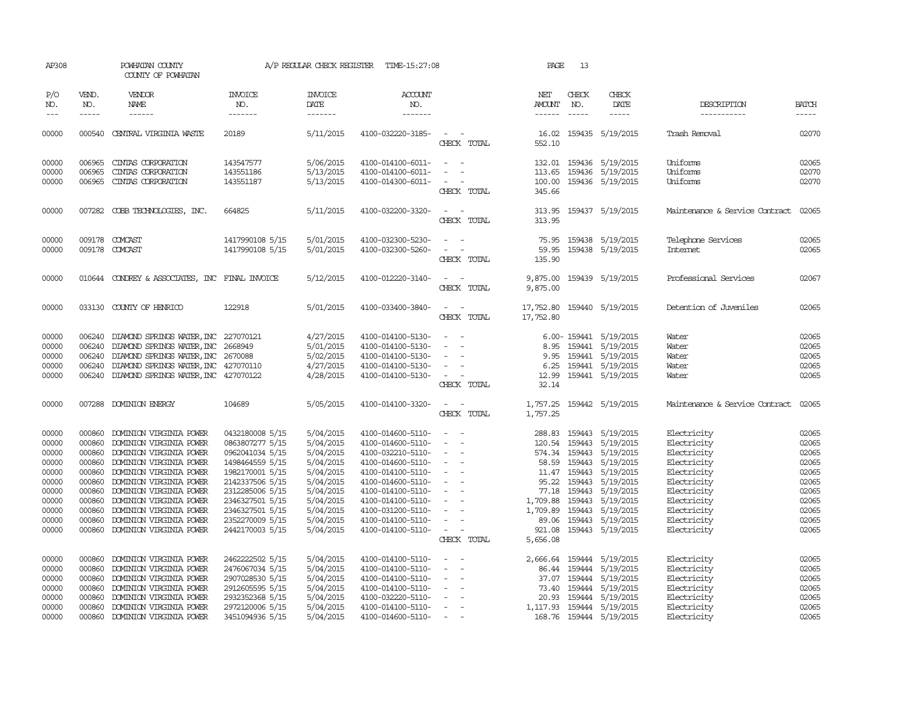| AP308               |                             | POWHATAN COUNTY<br>COUNTY OF POWHATAN                            |                                    | A/P REGULAR CHECK REGISTER               | TIME-15:27:08                          |                                                                | PAGE                                  | 13                            |                                     |                                |                                                                                                                                                                                                                                                                                                                                                                                                                                                                                                     |
|---------------------|-----------------------------|------------------------------------------------------------------|------------------------------------|------------------------------------------|----------------------------------------|----------------------------------------------------------------|---------------------------------------|-------------------------------|-------------------------------------|--------------------------------|-----------------------------------------------------------------------------------------------------------------------------------------------------------------------------------------------------------------------------------------------------------------------------------------------------------------------------------------------------------------------------------------------------------------------------------------------------------------------------------------------------|
| P/O<br>NO.<br>$---$ | VEND.<br>NO.<br>$- - - - -$ | VENDOR<br><b>NAME</b><br>------                                  | <b>INVOICE</b><br>NO.<br>-------   | <b>INVOICE</b><br><b>DATE</b><br>------- | <b>ACCOUNT</b><br>NO.<br>-------       |                                                                | NET<br><b>AMOUNT</b><br>$- - - - - -$ | CHECK<br>NO.<br>$\frac{1}{2}$ | CHECK<br>DATE<br>$- - - - -$        | DESCRIPTION<br>-----------     | <b>BATCH</b><br>$\begin{tabular}{ccccc} \multicolumn{2}{c}{} & \multicolumn{2}{c}{} & \multicolumn{2}{c}{} & \multicolumn{2}{c}{} & \multicolumn{2}{c}{} & \multicolumn{2}{c}{} & \multicolumn{2}{c}{} & \multicolumn{2}{c}{} & \multicolumn{2}{c}{} & \multicolumn{2}{c}{} & \multicolumn{2}{c}{} & \multicolumn{2}{c}{} & \multicolumn{2}{c}{} & \multicolumn{2}{c}{} & \multicolumn{2}{c}{} & \multicolumn{2}{c}{} & \multicolumn{2}{c}{} & \multicolumn{2}{c}{} & \multicolumn{2}{c}{} & \mult$ |
| 00000               |                             | 000540 CENTRAL VIRGINIA WASTE                                    | 20189                              | 5/11/2015                                | 4100-032220-3185-                      | $\sim$<br>$\sim$<br>CHECK TOTAL                                | 16.02<br>552.10                       |                               | 159435 5/19/2015                    | Trash Removal                  | 02070                                                                                                                                                                                                                                                                                                                                                                                                                                                                                               |
| 00000               | 006965                      | CINIAS CORPORATION                                               | 143547577                          | 5/06/2015                                | 4100-014100-6011-                      | $\sim$ 100 $\sim$ 100 $\sim$                                   |                                       |                               | 132.01 159436 5/19/2015             | Uniforms                       | 02065                                                                                                                                                                                                                                                                                                                                                                                                                                                                                               |
| 00000               | 006965                      | CINIAS CORPORATION                                               | 143551186                          | 5/13/2015                                | 4100-014100-6011-                      |                                                                | 113.65                                |                               | 159436 5/19/2015                    | Uniforms                       | 02070                                                                                                                                                                                                                                                                                                                                                                                                                                                                                               |
| 00000               | 006965                      | CINIAS CORPORATION                                               | 143551187                          | 5/13/2015                                | 4100-014300-6011-                      | CHECK TOTAL                                                    | 100.00<br>345.66                      |                               | 159436 5/19/2015                    | Uniforms                       | 02070                                                                                                                                                                                                                                                                                                                                                                                                                                                                                               |
| 00000               |                             | 007282 COBB TECHNOLOGIES, INC.                                   | 664825                             | 5/11/2015                                | 4100-032200-3320-                      | $\sim$ $\sim$<br>CHECK TOTAL                                   | 313.95                                |                               | 313.95 159437 5/19/2015             | Maintenance & Service Contract | 02065                                                                                                                                                                                                                                                                                                                                                                                                                                                                                               |
| 00000               |                             | 009178 COMCAST                                                   | 1417990108 5/15                    | 5/01/2015                                | 4100-032300-5230-                      | $\sim$<br>$\sim$                                               |                                       |                               | 75.95 159438 5/19/2015              | Telephone Services             | 02065                                                                                                                                                                                                                                                                                                                                                                                                                                                                                               |
| 00000               |                             | 009178 COMCAST                                                   | 1417990108 5/15                    | 5/01/2015                                | 4100-032300-5260-                      | $\omega_{\rm{max}}$ and $\omega_{\rm{max}}$<br>CHECK TOTAL     | 135.90                                |                               | 59.95 159438 5/19/2015              | <b>Internet</b>                | 02065                                                                                                                                                                                                                                                                                                                                                                                                                                                                                               |
| 00000               |                             | 010644 CONDREY & ASSOCIATES, INC FINAL INVOICE                   |                                    | 5/12/2015                                | 4100-012220-3140-                      | $\sim$ $ -$<br>CHECK TOTAL                                     | 9,875.00                              |                               | 9,875.00 159439 5/19/2015           | Professional Services          | 02067                                                                                                                                                                                                                                                                                                                                                                                                                                                                                               |
| 00000               |                             | 033130 COUNTY OF HENRICO                                         | 122918                             | 5/01/2015                                | 4100-033400-3840-                      | CHECK TOTAL                                                    | 17,752.80<br>17,752.80                |                               | 159440 5/19/2015                    | Detention of Juveniles         | 02065                                                                                                                                                                                                                                                                                                                                                                                                                                                                                               |
| 00000               | 006240                      | DIAMOND SPRINGS WATER, INC                                       | 227070121                          | 4/27/2015                                | 4100-014100-5130-                      | $\sim$                                                         |                                       |                               | 6.00-159441 5/19/2015               | Water                          | 02065                                                                                                                                                                                                                                                                                                                                                                                                                                                                                               |
| 00000               | 006240                      | DIAMOND SPRINGS WATER, INC                                       | 2668949                            | 5/01/2015                                | 4100-014100-5130-                      |                                                                | 8.95                                  | 159441                        | 5/19/2015                           | Water                          | 02065                                                                                                                                                                                                                                                                                                                                                                                                                                                                                               |
| 00000               | 006240                      | DIAMOND SPRINGS WATER, INC 2670088                               |                                    | 5/02/2015                                | 4100-014100-5130-                      | $\overline{\phantom{a}}$                                       | 9.95                                  |                               | 159441 5/19/2015                    | Water                          | 02065                                                                                                                                                                                                                                                                                                                                                                                                                                                                                               |
| 00000               |                             | 006240 DIAMOND SPRINGS WATER, INC 427070110                      |                                    | 4/27/2015                                | 4100-014100-5130-                      | $\sim$                                                         |                                       |                               | 6.25 159441 5/19/2015               | Water                          | 02065                                                                                                                                                                                                                                                                                                                                                                                                                                                                                               |
| 00000               |                             | 006240 DIAMOND SPRINGS WATER, INC 427070122                      |                                    | 4/28/2015                                | 4100-014100-5130-                      | $\sim$<br>$\sim$<br>CHECK TOTAL                                | 12.99<br>32.14                        |                               | 159441 5/19/2015                    | Water                          | 02065                                                                                                                                                                                                                                                                                                                                                                                                                                                                                               |
| 00000               |                             | 007288 DOMINION ENERGY                                           | 104689                             | 5/05/2015                                | 4100-014100-3320-                      | $\sim$<br>$\sim$<br>CHECK TOTAL                                | 1,757.25<br>1,757.25                  |                               | 159442 5/19/2015                    | Maintenance & Service Contract | 02065                                                                                                                                                                                                                                                                                                                                                                                                                                                                                               |
| 00000               |                             | 000860 DOMINION VIRGINIA POWER                                   | 0432180008 5/15                    | 5/04/2015                                | 4100-014600-5110-                      | $\sim$ $ -$                                                    |                                       |                               | 288.83 159443 5/19/2015             | Electricity                    | 02065                                                                                                                                                                                                                                                                                                                                                                                                                                                                                               |
| 00000               |                             | 000860 DOMINION VIRGINIA POWER                                   | 0863807277 5/15                    | 5/04/2015                                | 4100-014600-5110-                      | $\sim$                                                         | 120.54 159443                         |                               | 5/19/2015                           | Electricity                    | 02065                                                                                                                                                                                                                                                                                                                                                                                                                                                                                               |
| 00000               |                             | 000860 DOMINION VIRGINIA POWER                                   | 0962041034 5/15<br>1498464559 5/15 | 5/04/2015<br>5/04/2015                   | 4100-032210-5110-<br>4100-014600-5110- | $\sim$<br>$\overline{\phantom{a}}$<br>$\sim$ $ \sim$<br>$\sim$ |                                       | 574.34 159443                 | 5/19/2015                           | Electricity<br>Electricity     | 02065                                                                                                                                                                                                                                                                                                                                                                                                                                                                                               |
| 00000<br>00000      |                             | 000860 DOMINION VIRGINIA POWER<br>000860 DOMINION VIRGINIA POWER | 1982170001 5/15                    | 5/04/2015                                | 4100-014100-5110-                      | $\sim$                                                         |                                       | 58.59 159443                  | 5/19/2015<br>11.47 159443 5/19/2015 | Electricity                    | 02065<br>02065                                                                                                                                                                                                                                                                                                                                                                                                                                                                                      |
| 00000               | 000860                      | DOMINION VIRGINIA POWER                                          | 2142337506 5/15                    | 5/04/2015                                | 4100-014600-5110-                      | $\sim$                                                         |                                       | 95.22 159443                  | 5/19/2015                           | Electricity                    | 02065                                                                                                                                                                                                                                                                                                                                                                                                                                                                                               |
| 00000               |                             | 000860 DOMINION VIRGINIA POWER                                   | 2312285006 5/15                    | 5/04/2015                                | 4100-014100-5110-                      | $\sim$                                                         | 77.18                                 | 159443                        | 5/19/2015                           | Electricity                    | 02065                                                                                                                                                                                                                                                                                                                                                                                                                                                                                               |
| 00000               |                             | 000860 DOMINION VIRGINIA POWER                                   | 2346327501 5/15                    | 5/04/2015                                | 4100-014100-5110-                      | $\sim$                                                         | 1,709.88                              | 159443                        | 5/19/2015                           | Electricity                    | 02065                                                                                                                                                                                                                                                                                                                                                                                                                                                                                               |
| 00000               |                             | 000860 DOMINION VIRGINIA POWER                                   | 2346327501 5/15                    | 5/04/2015                                | 4100-031200-5110-                      | $\sim$                                                         | 1,709.89                              | 159443                        | 5/19/2015                           | Electricity                    | 02065                                                                                                                                                                                                                                                                                                                                                                                                                                                                                               |
| 00000               | 000860                      | DOMINION VIRGINIA POWER                                          | 2352270009 5/15                    | 5/04/2015                                | 4100-014100-5110-                      | $\sim$                                                         | 89.06                                 |                               | 159443 5/19/2015                    | Electricity                    | 02065                                                                                                                                                                                                                                                                                                                                                                                                                                                                                               |
| 00000               |                             | 000860 DOMINION VIRGINIA POWER                                   | 2442170003 5/15                    | 5/04/2015                                | 4100-014100-5110-                      | $\sim$<br>$\overline{\phantom{a}}$                             | 921.08                                |                               | 159443 5/19/2015                    | Electricity                    | 02065                                                                                                                                                                                                                                                                                                                                                                                                                                                                                               |
|                     |                             |                                                                  |                                    |                                          |                                        | CHECK TOTAL                                                    | 5,656.08                              |                               |                                     |                                |                                                                                                                                                                                                                                                                                                                                                                                                                                                                                                     |
| 00000               | 000860                      | DOMINION VIRGINIA POWER                                          | 2462222502 5/15                    | 5/04/2015                                | 4100-014100-5110-                      | $\sim$                                                         | 2,666.64                              | 159444                        | 5/19/2015                           | Electricity                    | 02065                                                                                                                                                                                                                                                                                                                                                                                                                                                                                               |
| 00000               | 000860                      | DOMINION VIRGINIA POWER                                          | 2476067034 5/15                    | 5/04/2015                                | 4100-014100-5110-                      | $\sim$<br>$\overline{\phantom{a}}$                             |                                       | 86.44 159444                  | 5/19/2015                           | Electricity                    | 02065                                                                                                                                                                                                                                                                                                                                                                                                                                                                                               |
| 00000               |                             | 000860 DOMINION VIRGINIA POWER                                   | 2907028530 5/15                    | 5/04/2015                                | 4100-014100-5110-                      | $\sim$                                                         |                                       | 37.07 159444                  | 5/19/2015                           | Electricity                    | 02065                                                                                                                                                                                                                                                                                                                                                                                                                                                                                               |
| 00000               | 000860                      | DOMINION VIRGINIA POWER                                          | 2912605595 5/15                    | 5/04/2015                                | 4100-014100-5110-                      | $\sim$                                                         |                                       | 73.40 159444                  | 5/19/2015                           | Electricity                    | 02065                                                                                                                                                                                                                                                                                                                                                                                                                                                                                               |
| 00000               | 000860                      | DOMINION VIRGINIA POWER                                          | 2932352368 5/15                    | 5/04/2015                                | 4100-032220-5110-                      | $\sim$                                                         | 20.93                                 | 159444                        | 5/19/2015                           | Electricity                    | 02065                                                                                                                                                                                                                                                                                                                                                                                                                                                                                               |
| 00000               | 000860                      | DOMINION VIRGINIA POWER                                          | 2972120006 5/15                    | 5/04/2015                                | 4100-014100-5110-                      | $\sim$ $-$<br>$\overline{\phantom{a}}$                         | 1,117.93                              | 159444                        | 5/19/2015                           | Electricity                    | 02065                                                                                                                                                                                                                                                                                                                                                                                                                                                                                               |
| 00000               | 000860                      | DOMINION VIRGINIA POWER                                          | 3451094936 5/15                    | 5/04/2015                                | 4100-014600-5110-                      | $\sim$ $-$                                                     |                                       |                               | 168.76 159444 5/19/2015             | Electricity                    | 02065                                                                                                                                                                                                                                                                                                                                                                                                                                                                                               |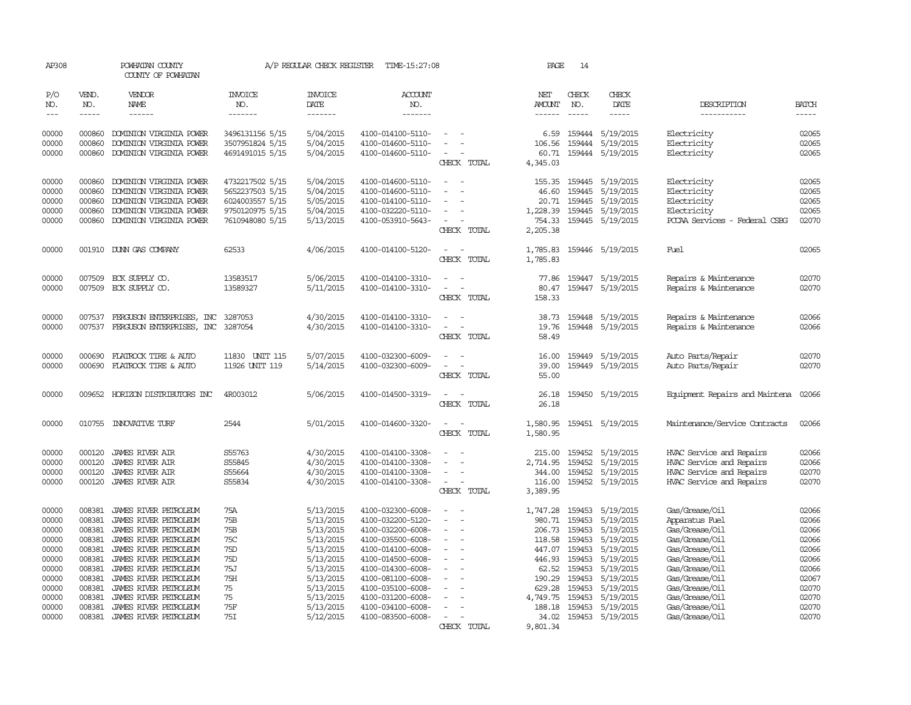| AP308          |                             | POWHATAN COUNTY<br>COUNTY OF POWHATAN          |                           | A/P REGULAR CHECK REGISTER | TIME-15:27:08                          |                                            | PAGE                 | 14                          |                        |                                  |                             |
|----------------|-----------------------------|------------------------------------------------|---------------------------|----------------------------|----------------------------------------|--------------------------------------------|----------------------|-----------------------------|------------------------|----------------------------------|-----------------------------|
| P/O<br>NO.     | VEND.<br>NO.<br>$- - - - -$ | <b>VENDOR</b><br>NAME<br>------                | INVOICE<br>NO.<br>------- | <b>INVOICE</b><br>DATE     | <b>ACCOUNT</b><br>NO.<br>-------       |                                            | NET<br><b>AMOUNT</b> | CHECK<br>NO.<br>$- - - - -$ | CHECK<br>DATE          | DESCRIPTION                      | <b>BATCH</b><br>$- - - - -$ |
| $---$          |                             |                                                |                           | $-----$                    |                                        |                                            |                      |                             | -----                  | -----------                      |                             |
| 00000          | 000860                      | DOMINION VIRGINIA POWER                        | 3496131156 5/15           | 5/04/2015                  | 4100-014100-5110-                      |                                            | 6.59                 | 159444                      | 5/19/2015              | Electricity                      | 02065                       |
| 00000          | 000860                      | DOMINION VIRGINIA POWER                        | 3507951824 5/15           | 5/04/2015                  | 4100-014600-5110-                      | $\equiv$                                   | 106.56               | 159444                      | 5/19/2015              | Electricity                      | 02065                       |
| 00000          | 000860                      | DOMINION VIRGINIA POWER                        | 4691491015 5/15           | 5/04/2015                  | 4100-014600-5110-                      | $\overline{a}$                             | 60.71                | 159444                      | 5/19/2015              | Electricity                      | 02065                       |
|                |                             |                                                |                           |                            |                                        | CHECK TOTAL                                | 4,345.03             |                             |                        |                                  |                             |
| 00000          | 000860                      | DOMINION VIRGINIA POWER                        | 4732217502 5/15           | 5/04/2015                  | 4100-014600-5110-                      | $\overline{\phantom{a}}$<br>$\sim$         | 155.35               | 159445                      | 5/19/2015              | Electricity                      | 02065                       |
| 00000          | 000860                      | DOMINION VIRGINIA POWER                        | 5652237503 5/15           | 5/04/2015                  | 4100-014600-5110-                      |                                            | 46.60                | 159445                      | 5/19/2015              | Electricity                      | 02065                       |
| 00000          | 000860                      | DOMINION VIRGINIA POWER                        | 6024003557 5/15           | 5/05/2015                  | 4100-014100-5110-                      |                                            | 20.71                | 159445                      | 5/19/2015              | Electricity                      | 02065                       |
| 00000          | 000860                      | DOMINION VIRGINIA POWER                        | 9750120975 5/15           | 5/04/2015                  | 4100-032220-5110-                      | $\overline{\phantom{a}}$                   | 1,228.39             | 159445                      | 5/19/2015              | Electricity                      | 02065                       |
| 00000          | 000860                      | DOMINION VIRGINIA POWER                        | 7610948080 5/15           | 5/13/2015                  | 4100-053910-5643-                      | $\overline{\phantom{a}}$                   | 754.33               | 159445                      | 5/19/2015              | PCCAA Services - Federal CSBG    | 02070                       |
|                |                             |                                                |                           |                            |                                        | CHECK TOTAL                                | 2,205.38             |                             |                        |                                  |                             |
| 00000          |                             | 001910 DUNN GAS COMPANY                        | 62533                     | 4/06/2015                  | 4100-014100-5120-                      |                                            | 1,785.83             | 159446                      | 5/19/2015              | Fuel                             | 02065                       |
|                |                             |                                                |                           |                            |                                        | CHECK TOTAL                                | 1,785.83             |                             |                        |                                  |                             |
| 00000          | 007509                      | ECK SUPPLY CO.                                 | 13583517                  | 5/06/2015                  | 4100-014100-3310-                      |                                            | 77.86                |                             | 159447 5/19/2015       | Repairs & Maintenance            | 02070                       |
| 00000          | 007509                      | ECK SUPPLY CO.                                 | 13589327                  | 5/11/2015                  | 4100-014100-3310-                      | $\overline{a}$<br>$\overline{\phantom{a}}$ | 80.47                |                             | 159447 5/19/2015       | Repairs & Maintenance            | 02070                       |
|                |                             |                                                |                           |                            |                                        | CHECK TOTAL                                | 158.33               |                             |                        |                                  |                             |
| 00000          |                             | 007537 FERGUSON ENTERPRISES, INC               | 3287053                   | 4/30/2015                  | 4100-014100-3310-                      | $\sim$<br>$\sim$                           |                      | 38.73 159448                | 5/19/2015              | Repairs & Maintenance            | 02066                       |
| 00000          | 007537                      | FERGUSON ENTERPRISES, INC                      | 3287054                   | 4/30/2015                  | 4100-014100-3310-                      | $\sim$                                     | 19.76                | 159448                      | 5/19/2015              | Repairs & Maintenance            | 02066                       |
|                |                             |                                                |                           |                            |                                        | CHECK TOTAL                                | 58.49                |                             |                        |                                  |                             |
| 00000          | 000690                      | FLATROCK TIRE & AUTO                           | 11830 UNIT 115            | 5/07/2015                  | 4100-032300-6009-                      | $\sim$                                     | 16.00                | 159449                      | 5/19/2015              | Auto Parts/Repair                | 02070                       |
| 00000          | 000690                      | FLATROCK TIRE & AUTO                           | 11926 UNIT 119            | 5/14/2015                  | 4100-032300-6009-                      | $\sim$<br>$\sim$                           | 39.00                | 159449                      | 5/19/2015              | Auto Parts/Repair                | 02070                       |
|                |                             |                                                |                           |                            |                                        | CHECK TOTAL                                | 55.00                |                             |                        |                                  |                             |
| 00000          |                             | 009652 HORIZON DISTRIBUTORS INC                | 4R003012                  | 5/06/2015                  | 4100-014500-3319-                      |                                            | 26.18                | 159450                      | 5/19/2015              | Equipment Repairs and Maintena   | 02066                       |
|                |                             |                                                |                           |                            |                                        | CHECK TOTAL                                | 26.18                |                             |                        |                                  |                             |
|                |                             | 010755 INNOVATIVE TURF                         | 2544                      | 5/01/2015                  | 4100-014600-3320-                      | $\equiv$<br>$\sim$                         |                      |                             | 159451 5/19/2015       | Maintenance/Service Contracts    | 02066                       |
| 00000          |                             |                                                |                           |                            |                                        | CHECK TOTAL                                | 1,580.95<br>1,580.95 |                             |                        |                                  |                             |
|                |                             |                                                |                           |                            |                                        |                                            |                      |                             |                        |                                  |                             |
| 00000          | 000120                      | <b>JAMES RIVER AIR</b>                         | S55763                    | 4/30/2015                  | 4100-014100-3308-                      |                                            | 215.00               | 159452                      | 5/19/2015              | HVAC Service and Repairs         | 02066                       |
| 00000          | 000120                      | JAMES RIVER AIR                                | S55845                    | 4/30/2015                  | 4100-014100-3308-                      | $\sim$                                     | 2,714.95             | 159452                      | 5/19/2015              | HVAC Service and Repairs         | 02066                       |
| 00000          | 000120                      | <b>JAMES RIVER AIR</b>                         | S55664                    | 4/30/2015                  | 4100-014100-3308-                      | $\equiv$                                   | 344.00               | 159452                      | 5/19/2015              | HVAC Service and Repairs         | 02070                       |
| 00000          | 000120                      | <b>JAMES RIVER AIR</b>                         | S55834                    | 4/30/2015                  | 4100-014100-3308-                      | $\sim$<br>$\overline{a}$<br>CHECK TOTAL    | 116.00<br>3,389.95   | 159452                      | 5/19/2015              | HVAC Service and Repairs         | 02070                       |
|                |                             |                                                |                           |                            |                                        |                                            |                      |                             |                        |                                  |                             |
| 00000          | 008381                      | JAMES RIVER PETROLEUM                          | 75A                       | 5/13/2015                  | 4100-032300-6008-                      |                                            | 1,747.28             | 159453                      | 5/19/2015              | Gas/Grease/Oil                   | 02066                       |
| 00000          | 008381                      | JAMES RIVER PEIROLEUM                          | 75B                       | 5/13/2015                  | 4100-032200-5120-                      |                                            | 980.71               | 159453                      | 5/19/2015              | Apparatus Fuel                   | 02066                       |
| 00000          | 008381                      | JAMES RIVER PETROLEUM                          | 75B                       | 5/13/2015                  | 4100-032200-6008-                      | $\equiv$                                   | 206.73               | 159453                      | 5/19/2015              | Gas/Grease/Oil                   | 02066                       |
| 00000          | 008381                      | JAMES RIVER PETROLEUM                          | 75C                       | 5/13/2015                  | 4100-035500-6008-                      |                                            | 118.58               | 159453                      | 5/19/2015              | Gas/Grease/Oil                   | 02066                       |
| 00000<br>00000 | 008381<br>008381            | JAMES RIVER PETROLEUM<br>JAMES RIVER PETROLEUM | 75D<br>75D                | 5/13/2015<br>5/13/2015     | 4100-014100-6008-<br>4100-014500-6008- |                                            | 447.07<br>446.93     | 159453<br>159453            | 5/19/2015<br>5/19/2015 | Gas/Grease/Oil<br>Gas/Grease/Oil | 02066<br>02066              |
| 00000          | 008381                      | JAMES RIVER PETROLEUM                          | <b>75J</b>                | 5/13/2015                  | 4100-014300-6008-                      | $\sim$                                     | 62.52                | 159453                      | 5/19/2015              | Gas/Grease/Oil                   | 02066                       |
| 00000          | 008381                      | JAMES RIVER PETROLEUM                          | 75H                       | 5/13/2015                  | 4100-081100-6008-                      |                                            | 190.29               | 159453                      | 5/19/2015              | Gas/Grease/Oil                   | 02067                       |
| 00000          | 008381                      | JAMES RIVER PETROLEUM                          | 75                        | 5/13/2015                  | 4100-035100-6008-                      |                                            | 629.28               | 159453                      | 5/19/2015              | Gas/Grease/Oil                   | 02070                       |
| 00000          | 008381                      | JAMES RIVER PETROLEUM                          | 75                        | 5/13/2015                  | 4100-031200-6008-                      |                                            | 4,749.75             | 159453                      | 5/19/2015              | Gas/Grease/Oil                   | 02070                       |
| 00000          | 008381                      | JAMES RIVER PEIROLEUM                          | 75F                       | 5/13/2015                  | 4100-034100-6008-                      |                                            | 188.18               | 159453                      | 5/19/2015              | Gas/Grease/Oil                   | 02070                       |
| 00000          | 008381                      | JAMES RIVER PETROLEUM                          | 75I                       | 5/12/2015                  | 4100-083500-6008-                      | $\equiv$                                   | 34.02                | 159453                      | 5/19/2015              | Gas/Grease/Oil                   | 02070                       |
|                |                             |                                                |                           |                            |                                        | CHECK TOTAL                                | 9,801.34             |                             |                        |                                  |                             |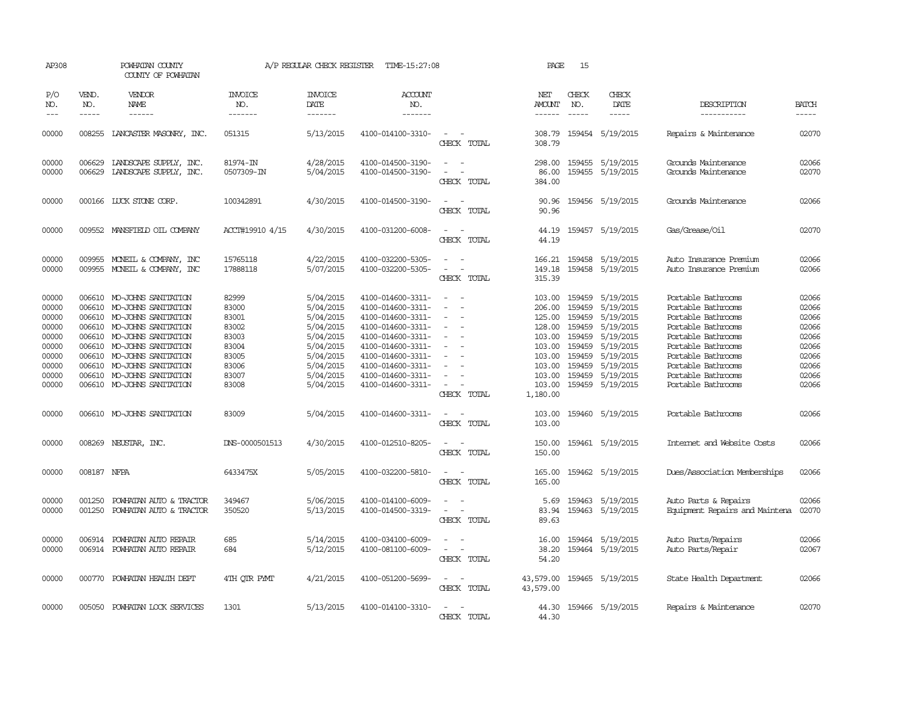| AP308                                                                                  | POWHATAN COUNTY<br>COUNTY OF POWHATAN                    |                                                                                                                                                                                                                                                                |                                                                                        | A/P REGULAR CHECK REGISTER                                                                                                     | TIME-15:27:08                                                                                                                                                                                                  |                                                                     | PAGE                                                                                                         | 15                                                                           |                                                                                                                                              |                                                                                                                                                                                                                          |                                                                                        |
|----------------------------------------------------------------------------------------|----------------------------------------------------------|----------------------------------------------------------------------------------------------------------------------------------------------------------------------------------------------------------------------------------------------------------------|----------------------------------------------------------------------------------------|--------------------------------------------------------------------------------------------------------------------------------|----------------------------------------------------------------------------------------------------------------------------------------------------------------------------------------------------------------|---------------------------------------------------------------------|--------------------------------------------------------------------------------------------------------------|------------------------------------------------------------------------------|----------------------------------------------------------------------------------------------------------------------------------------------|--------------------------------------------------------------------------------------------------------------------------------------------------------------------------------------------------------------------------|----------------------------------------------------------------------------------------|
| P/O<br>NO.                                                                             | VEND.<br>NO.                                             | <b>VENDOR</b><br>NAME                                                                                                                                                                                                                                          | <b>INVOICE</b><br>NO.                                                                  | <b>INVOICE</b><br><b>DATE</b>                                                                                                  | <b>ACCOUNT</b><br>NO.                                                                                                                                                                                          |                                                                     | NET<br><b>AMOUNT</b>                                                                                         | CHECK<br>NO.                                                                 | CHECK<br>DATE                                                                                                                                | DESCRIPTION                                                                                                                                                                                                              | <b>BATCH</b>                                                                           |
| $---$                                                                                  | $- - - - -$                                              | $- - - - - -$                                                                                                                                                                                                                                                  | -------                                                                                | -------                                                                                                                        | -------                                                                                                                                                                                                        |                                                                     | $- - - - - -$                                                                                                | $\frac{1}{2}$                                                                | $- - - - -$                                                                                                                                  | -----------                                                                                                                                                                                                              | -----                                                                                  |
| 00000                                                                                  |                                                          | 008255 LANCASTER MASONRY, INC.                                                                                                                                                                                                                                 | 051315                                                                                 | 5/13/2015                                                                                                                      | 4100-014100-3310-                                                                                                                                                                                              | $\equiv$<br>CHECK TOTAL                                             | 308.79<br>308.79                                                                                             |                                                                              | 159454 5/19/2015                                                                                                                             | Repairs & Maintenance                                                                                                                                                                                                    | 02070                                                                                  |
| 00000<br>00000                                                                         | 006629<br>006629                                         | LANDSCAPE SUPPLY, INC.<br>LANDSCAPE SUPPLY, INC.                                                                                                                                                                                                               | 81974-IN<br>0507309-IN                                                                 | 4/28/2015<br>5/04/2015                                                                                                         | 4100-014500-3190-<br>4100-014500-3190-                                                                                                                                                                         | $ -$<br>$\sim$<br>CHECK TOTAL                                       | 298.00<br>86.00<br>384.00                                                                                    |                                                                              | 159455 5/19/2015<br>159455 5/19/2015                                                                                                         | Grounds Maintenance<br>Grounds Maintenance                                                                                                                                                                               | 02066<br>02070                                                                         |
| 00000                                                                                  |                                                          | 000166 LUCK STONE CORP.                                                                                                                                                                                                                                        | 100342891                                                                              | 4/30/2015                                                                                                                      | 4100-014500-3190-                                                                                                                                                                                              | CHECK TOTAL                                                         | 90.96<br>90.96                                                                                               |                                                                              | 159456 5/19/2015                                                                                                                             | Grounds Maintenance                                                                                                                                                                                                      | 02066                                                                                  |
| 00000                                                                                  |                                                          | 009552 MANSFIELD OIL COMPANY                                                                                                                                                                                                                                   | ACCT#19910 4/15                                                                        | 4/30/2015                                                                                                                      | 4100-031200-6008-                                                                                                                                                                                              | $\overline{\phantom{a}}$<br>CHECK TOTAL                             | 44.19<br>44.19                                                                                               |                                                                              | 159457 5/19/2015                                                                                                                             | Gas/Grease/Oil                                                                                                                                                                                                           | 02070                                                                                  |
| 00000<br>00000                                                                         | 009955<br>009955                                         | MONEIL & COMPANY, INC<br>MONEIL & COMPANY, INC                                                                                                                                                                                                                 | 15765118<br>17888118                                                                   | 4/22/2015<br>5/07/2015                                                                                                         | 4100-032200-5305-<br>4100-032200-5305-                                                                                                                                                                         | $\equiv$<br>CHECK TOTAL                                             | 166.21<br>149.18<br>315.39                                                                                   |                                                                              | 159458 5/19/2015<br>159458 5/19/2015                                                                                                         | Auto Insurance Premium<br>Auto Insurance Premium                                                                                                                                                                         | 02066<br>02066                                                                         |
| 00000<br>00000<br>00000<br>00000<br>00000<br>00000<br>00000<br>00000<br>00000<br>00000 | 006610<br>006610<br>006610<br>006610<br>006610<br>006610 | 006610 MO-JOHNS SANITATION<br>MO-JOHNS SANITATION<br>006610 MO-JOHNS SANITATION<br>MO-JOHNS SANITATION<br>MO-JOHNS SANITATION<br>MO-JOHNS SANITATION<br>MO-JOHNS SANITATION<br>006610 MO-JOHNS SANITATION<br>MO-JOHNS SANITATION<br>006610 MO-JOHNS SANITATION | 82999<br>83000<br>83001<br>83002<br>83003<br>83004<br>83005<br>83006<br>83007<br>83008 | 5/04/2015<br>5/04/2015<br>5/04/2015<br>5/04/2015<br>5/04/2015<br>5/04/2015<br>5/04/2015<br>5/04/2015<br>5/04/2015<br>5/04/2015 | 4100-014600-3311-<br>4100-014600-3311-<br>4100-014600-3311-<br>4100-014600-3311-<br>4100-014600-3311-<br>4100-014600-3311-<br>4100-014600-3311-<br>4100-014600-3311-<br>4100-014600-3311-<br>4100-014600-3311- | $\sim$<br>$\sim$<br>CHECK TOTAL                                     | 103.00<br>206.00<br>125.00<br>128.00<br>103.00<br>103.00<br>103.00<br>103.00<br>103.00<br>103.00<br>1,180.00 | 159459<br>159459<br>159459<br>159459<br>159459<br>159459<br>159459<br>159459 | 159459 5/19/2015<br>5/19/2015<br>5/19/2015<br>5/19/2015<br>5/19/2015<br>5/19/2015<br>5/19/2015<br>5/19/2015<br>5/19/2015<br>159459 5/19/2015 | Portable Bathrooms<br>Portable Bathrooms<br>Portable Bathrooms<br>Portable Bathrooms<br>Portable Bathrooms<br>Portable Bathrooms<br>Portable Bathrooms<br>Portable Bathrooms<br>Portable Bathrooms<br>Portable Bathrooms | 02066<br>02066<br>02066<br>02066<br>02066<br>02066<br>02066<br>02066<br>02066<br>02066 |
| 00000                                                                                  |                                                          | 006610 MO-JOHNS SANITATION                                                                                                                                                                                                                                     | 83009                                                                                  | 5/04/2015                                                                                                                      | 4100-014600-3311-                                                                                                                                                                                              | $\overline{\phantom{a}}$<br>CHECK TOTAL                             | 103.00<br>103.00                                                                                             |                                                                              | 159460 5/19/2015                                                                                                                             | Portable Bathrooms                                                                                                                                                                                                       | 02066                                                                                  |
| 00000                                                                                  | 008269                                                   | NEUSTAR, INC.                                                                                                                                                                                                                                                  | DNS-0000501513                                                                         | 4/30/2015                                                                                                                      | 4100-012510-8205-                                                                                                                                                                                              | $\overline{\phantom{a}}$<br>$\overline{\phantom{a}}$<br>CHECK TOTAL | 150.00<br>150.00                                                                                             | 159461                                                                       | 5/19/2015                                                                                                                                    | Internet and Website Costs                                                                                                                                                                                               | 02066                                                                                  |
| 00000                                                                                  | 008187 NFPA                                              |                                                                                                                                                                                                                                                                | 6433475X                                                                               | 5/05/2015                                                                                                                      | 4100-032200-5810-                                                                                                                                                                                              | $\overline{\phantom{a}}$<br>CHECK TOTAL                             | 165.00<br>165.00                                                                                             |                                                                              | 159462 5/19/2015                                                                                                                             | Dues/Association Memberships                                                                                                                                                                                             | 02066                                                                                  |
| 00000<br>00000                                                                         | 001250<br>001250                                         | POWHATAN AUTO & TRACTOR<br>POWHATAN AUTO & TRACTOR                                                                                                                                                                                                             | 349467<br>350520                                                                       | 5/06/2015<br>5/13/2015                                                                                                         | 4100-014100-6009-<br>4100-014500-3319-                                                                                                                                                                         | $\sim$<br>CHECK TOTAL                                               | 5.69<br>83.94<br>89.63                                                                                       | 159463<br>159463                                                             | 5/19/2015<br>5/19/2015                                                                                                                       | Auto Parts & Repairs<br>Equipment Repairs and Maintena                                                                                                                                                                   | 02066<br>02070                                                                         |
| 00000<br>00000                                                                         | 006914                                                   | POWHATAN AUTO REPAIR<br>006914 POWHATAN AUTO REPAIR                                                                                                                                                                                                            | 685<br>684                                                                             | 5/14/2015<br>5/12/2015                                                                                                         | 4100-034100-6009-<br>4100-081100-6009-                                                                                                                                                                         | $\equiv$<br>$\sim$<br>CHECK TOTAL                                   | 16.00<br>38.20<br>54.20                                                                                      |                                                                              | 159464 5/19/2015<br>159464 5/19/2015                                                                                                         | Auto Parts/Repairs<br>Auto Parts/Repair                                                                                                                                                                                  | 02066<br>02067                                                                         |
| 00000                                                                                  | 000770                                                   | POWHATAN HEALTH DEPT                                                                                                                                                                                                                                           | 4TH QTR PYMT                                                                           | 4/21/2015                                                                                                                      | 4100-051200-5699-                                                                                                                                                                                              | $\equiv$<br>CHECK TOTAL                                             | 43,579.00<br>43,579.00                                                                                       |                                                                              | 159465 5/19/2015                                                                                                                             | State Health Department                                                                                                                                                                                                  | 02066                                                                                  |
| 00000                                                                                  | 005050                                                   | POWHATAN LOCK SERVICES                                                                                                                                                                                                                                         | 1301                                                                                   | 5/13/2015                                                                                                                      | 4100-014100-3310-                                                                                                                                                                                              | CHECK TOTAL                                                         | 44.30<br>44.30                                                                                               |                                                                              | 159466 5/19/2015                                                                                                                             | Repairs & Maintenance                                                                                                                                                                                                    | 02070                                                                                  |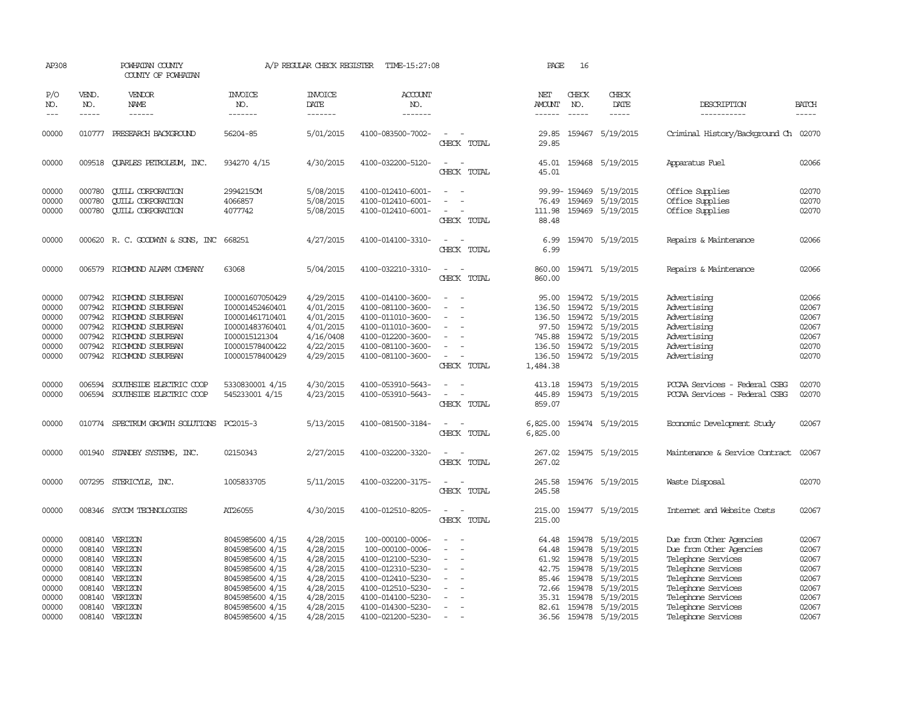| AP308                                                                         |                                      | POWHATAN COUNTY<br>COUNTY OF POWHATAN                                                                                                                                |                                                                                                                                                                         | A/P REGULAR CHECK REGISTER                                                                                        | TIME-15:27:08                                                                                                                                                                           |                                                                                                           | PAGE                                                                         | 16                                             |                                                                                                                                                     |                                                                                                                                                                                                              |                                                                               |
|-------------------------------------------------------------------------------|--------------------------------------|----------------------------------------------------------------------------------------------------------------------------------------------------------------------|-------------------------------------------------------------------------------------------------------------------------------------------------------------------------|-------------------------------------------------------------------------------------------------------------------|-----------------------------------------------------------------------------------------------------------------------------------------------------------------------------------------|-----------------------------------------------------------------------------------------------------------|------------------------------------------------------------------------------|------------------------------------------------|-----------------------------------------------------------------------------------------------------------------------------------------------------|--------------------------------------------------------------------------------------------------------------------------------------------------------------------------------------------------------------|-------------------------------------------------------------------------------|
| P/O<br>NO.<br>$---$                                                           | VEND.<br>NO.<br>$- - - - -$          | VENDOR<br>NAME<br>$- - - - - -$                                                                                                                                      | <b>INVOICE</b><br>NO.<br>-------                                                                                                                                        | <b>INVOICE</b><br><b>DATE</b><br>--------                                                                         | <b>ACCOUNT</b><br>NO.<br>-------                                                                                                                                                        |                                                                                                           | NET<br><b>AMOUNT</b><br>$- - - - - -$                                        | CHECK<br>NO.<br>$\frac{1}{2}$                  | CHECK<br>DATE<br>$- - - - -$                                                                                                                        | DESCRIPTION<br>-----------                                                                                                                                                                                   | <b>BATCH</b><br>-----                                                         |
| 00000                                                                         |                                      | 010777 PRESEARCH BACKGROUND                                                                                                                                          | 56204-85                                                                                                                                                                | 5/01/2015                                                                                                         | 4100-083500-7002-                                                                                                                                                                       | $\overline{\phantom{a}}$<br>CHECK TOTAL                                                                   | 29.85<br>29.85                                                               |                                                | 159467 5/19/2015                                                                                                                                    | Criminal History/Background Ch 02070                                                                                                                                                                         |                                                                               |
| 00000                                                                         |                                      | 009518 CUARLES PETROLEUM, INC.                                                                                                                                       | 934270 4/15                                                                                                                                                             | 4/30/2015                                                                                                         | 4100-032200-5120-                                                                                                                                                                       | CHECK TOTAL                                                                                               | 45.01                                                                        |                                                | 45.01 159468 5/19/2015                                                                                                                              | Apparatus Fuel                                                                                                                                                                                               | 02066                                                                         |
| 00000<br>00000<br>00000                                                       | 000780<br>000780<br>000780           | <b>CUILL CORPORATION</b><br><b>QUILL CORPORATION</b><br><b>CUILL CORPORATION</b>                                                                                     | 2994215CM<br>4066857<br>4077742                                                                                                                                         | 5/08/2015<br>5/08/2015<br>5/08/2015                                                                               | 4100-012410-6001-<br>4100-012410-6001-<br>4100-012410-6001-                                                                                                                             | $\equiv$<br>$\overline{\phantom{a}}$<br>CHECK TOTAL                                                       | 111.98<br>88.48                                                              | 99.99-159469<br>76.49 159469<br>159469         | 5/19/2015<br>5/19/2015<br>5/19/2015                                                                                                                 | Office Supplies<br>Office Supplies<br>Office Supplies                                                                                                                                                        | 02070<br>02070<br>02070                                                       |
| 00000                                                                         |                                      | 000620 R. C. GOODWYN & SONS, INC 668251                                                                                                                              |                                                                                                                                                                         | 4/27/2015                                                                                                         | 4100-014100-3310-                                                                                                                                                                       | $\overline{\phantom{a}}$<br>CHECK TOTAL                                                                   | 6.99<br>6.99                                                                 |                                                | 159470 5/19/2015                                                                                                                                    | Repairs & Maintenance                                                                                                                                                                                        | 02066                                                                         |
| 00000                                                                         |                                      | 006579 RICHMOND ALARM COMPANY                                                                                                                                        | 63068                                                                                                                                                                   | 5/04/2015                                                                                                         | 4100-032210-3310-                                                                                                                                                                       | CHECK TOTAL                                                                                               | 860.00                                                                       |                                                | 860.00 159471 5/19/2015                                                                                                                             | Repairs & Maintenance                                                                                                                                                                                        | 02066                                                                         |
| 00000<br>00000<br>00000<br>00000<br>00000<br>00000<br>00000                   | 007942<br>007942<br>007942<br>007942 | 007942 RICHMOND SUBURBAN<br>RICHMOND SUBURBAN<br>RICHMOND SUBURBAN<br>007942 RICHMOND SUBURBAN<br>RICHMOND SUBURBAN<br>RICHMOND SUBURBAN<br>007942 RICHMOND SUBURBAN | I00001607050429<br>I00001452460401<br>100001461710401<br>I00001483760401<br>I000015121304<br>I00001578400422<br>I00001578400429                                         | 4/29/2015<br>4/01/2015<br>4/01/2015<br>4/01/2015<br>4/16/0408<br>4/22/2015<br>4/29/2015                           | 4100-014100-3600-<br>4100-081100-3600-<br>4100-011010-3600-<br>4100-011010-3600-<br>4100-012200-3600-<br>4100-081100-3600-<br>4100-081100-3600-                                         | $\sim$<br>$\overline{\phantom{a}}$<br>$\overline{\phantom{a}}$<br>$\overline{\phantom{a}}$<br>CHECK TOTAL | 95.00<br>136.50<br>136.50<br>97.50<br>745.88<br>136.50<br>136.50<br>1,484.38 |                                                | 159472 5/19/2015<br>159472 5/19/2015<br>159472 5/19/2015<br>159472 5/19/2015<br>159472 5/19/2015<br>159472 5/19/2015<br>159472 5/19/2015            | Advertising<br>Advertising<br>Advertising<br>Advertising<br>Advertising<br>Advertising<br>Advertising                                                                                                        | 02066<br>02067<br>02067<br>02067<br>02067<br>02070<br>02070                   |
| 00000<br>00000                                                                | 006594<br>006594                     | SOUTHSIDE ELECTRIC COOP<br>SOUTHSIDE ELECTRIC COOP                                                                                                                   | 5330830001 4/15<br>545233001 4/15                                                                                                                                       | 4/30/2015<br>4/23/2015                                                                                            | 4100-053910-5643-<br>4100-053910-5643-                                                                                                                                                  | CHECK TOTAL                                                                                               | 413.18<br>445.89<br>859.07                                                   |                                                | 159473 5/19/2015<br>159473 5/19/2015                                                                                                                | PCCAA Services - Federal CSBG<br>PCCAA Services - Federal CSBG                                                                                                                                               | 02070<br>02070                                                                |
| 00000                                                                         | 010774                               | SPECTRUM GROWTH SOLUTIONS PC2015-3                                                                                                                                   |                                                                                                                                                                         | 5/13/2015                                                                                                         | 4100-081500-3184-                                                                                                                                                                       | CHECK TOTAL                                                                                               | 6,825.00<br>6,825.00                                                         |                                                | 159474 5/19/2015                                                                                                                                    | Economic Development Study                                                                                                                                                                                   | 02067                                                                         |
| 00000                                                                         |                                      | 001940 STANDBY SYSTEMS, INC.                                                                                                                                         | 02150343                                                                                                                                                                | 2/27/2015                                                                                                         | 4100-032200-3320-                                                                                                                                                                       | CHECK TOTAL                                                                                               | 267.02<br>267.02                                                             |                                                | 159475 5/19/2015                                                                                                                                    | Maintenance & Service Contract                                                                                                                                                                               | 02067                                                                         |
| 00000                                                                         |                                      | 007295 STERICYLE, INC.                                                                                                                                               | 1005833705                                                                                                                                                              | 5/11/2015                                                                                                         | 4100-032200-3175-                                                                                                                                                                       | $\equiv$<br>CHECK TOTAL                                                                                   | 245.58<br>245.58                                                             |                                                | 159476 5/19/2015                                                                                                                                    | Waste Disposal                                                                                                                                                                                               | 02070                                                                         |
| 00000                                                                         |                                      | 008346 SYCOM TECHNOLOGIES                                                                                                                                            | AT26055                                                                                                                                                                 | 4/30/2015                                                                                                         | 4100-012510-8205-                                                                                                                                                                       | $\overline{\phantom{a}}$<br>CHECK TOTAL                                                                   | 215.00<br>215.00                                                             |                                                | 159477 5/19/2015                                                                                                                                    | Internet and Website Costs                                                                                                                                                                                   | 02067                                                                         |
| 00000<br>00000<br>00000<br>00000<br>00000<br>00000<br>00000<br>00000<br>00000 | 008140                               | 008140 VERIZON<br>008140 VERIZON<br>008140 VERIZON<br>008140 VERIZON<br>008140 VERIZON<br>008140 VERIZON<br>VERIZON<br>008140 VERIZON<br>008140 VERIZON              | 8045985600 4/15<br>8045985600 4/15<br>8045985600 4/15<br>8045985600 4/15<br>8045985600 4/15<br>8045985600 4/15<br>8045985600 4/15<br>8045985600 4/15<br>8045985600 4/15 | 4/28/2015<br>4/28/2015<br>4/28/2015<br>4/28/2015<br>4/28/2015<br>4/28/2015<br>4/28/2015<br>4/28/2015<br>4/28/2015 | 100-000100-0006-<br>100-000100-0006-<br>4100-012100-5230-<br>4100-012310-5230-<br>4100-012410-5230-<br>4100-012510-5230-<br>4100-014100-5230-<br>4100-014300-5230-<br>4100-021200-5230- | $\equiv$<br>$\overline{\phantom{a}}$<br>$\overline{\phantom{a}}$                                          | 64.48<br>64.48<br>61.92<br>42.75<br>85.46<br>72.66<br>35.31<br>82.61         | 159478<br>159478<br>159478<br>159478<br>159478 | 159478 5/19/2015<br>5/19/2015<br>5/19/2015<br>5/19/2015<br>159478 5/19/2015<br>5/19/2015<br>5/19/2015<br>159478 5/19/2015<br>36.56 159478 5/19/2015 | Due from Other Agencies<br>Due from Other Agencies<br>Telephone Services<br>Telephone Services<br>Telephone Services<br>Telephone Services<br>Telephone Services<br>Telephone Services<br>Telephone Services | 02067<br>02067<br>02067<br>02067<br>02067<br>02067<br>02067<br>02067<br>02067 |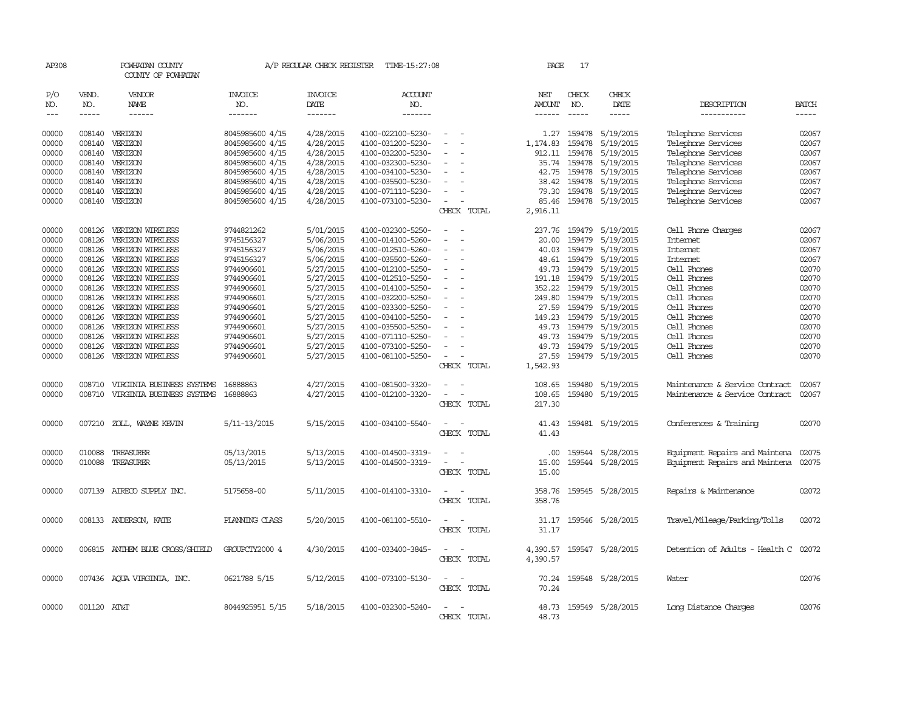| AP308         |              | POWHATAN COUNTY<br>COUNTY OF POWHATAN |                       | A/P REGULAR CHECK REGISTER | TIME-15:27:08         |                          | PAGE                 | 17           |                       |                                |              |
|---------------|--------------|---------------------------------------|-----------------------|----------------------------|-----------------------|--------------------------|----------------------|--------------|-----------------------|--------------------------------|--------------|
| P/O<br>NO.    | VEND.<br>NO. | <b>VENDOR</b><br><b>NAME</b>          | <b>INVOICE</b><br>NO. | <b>INVOICE</b><br>DATE     | <b>ACCOUNT</b><br>NO. |                          | NET<br><b>AMOUNT</b> | CHECK<br>NO. | CHECK<br>DATE         | DESCRIPTION                    | <b>BATCH</b> |
| $\frac{1}{2}$ | $- - - - -$  | ------                                | -------               | -------                    | -------               |                          | ------               | $- - - - -$  | -----                 | -----------                    | -----        |
| 00000         |              | 008140 VERIZON                        | 8045985600 4/15       | 4/28/2015                  | 4100-022100-5230-     | $\overline{\phantom{a}}$ |                      |              | 1.27 159478 5/19/2015 | Telephone Services             | 02067        |
|               |              |                                       |                       |                            |                       |                          |                      |              |                       |                                |              |
| 00000         | 008140       | VERIZON                               | 8045985600 4/15       | 4/28/2015                  | 4100-031200-5230-     |                          | 1,174.83             | 159478       | 5/19/2015             | Telephone Services             | 02067        |
| 00000         | 008140       | VERIZON                               | 8045985600 4/15       | 4/28/2015                  | 4100-032200-5230-     |                          | 912.11               | 159478       | 5/19/2015             | Telephone Services             | 02067        |
| 00000         | 008140       | VERIZON                               | 8045985600 4/15       | 4/28/2015                  | 4100-032300-5230-     |                          | 35.74                |              | 159478 5/19/2015      | Telephone Services             | 02067        |
| 00000         | 008140       | VERIZON                               | 8045985600 4/15       | 4/28/2015                  | 4100-034100-5230-     |                          | 42.75                | 159478       | 5/19/2015             | Telephone Services             | 02067        |
| 00000         | 008140       | VERIZON                               | 8045985600 4/15       | 4/28/2015                  | 4100-035500-5230-     |                          | 38.42                | 159478       | 5/19/2015             | Telephone Services             | 02067        |
| 00000         | 008140       | VERIZON                               | 8045985600 4/15       | 4/28/2015                  | 4100-071110-5230-     |                          | 79.30                |              | 159478 5/19/2015      | Telephone Services             | 02067        |
| 00000         |              | 008140 VERIZON                        | 8045985600 4/15       | 4/28/2015                  | 4100-073100-5230-     | $\equiv$                 | 85.46                |              | 159478 5/19/2015      | Telephone Services             | 02067        |
|               |              |                                       |                       |                            |                       | CHECK TOTAL              | 2,916.11             |              |                       |                                |              |
| 00000         | 008126       | VERIZON WIRELESS                      | 9744821262            | 5/01/2015                  | 4100-032300-5250-     | $\equiv$                 | 237.76               | 159479       | 5/19/2015             | Cell Phone Charges             | 02067        |
| 00000         | 008126       | VERIZON WIRELESS                      | 9745156327            | 5/06/2015                  | 4100-014100-5260-     | $\equiv$                 | 20.00                | 159479       | 5/19/2015             | Internet                       | 02067        |
| 00000         | 008126       | VERIZON WIRELESS                      | 9745156327            | 5/06/2015                  | 4100-012510-5260-     |                          | 40.03                | 159479       | 5/19/2015             | Internet                       | 02067        |
| 00000         | 008126       | VERIZON WIRELESS                      | 9745156327            | 5/06/2015                  | 4100-035500-5260-     |                          | 48.61                | 159479       | 5/19/2015             | Internet                       | 02067        |
| 00000         | 008126       | VERIZON WIRELESS                      | 9744906601            | 5/27/2015                  | 4100-012100-5250-     | $\overline{\phantom{a}}$ | 49.73                |              | 159479 5/19/2015      | Cell Phones                    | 02070        |
| 00000         | 008126       | VERIZON WIRELESS                      | 9744906601            | 5/27/2015                  | 4100-012510-5250-     |                          | 191.18               | 159479       | 5/19/2015             | Cell Phones                    | 02070        |
| 00000         | 008126       | VERIZON WIRELESS                      | 9744906601            | 5/27/2015                  | 4100-014100-5250-     |                          | 352.22               | 159479       | 5/19/2015             | Cell Phones                    | 02070        |
| 00000         | 008126       | VERIZON WIRELESS                      | 9744906601            | 5/27/2015                  | 4100-032200-5250-     |                          | 249.80               | 159479       | 5/19/2015             | Cell Phones                    | 02070        |
| 00000         | 008126       | VERIZON WIRELESS                      | 9744906601            | 5/27/2015                  | 4100-033300-5250-     |                          | 27.59                | 159479       | 5/19/2015             | Cell Phones                    | 02070        |
| 00000         | 008126       | VERIZON WIRELESS                      | 9744906601            | 5/27/2015                  | 4100-034100-5250-     |                          | 149.23               | 159479       | 5/19/2015             | Cell Phones                    | 02070        |
| 00000         | 008126       | VERIZON WIRELESS                      | 9744906601            | 5/27/2015                  | 4100-035500-5250-     |                          | 49.73                | 159479       | 5/19/2015             | Cell Phones                    | 02070        |
| 00000         | 008126       | VERIZON WIRELESS                      | 9744906601            | 5/27/2015                  | 4100-071110-5250-     |                          | 49.73                |              | 159479 5/19/2015      | Cell Phones                    | 02070        |
| 00000         | 008126       | VERIZON WIRELESS                      | 9744906601            | 5/27/2015                  | 4100-073100-5250-     |                          | 49.73                | 159479       | 5/19/2015             | Cell Phones                    | 02070        |
| 00000         | 008126       | VERIZON WIRELESS                      | 9744906601            | 5/27/2015                  | 4100-081100-5250-     | $\equiv$                 | 27.59                |              | 159479 5/19/2015      | Cell Phones                    | 02070        |
|               |              |                                       |                       |                            |                       | CHECK TOTAL              | 1,542.93             |              |                       |                                |              |
| 00000         | 008710       | VIRGINIA BUSINESS SYSTEMS             | 16888863              | 4/27/2015                  | 4100-081500-3320-     |                          | 108.65               |              | 159480 5/19/2015      | Maintenance & Service Contract | 02067        |
| 00000         | 008710       | VIRGINIA BUSINESS SYSTEMS             | 16888863              | 4/27/2015                  | 4100-012100-3320-     |                          | 108.65               |              | 159480 5/19/2015      | Maintenance & Service Contract | 02067        |
|               |              |                                       |                       |                            |                       | CHECK TOTAL              | 217.30               |              |                       |                                |              |
|               |              |                                       |                       |                            |                       |                          |                      |              |                       |                                |              |
| 00000         | 007210       | ZOLL, WAYNE KEVIN                     | 5/11-13/2015          | 5/15/2015                  | 4100-034100-5540-     |                          | 41.43                |              | 159481 5/19/2015      | Conferences & Training         | 02070        |
|               |              |                                       |                       |                            |                       | CHECK TOTAL              | 41.43                |              |                       |                                |              |
| 00000         | 010088       | TREASURER                             | 05/13/2015            | 5/13/2015                  | 4100-014500-3319-     |                          | $.00 \times$         |              | 159544 5/28/2015      | Equipment Repairs and Maintena | 02075        |
| 00000         | 010088       | TREASURER                             | 05/13/2015            | 5/13/2015                  | 4100-014500-3319-     | $\sim$                   | 15.00                |              | 159544 5/28/2015      | Equipment Repairs and Maintena | 02075        |
|               |              |                                       |                       |                            |                       | CHECK TOTAL              | 15.00                |              |                       |                                |              |
|               |              |                                       |                       |                            |                       | $\sim$                   |                      |              |                       |                                |              |
| 00000         |              | 007139 AIRECO SUPPLY INC.             | 5175658-00            | 5/11/2015                  | 4100-014100-3310-     | CHECK TOTAL              | 358.76<br>358.76     |              | 159545 5/28/2015      | Repairs & Maintenance          | 02072        |
|               |              |                                       |                       |                            |                       |                          |                      |              |                       |                                |              |
| 00000         |              | 008133 ANDERSON, KATE                 | PLANING CLASS         | 5/20/2015                  | 4100-081100-5510-     | $\equiv$                 | 31.17                |              | 159546 5/28/2015      | Travel/Mileage/Parking/Tolls   | 02072        |
|               |              |                                       |                       |                            |                       | CHECK TOTAL              | 31.17                |              |                       |                                |              |
| 00000         |              | 006815 ANTHEM BLUE CROSS/SHIELD       | GROUPCTY2000 4        | 4/30/2015                  | 4100-033400-3845-     |                          | 4,390.57             |              | 159547 5/28/2015      | Detention of Adults - Health C | 02072        |
|               |              |                                       |                       |                            |                       | CHECK TOTAL              | 4,390.57             |              |                       |                                |              |
| 00000         |              | 007436 AQUA VIRGINIA, INC.            | 0621788 5/15          | 5/12/2015                  | 4100-073100-5130-     | $\sim$ 10 $\pm$          | 70.24                |              | 159548 5/28/2015      | Water                          | 02076        |
|               |              |                                       |                       |                            |                       | CHECK TOTAL              | 70.24                |              |                       |                                |              |
|               |              |                                       |                       |                            |                       |                          |                      |              |                       |                                |              |
| 00000         | 001120 AT&T  |                                       | 8044925951 5/15       | 5/18/2015                  | 4100-032300-5240-     |                          | 48.73                |              | 159549 5/28/2015      | Long Distance Charges          | 02076        |
|               |              |                                       |                       |                            |                       | CHECK TOTAL              | 48.73                |              |                       |                                |              |
|               |              |                                       |                       |                            |                       |                          |                      |              |                       |                                |              |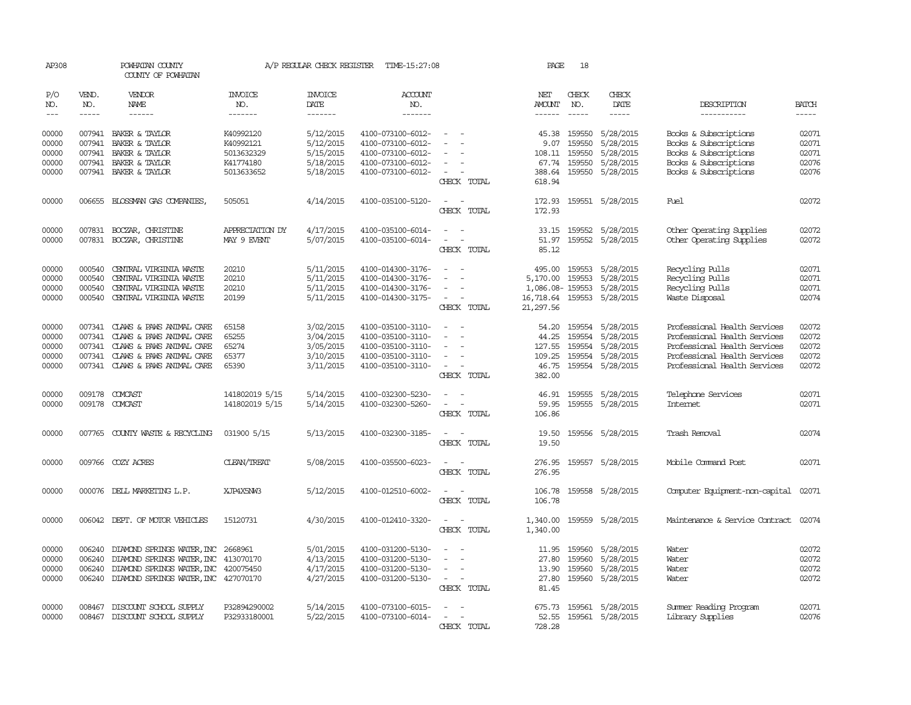| AP308                       |                          | POWHATAN COUNTY<br>COUNTY OF POWHATAN          |                                  | A/P REGULAR CHECK REGISTER               | TIME-15:27:08                          |                                                   | PAGE                                  | 18                          |                                  |                                                |                          |
|-----------------------------|--------------------------|------------------------------------------------|----------------------------------|------------------------------------------|----------------------------------------|---------------------------------------------------|---------------------------------------|-----------------------------|----------------------------------|------------------------------------------------|--------------------------|
| P/O<br>NO.<br>$\frac{1}{2}$ | VEND.<br>NO.<br>$\cdots$ | VENDOR<br><b>NAME</b><br>$- - - - - -$         | <b>INVOICE</b><br>NO.<br>------- | <b>INVOICE</b><br><b>DATE</b><br>------- | <b>ACCOUNT</b><br>NO.<br>-------       |                                                   | NET<br><b>AMOUNT</b><br>$- - - - - -$ | CHECK<br>NO.<br>$- - - - -$ | CHECK<br><b>DATE</b><br>$\cdots$ | DESCRIPTION<br>-----------                     | <b>BATCH</b><br>$\cdots$ |
|                             |                          |                                                |                                  |                                          |                                        |                                                   |                                       |                             |                                  |                                                |                          |
| 00000<br>00000              |                          | 007941 BAKER & TAYLOR                          | K40992120                        | 5/12/2015                                | 4100-073100-6012-                      | $\sim$                                            |                                       | 45.38 159550                | 5/28/2015                        | Books & Subscriptions                          | 02071                    |
|                             | 007941                   | BAKER & TAYLOR                                 | K40992121<br>5013632329          | 5/12/2015                                | 4100-073100-6012-<br>4100-073100-6012- |                                                   | 9.07                                  | 159550<br>159550            | 5/28/2015                        | Books & Subscriptions                          | 02071<br>02071           |
| 00000<br>00000              |                          | 007941 BAKER & TAYLOR<br>007941 BAKER & TAYLOR |                                  | 5/15/2015<br>5/18/2015                   | 4100-073100-6012-                      |                                                   | 108.11                                | 159550                      | 5/28/2015<br>5/28/2015           | Books & Subscriptions<br>Books & Subscriptions | 02076                    |
| 00000                       |                          | 007941 BAKER & TAYLOR                          | K41774180<br>5013633652          | 5/18/2015                                | 4100-073100-6012-                      | $\sim$                                            | 67.74                                 | 388.64 159550               | 5/28/2015                        | Books & Subscriptions                          | 02076                    |
|                             |                          |                                                |                                  |                                          |                                        | CHECK TOTAL                                       | 618.94                                |                             |                                  |                                                |                          |
| 00000                       |                          | 006655 BLOSSMAN GAS COMPANIES,                 | 505051                           | 4/14/2015                                | 4100-035100-5120-                      | $\sim$ $\sim$<br>CHECK TOTAL                      | 172.93<br>172.93                      |                             | 159551 5/28/2015                 | Fuel                                           | 02072                    |
| 00000                       |                          | 007831 BOCZAR, CHRISTINE                       | APPRECIATION DY                  | 4/17/2015                                | 4100-035100-6014-                      | $\overline{a}$                                    |                                       |                             | 33.15 159552 5/28/2015           | Other Operating Supplies                       | 02072                    |
| 00000                       |                          | 007831 BOCZAR, CHRISTINE                       | MAY 9 EVENT                      | 5/07/2015                                | 4100-035100-6014-                      | $\omega_{\rm{max}}$ and $\omega_{\rm{max}}$       | 51.97                                 |                             | 159552 5/28/2015                 | Other Operating Supplies                       | 02072                    |
|                             |                          |                                                |                                  |                                          |                                        | CHECK TOTAL                                       | 85.12                                 |                             |                                  |                                                |                          |
| 00000                       | 000540                   | CENTRAL VIRGINIA WASTE                         | 20210                            | 5/11/2015                                | 4100-014300-3176-                      | $\overline{a}$                                    |                                       |                             | 495.00 159553 5/28/2015          | Recycling Pulls                                | 02071                    |
| 00000                       | 000540                   | CENTRAL VIRGINIA WASTE                         | 20210                            | 5/11/2015                                | 4100-014300-3176-                      | $\sim$<br>$\overline{\phantom{a}}$                | 5,170.00                              | 159553                      | 5/28/2015                        | Recycling Pulls                                | 02071                    |
| 00000                       | 000540                   | CENTRAL VIRGINIA WASTE                         | 20210                            | 5/11/2015                                | 4100-014300-3176-                      | $\overline{\phantom{a}}$                          | 1,086.08-159553                       |                             | 5/28/2015                        | Recycling Pulls                                | 02071                    |
| 00000                       | 000540                   | CENTRAL VIRGINIA WASTE                         | 20199                            | 5/11/2015                                | 4100-014300-3175-                      | $\sim$<br>CHECK TOTAL                             | 16,718.64<br>21,297.56                |                             | 159553 5/28/2015                 | Waste Disposal                                 | 02074                    |
| 00000                       |                          | 007341 CLAWS & PAWS ANIMAL CARE                | 65158                            | 3/02/2015                                | 4100-035100-3110-                      | $\sim$                                            | 54.20                                 | 159554                      | 5/28/2015                        | Professional Health Services                   | 02072                    |
| 00000                       | 007341                   | CLAWS & PAWS ANIMAL CARE                       | 65255                            | 3/04/2015                                | 4100-035100-3110-                      | $\sim$                                            | 44.25                                 | 159554                      | 5/28/2015                        | Professional Health Services                   | 02072                    |
| 00000                       | 007341                   | CLAWS & PAWS ANIMAL CARE                       | 65274                            | 3/05/2015                                | 4100-035100-3110-                      |                                                   | 127.55                                |                             | 159554 5/28/2015                 | Professional Health Services                   | 02072                    |
| 00000                       |                          | 007341 CLAWS & PAWS ANIMAL CARE                | 65377                            | 3/10/2015                                | 4100-035100-3110-                      | $\overline{\phantom{a}}$                          | 109.25                                |                             | 159554 5/28/2015                 | Professional Health Services                   | 02072                    |
| 00000                       |                          | 007341 CLAWS & PAWS ANIMAL CARE                | 65390                            | 3/11/2015                                | 4100-035100-3110-                      | $\overline{\phantom{a}}$<br>CHECK TOTAL           | 46.75<br>382.00                       |                             | 159554 5/28/2015                 | Professional Health Services                   | 02072                    |
| 00000                       |                          | 009178 COMCAST                                 | 141802019 5/15                   | 5/14/2015                                | 4100-032300-5230-                      | $\sim$<br>$\sim$                                  |                                       |                             | 46.91 159555 5/28/2015           | Telephone Services                             | 02071                    |
| 00000                       |                          | 009178 COMCAST                                 | 141802019 5/15                   | 5/14/2015                                | 4100-032300-5260-                      | $\sim$<br>$\overline{\phantom{a}}$                | 59.95                                 |                             | 159555 5/28/2015                 | <b>Internet</b>                                | 02071                    |
|                             |                          |                                                |                                  |                                          |                                        | CHECK TOTAL                                       | 106.86                                |                             |                                  |                                                |                          |
| 00000                       |                          | 007765 COUNTY WASTE & RECYCLING                | 031900 5/15                      | 5/13/2015                                | 4100-032300-3185-                      | $\sim$<br>$\sim$                                  | 19.50                                 |                             | 159556 5/28/2015                 | Trash Removal                                  | 02074                    |
|                             |                          |                                                |                                  |                                          |                                        | CHECK TOTAL                                       | 19.50                                 |                             |                                  |                                                |                          |
| 00000                       |                          | 009766 COZY ACRES                              | <b>CLEAN/TREAT</b>               | 5/08/2015                                | 4100-035500-6023-                      | $\sim$ $\sim$                                     | 276.95                                |                             | 159557 5/28/2015                 | Mobile Command Post                            | 02071                    |
|                             |                          |                                                |                                  |                                          |                                        | CHECK TOTAL                                       | 276.95                                |                             |                                  |                                                |                          |
| 00000                       |                          | 000076 DELL MARKETING L.P.                     | XJP4X5NW3                        | 5/12/2015                                | 4100-012510-6002-                      | $\overline{\phantom{a}}$<br>CHECK TOTAL           | 106.78<br>106.78                      |                             | 159558 5/28/2015                 | Computer Equipment-non-capital                 | 02071                    |
|                             |                          |                                                |                                  |                                          |                                        |                                                   |                                       |                             |                                  |                                                |                          |
| 00000                       |                          | 006042 DEPT. OF MOTOR VEHICLES                 | 15120731                         | 4/30/2015                                | 4100-012410-3320-                      | $\overline{\phantom{a}}$<br>CHECK TOTAL           | 1,340.00<br>1,340.00                  |                             | 159559 5/28/2015                 | Maintenance & Service Contract                 | 02074                    |
| 00000                       | 006240                   | DIAMOND SPRINGS WATER, INC 2668961             |                                  | 5/01/2015                                | 4100-031200-5130-                      | $\overline{\phantom{a}}$                          | 11.95                                 | 159560                      | 5/28/2015                        | Water                                          | 02072                    |
| 00000                       | 006240                   | DIAMOND SPRINGS WATER, INC                     | 413070170                        | 4/13/2015                                | 4100-031200-5130-                      | $\sim$                                            | 27.80                                 | 159560                      | 5/28/2015                        | Water                                          | 02072                    |
| 00000                       | 006240                   | DIAMOND SPRINGS WATER, INC                     | 420075450                        | 4/17/2015                                | 4100-031200-5130-                      | $\sim$                                            | 13.90                                 | 159560                      | 5/28/2015                        | Water                                          | 02072                    |
| 00000                       |                          | 006240 DIAMOND SPRINGS WATER, INC 427070170    |                                  | 4/27/2015                                | 4100-031200-5130-                      | $\sim$<br>$\overline{\phantom{a}}$<br>CHECK TOTAL | 27.80<br>81.45                        |                             | 159560 5/28/2015                 | Water                                          | 02072                    |
| 00000                       | 008467                   | DISCOUNT SCHOOL SUPPLY                         | P32894290002                     | 5/14/2015                                | 4100-073100-6015-                      | $\overline{\phantom{a}}$<br>$\sim$                |                                       |                             | 675.73 159561 5/28/2015          | Summer Reading Program                         | 02071                    |
| 00000                       |                          | 008467 DISCOUNT SCHOOL SUPPLY                  | P32933180001                     | 5/22/2015                                | 4100-073100-6014-                      | $\sim$<br>$\sim$                                  |                                       |                             | 52.55 159561 5/28/2015           | Library Supplies                               | 02076                    |
|                             |                          |                                                |                                  |                                          |                                        | CHECK TOTAL                                       | 728.28                                |                             |                                  |                                                |                          |
|                             |                          |                                                |                                  |                                          |                                        |                                                   |                                       |                             |                                  |                                                |                          |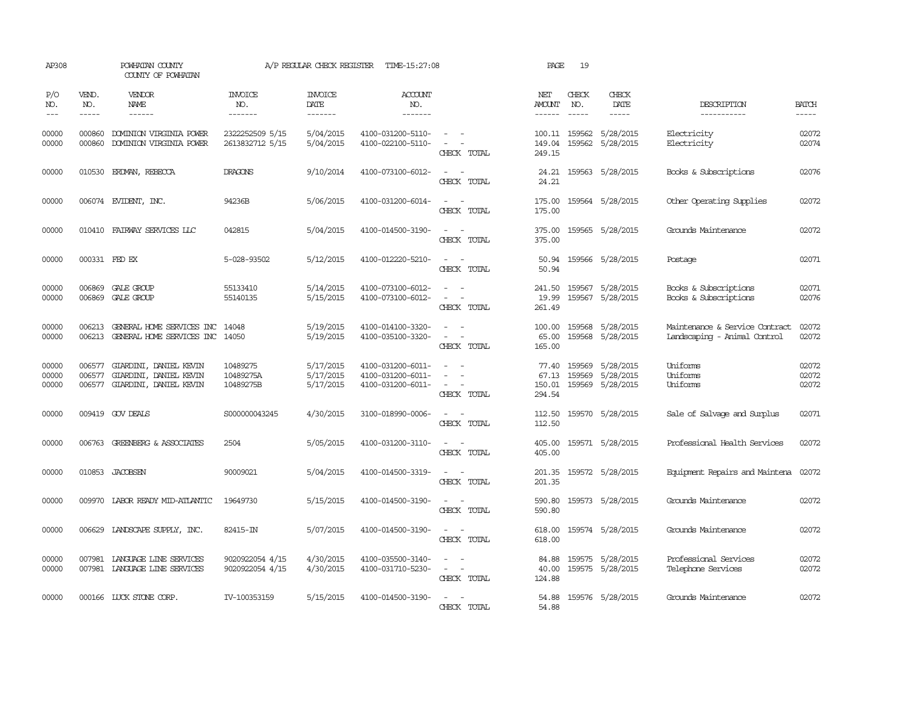| AP308                   |                             | POWHATAN COUNTY<br>COUNTY OF POWHATAN                                      |                                    | A/P REGULAR CHECK REGISTER               | TIME-15:27:08                                               |                                                                                                                             | PAGE                      | 19                            |                                                                                                                                                                                                                                                                                                                                                                                                                      |                                                                |                         |
|-------------------------|-----------------------------|----------------------------------------------------------------------------|------------------------------------|------------------------------------------|-------------------------------------------------------------|-----------------------------------------------------------------------------------------------------------------------------|---------------------------|-------------------------------|----------------------------------------------------------------------------------------------------------------------------------------------------------------------------------------------------------------------------------------------------------------------------------------------------------------------------------------------------------------------------------------------------------------------|----------------------------------------------------------------|-------------------------|
| P/O<br>NO.<br>$---$     | VEND.<br>NO.<br>$- - - - -$ | <b>VENDOR</b><br><b>NAME</b><br>$- - - - - -$                              | <b>INVOICE</b><br>NO.<br>-------   | <b>INVOICE</b><br><b>DATE</b><br>------- | <b>ACCOUNT</b><br>NO.<br>-------                            |                                                                                                                             | NET<br>AMOUNT<br>------   | CHECK<br>NO.<br>$\frac{1}{2}$ | CHECK<br><b>DATE</b><br>$\frac{1}{2} \frac{1}{2} \frac{1}{2} \frac{1}{2} \frac{1}{2} \frac{1}{2} \frac{1}{2} \frac{1}{2} \frac{1}{2} \frac{1}{2} \frac{1}{2} \frac{1}{2} \frac{1}{2} \frac{1}{2} \frac{1}{2} \frac{1}{2} \frac{1}{2} \frac{1}{2} \frac{1}{2} \frac{1}{2} \frac{1}{2} \frac{1}{2} \frac{1}{2} \frac{1}{2} \frac{1}{2} \frac{1}{2} \frac{1}{2} \frac{1}{2} \frac{1}{2} \frac{1}{2} \frac{1}{2} \frac{$ | DESCRIPTION<br>-----------                                     | <b>BATCH</b><br>-----   |
| 00000<br>00000          | 000860<br>000860            | DOMINION VIRGINIA POWER<br>DOMINION VIRGINIA POWER                         | 2322252509 5/15<br>2613832712 5/15 | 5/04/2015<br>5/04/2015                   | 4100-031200-5110-<br>4100-022100-5110-                      | $\sim$ $-$<br>$\omega_{\rm{max}}$ and $\omega_{\rm{max}}$<br>CHECK TOTAL                                                    | 149.04<br>249.15          |                               | 100.11 159562 5/28/2015<br>159562 5/28/2015                                                                                                                                                                                                                                                                                                                                                                          | Electricity<br>Electricity                                     | 02072<br>02074          |
| 00000                   |                             | 010530 ERDMAN, REBECCA                                                     | DRAGONS                            | 9/10/2014                                | 4100-073100-6012-                                           | $\sim$ 100 $\sim$<br>CHECK TOTAL                                                                                            | 24.21                     |                               | 24.21 159563 5/28/2015                                                                                                                                                                                                                                                                                                                                                                                               | Books & Subscriptions                                          | 02076                   |
| 00000                   |                             | 006074 EVIDENT, INC.                                                       | 94236B                             | 5/06/2015                                | 4100-031200-6014-                                           | $\sim$<br>CHECK TOTAL                                                                                                       | 175.00<br>175.00          |                               | 159564 5/28/2015                                                                                                                                                                                                                                                                                                                                                                                                     | Other Operating Supplies                                       | 02072                   |
| 00000                   | 010410                      | FAIRWAY SERVICES LLC                                                       | 042815                             | 5/04/2015                                | 4100-014500-3190-                                           | $\overline{\phantom{a}}$<br>$\sim$<br>CHECK TOTAL                                                                           | 375.00<br>375.00          |                               | 159565 5/28/2015                                                                                                                                                                                                                                                                                                                                                                                                     | Grounds Maintenance                                            | 02072                   |
| 00000                   | 000331 FED EX               |                                                                            | 5-028-93502                        | 5/12/2015                                | 4100-012220-5210-                                           | $\equiv$<br>CHECK TOTAL                                                                                                     | 50.94<br>50.94            |                               | 159566 5/28/2015                                                                                                                                                                                                                                                                                                                                                                                                     | Postage                                                        | 02071                   |
| 00000<br>00000          | 006869                      | GALE GROUP<br>006869 GALE GROUP                                            | 55133410<br>55140135               | 5/14/2015<br>5/15/2015                   | 4100-073100-6012-<br>4100-073100-6012-                      | $\overline{\phantom{a}}$<br>$\sim$<br>CHECK TOTAL                                                                           | 241.50<br>19.99<br>261.49 |                               | 159567 5/28/2015<br>159567 5/28/2015                                                                                                                                                                                                                                                                                                                                                                                 | Books & Subscriptions<br>Books & Subscriptions                 | 02071<br>02076          |
| 00000<br>00000          | 006213<br>006213            | GENERAL HOME SERVICES INC<br>GENERAL HOME SERVICES INC 14050               | 14048                              | 5/19/2015<br>5/19/2015                   | 4100-014100-3320-<br>4100-035100-3320-                      | $\sim$<br>$\omega_{\rm{max}}$ and $\omega_{\rm{max}}$<br>CHECK TOTAL                                                        | 100.00<br>65.00<br>165.00 |                               | 159568 5/28/2015<br>159568 5/28/2015                                                                                                                                                                                                                                                                                                                                                                                 | Maintenance & Service Contract<br>Landscaping - Animal Control | 02072<br>02072          |
| 00000<br>00000<br>00000 | 006577<br>006577<br>006577  | GIARDINI, DANIEL KEVIN<br>GIARDINI, DANIEL KEVIN<br>GIARDINI, DANIEL KEVIN | 10489275<br>10489275A<br>10489275B | 5/17/2015<br>5/17/2015<br>5/17/2015      | 4100-031200-6011-<br>4100-031200-6011-<br>4100-031200-6011- | $\equiv$<br>$\equiv$<br>$\equiv$<br>CHECK TOTAL                                                                             | 67.13<br>150.01<br>294.54 |                               | 77.40 159569 5/28/2015<br>159569 5/28/2015<br>159569 5/28/2015                                                                                                                                                                                                                                                                                                                                                       | Uniforms<br>Uniforms<br>Uniforms                               | 02072<br>02072<br>02072 |
| 00000                   |                             | 009419 GOV DEALS                                                           | S000000043245                      | 4/30/2015                                | 3100-018990-0006-                                           | $\frac{1}{2} \left( \frac{1}{2} \right) \left( \frac{1}{2} \right) = \frac{1}{2} \left( \frac{1}{2} \right)$<br>CHRCK TOTAL | 112.50<br>112.50          |                               | 159570 5/28/2015                                                                                                                                                                                                                                                                                                                                                                                                     | Sale of Salvage and Surplus                                    | 02071                   |
| 00000                   |                             | 006763 GREENBERG & ASSOCIATES                                              | 2504                               | 5/05/2015                                | 4100-031200-3110-                                           | $\frac{1}{2} \left( \frac{1}{2} \right) \left( \frac{1}{2} \right) = \frac{1}{2} \left( \frac{1}{2} \right)$<br>CHECK TOTAL | 405.00<br>405.00          |                               | 159571 5/28/2015                                                                                                                                                                                                                                                                                                                                                                                                     | Professional Health Services                                   | 02072                   |
| 00000                   |                             | 010853 JACOBSEN                                                            | 90009021                           | 5/04/2015                                | 4100-014500-3319-                                           | CHECK TOTAL                                                                                                                 | 201.35                    |                               | 201.35 159572 5/28/2015                                                                                                                                                                                                                                                                                                                                                                                              | Equipment Repairs and Maintena 02072                           |                         |
| 00000                   |                             | 009970 LABOR READY MID-ATLANTIC                                            | 19649730                           | 5/15/2015                                | 4100-014500-3190-                                           | $\omega_{\rm{max}}$<br>CHECK TOTAL                                                                                          | 590.80<br>590.80          |                               | 159573 5/28/2015                                                                                                                                                                                                                                                                                                                                                                                                     | Grounds Maintenance                                            | 02072                   |
| 00000                   |                             | 006629 LANDSCAPE SUPPLY, INC.                                              | 82415-IN                           | 5/07/2015                                | 4100-014500-3190-                                           | $\sim$ 10 $\sim$ 10 $\sim$<br>CHECK TOTAL                                                                                   | 618.00<br>618.00          |                               | 159574 5/28/2015                                                                                                                                                                                                                                                                                                                                                                                                     | Grounds Maintenance                                            | 02072                   |
| 00000<br>00000          | 007981                      | LANGUAGE LINE SERVICES<br>007981 LANGUAGE LINE SERVICES                    | 9020922054 4/15<br>9020922054 4/15 | 4/30/2015<br>4/30/2015                   | 4100-035500-3140-<br>4100-031710-5230-                      | $\sim$<br>CHECK TOTAL                                                                                                       | 84.88<br>40.00<br>124.88  |                               | 159575 5/28/2015<br>159575 5/28/2015                                                                                                                                                                                                                                                                                                                                                                                 | Professional Services<br>Telephone Services                    | 02072<br>02072          |
| 00000                   |                             | 000166 LUCK STONE CORP.                                                    | IV-100353159                       | 5/15/2015                                | 4100-014500-3190-                                           | $\sim$<br>CHECK TOTAL                                                                                                       | 54.88<br>54.88            |                               | 159576 5/28/2015                                                                                                                                                                                                                                                                                                                                                                                                     | Grounds Maintenance                                            | 02072                   |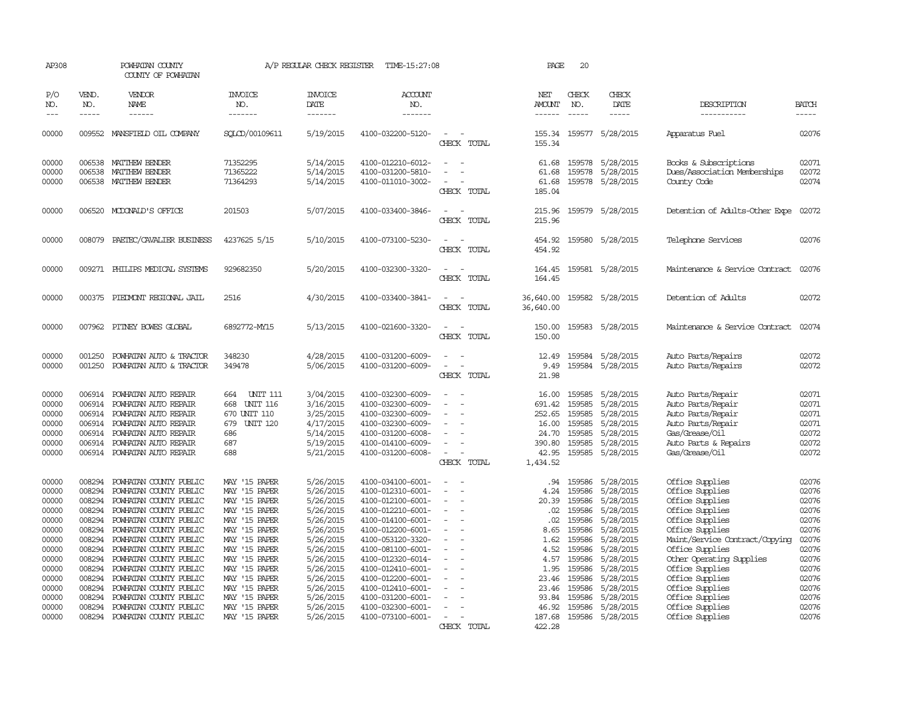| AP308                                                                                                                      |                                                                                                                                          | POWHATAN COUNTY<br>COUNTY OF POWHATAN                                                                                                                                                                                                                                                                                                                                    |                                                                                                                                                                                                                                            | A/P REGULAR CHECK REGISTER                                                                                                                                                         | TIME-15:27:08                                                                                                                                                                                                                                                                                      |                                         | PAGE                                                                                                           | 20                                                                                                                                       |                                                                                                                                                                                    |                                                                                                                                                                                                                                                                                                |                                                                                                                            |
|----------------------------------------------------------------------------------------------------------------------------|------------------------------------------------------------------------------------------------------------------------------------------|--------------------------------------------------------------------------------------------------------------------------------------------------------------------------------------------------------------------------------------------------------------------------------------------------------------------------------------------------------------------------|--------------------------------------------------------------------------------------------------------------------------------------------------------------------------------------------------------------------------------------------|------------------------------------------------------------------------------------------------------------------------------------------------------------------------------------|----------------------------------------------------------------------------------------------------------------------------------------------------------------------------------------------------------------------------------------------------------------------------------------------------|-----------------------------------------|----------------------------------------------------------------------------------------------------------------|------------------------------------------------------------------------------------------------------------------------------------------|------------------------------------------------------------------------------------------------------------------------------------------------------------------------------------|------------------------------------------------------------------------------------------------------------------------------------------------------------------------------------------------------------------------------------------------------------------------------------------------|----------------------------------------------------------------------------------------------------------------------------|
| P/O<br>NO.                                                                                                                 | VEND.<br>NO.                                                                                                                             | <b>VENDOR</b><br>NAME                                                                                                                                                                                                                                                                                                                                                    | <b>INVOICE</b><br>NO.                                                                                                                                                                                                                      | <b>INVOICE</b><br>DATE                                                                                                                                                             | <b>ACCOUNT</b><br>NO.                                                                                                                                                                                                                                                                              |                                         | NET<br><b>AMOUNT</b>                                                                                           | CHECK<br>NO.                                                                                                                             | CHECK<br>DATE                                                                                                                                                                      | DESCRIPTION                                                                                                                                                                                                                                                                                    | <b>BATCH</b>                                                                                                               |
| $---$                                                                                                                      | $\frac{1}{2}$                                                                                                                            | $\frac{1}{2}$                                                                                                                                                                                                                                                                                                                                                            | -------                                                                                                                                                                                                                                    | -------                                                                                                                                                                            | -------                                                                                                                                                                                                                                                                                            |                                         |                                                                                                                | $\frac{1}{2}$                                                                                                                            | -----                                                                                                                                                                              | -----------                                                                                                                                                                                                                                                                                    | $\frac{1}{2}$                                                                                                              |
| 00000                                                                                                                      |                                                                                                                                          | 009552 MANSFIELD OIL COMPANY                                                                                                                                                                                                                                                                                                                                             | SOLOD/00109611                                                                                                                                                                                                                             | 5/19/2015                                                                                                                                                                          | 4100-032200-5120-                                                                                                                                                                                                                                                                                  | CHECK TOTAL                             | 155.34                                                                                                         |                                                                                                                                          | 155.34 159577 5/28/2015                                                                                                                                                            | Apparatus Fuel                                                                                                                                                                                                                                                                                 | 02076                                                                                                                      |
| 00000<br>00000<br>00000                                                                                                    | 006538<br>006538<br>006538                                                                                                               | MATTHEW BENDER<br>MATTHEW BENDER<br>MATTHEW BENDER                                                                                                                                                                                                                                                                                                                       | 71352295<br>71365222<br>71364293                                                                                                                                                                                                           | 5/14/2015<br>5/14/2015<br>5/14/2015                                                                                                                                                | 4100-012210-6012-<br>4100-031200-5810-<br>4100-011010-3002-                                                                                                                                                                                                                                        | $\equiv$<br>$\sim$<br>CHECK TOTAL       | 61.68<br>61.68<br>61.68<br>185.04                                                                              | 159578                                                                                                                                   | 159578 5/28/2015<br>5/28/2015<br>159578 5/28/2015                                                                                                                                  | Books & Subscriptions<br>Dues/Association Memberships<br>County Code                                                                                                                                                                                                                           | 02071<br>02072<br>02074                                                                                                    |
| 00000                                                                                                                      |                                                                                                                                          | 006520 MCDONALD'S OFFICE                                                                                                                                                                                                                                                                                                                                                 | 201503                                                                                                                                                                                                                                     | 5/07/2015                                                                                                                                                                          | 4100-033400-3846-                                                                                                                                                                                                                                                                                  | CHECK TOTAL                             | 215.96<br>215.96                                                                                               |                                                                                                                                          | 159579 5/28/2015                                                                                                                                                                   | Detention of Adults-Other Expe                                                                                                                                                                                                                                                                 | 02072                                                                                                                      |
| 00000                                                                                                                      |                                                                                                                                          | 008079 PAETEC/CAVALIER BUSINESS                                                                                                                                                                                                                                                                                                                                          | 4237625 5/15                                                                                                                                                                                                                               | 5/10/2015                                                                                                                                                                          | 4100-073100-5230-                                                                                                                                                                                                                                                                                  | CHECK TOTAL                             | 454.92<br>454.92                                                                                               |                                                                                                                                          | 159580 5/28/2015                                                                                                                                                                   | Telephone Services                                                                                                                                                                                                                                                                             | 02076                                                                                                                      |
| 00000                                                                                                                      |                                                                                                                                          | 009271 PHILIPS MEDICAL SYSTEMS                                                                                                                                                                                                                                                                                                                                           | 929682350                                                                                                                                                                                                                                  | 5/20/2015                                                                                                                                                                          | 4100-032300-3320-                                                                                                                                                                                                                                                                                  | $\sim$<br>CHECK TOTAL                   | 164.45<br>164.45                                                                                               |                                                                                                                                          | 159581 5/28/2015                                                                                                                                                                   | Maintenance & Service Contract                                                                                                                                                                                                                                                                 | 02076                                                                                                                      |
| 00000                                                                                                                      |                                                                                                                                          | 000375 PIEDMONT REGIONAL JAIL                                                                                                                                                                                                                                                                                                                                            | 2516                                                                                                                                                                                                                                       | 4/30/2015                                                                                                                                                                          | 4100-033400-3841-                                                                                                                                                                                                                                                                                  | $\overline{\phantom{a}}$<br>CHECK TOTAL | 36,640.00<br>36,640.00                                                                                         |                                                                                                                                          | 159582 5/28/2015                                                                                                                                                                   | Detention of Adults                                                                                                                                                                                                                                                                            | 02072                                                                                                                      |
| 00000                                                                                                                      |                                                                                                                                          | 007962 PITNEY BOWES GLOBAL                                                                                                                                                                                                                                                                                                                                               | 6892772-MY15                                                                                                                                                                                                                               | 5/13/2015                                                                                                                                                                          | 4100-021600-3320-                                                                                                                                                                                                                                                                                  | CHECK TOTAL                             | 150.00<br>150.00                                                                                               |                                                                                                                                          | 159583 5/28/2015                                                                                                                                                                   | Maintenance & Service Contract                                                                                                                                                                                                                                                                 | 02074                                                                                                                      |
| 00000<br>00000                                                                                                             | 001250<br>001250                                                                                                                         | POWHATAN AUTO & TRACTOR<br>POWHATAN AUTO & TRACTOR                                                                                                                                                                                                                                                                                                                       | 348230<br>349478                                                                                                                                                                                                                           | 4/28/2015<br>5/06/2015                                                                                                                                                             | 4100-031200-6009-<br>4100-031200-6009-                                                                                                                                                                                                                                                             | CHECK TOTAL                             | 12.49<br>9.49<br>21.98                                                                                         | 159584<br>159584                                                                                                                         | 5/28/2015<br>5/28/2015                                                                                                                                                             | Auto Parts/Repairs<br>Auto Parts/Repairs                                                                                                                                                                                                                                                       | 02072<br>02072                                                                                                             |
| 00000<br>00000<br>00000<br>00000<br>00000<br>00000<br>00000                                                                | 006914<br>006914                                                                                                                         | 006914 POWHATAN AUTO REPAIR<br>POWHATAN AUTO REPAIR<br>006914 POWHATAN AUTO REPAIR<br>006914 POWHATAN AUTO REPAIR<br>POWHATAN AUTO REPAIR<br>006914 POWHATAN AUTO REPAIR<br>006914 POWHATAN AUTO REPAIR                                                                                                                                                                  | <b>UNIT 111</b><br>664<br><b>UNIT 116</b><br>668<br>670 UNIT 110<br>679<br>UNIT 120<br>686<br>687<br>688                                                                                                                                   | 3/04/2015<br>3/16/2015<br>3/25/2015<br>4/17/2015<br>5/14/2015<br>5/19/2015<br>5/21/2015                                                                                            | 4100-032300-6009-<br>4100-032300-6009-<br>4100-032300-6009-<br>4100-032300-6009-<br>4100-031200-6008-<br>4100-014100-6009-<br>4100-031200-6008-                                                                                                                                                    | $\overline{\phantom{a}}$<br>CHECK TOTAL | 16.00<br>691.42<br>252.65<br>16.00<br>24.70<br>390.80<br>42.95<br>1,434.52                                     | 159585<br>159585<br>159585<br>159585<br>159585<br>159585                                                                                 | 5/28/2015<br>5/28/2015<br>5/28/2015<br>5/28/2015<br>5/28/2015<br>5/28/2015<br>159585 5/28/2015                                                                                     | Auto Parts/Repair<br>Auto Parts/Repair<br>Auto Parts/Repair<br>Auto Parts/Repair<br>Gas/Grease/0il<br>Auto Parts & Repairs<br>Gas/Grease/Oil                                                                                                                                                   | 02071<br>02071<br>02071<br>02071<br>02072<br>02072<br>02072                                                                |
| 00000<br>00000<br>00000<br>00000<br>00000<br>00000<br>00000<br>00000<br>00000<br>00000<br>00000<br>00000<br>00000<br>00000 | 008294<br>008294<br>008294<br>008294<br>008294<br>008294<br>008294<br>008294<br>008294<br>008294<br>008294<br>008294<br>008294<br>008294 | POWHATAN COUNTY PUBLIC<br>POWHATAN COUNTY PUBLIC<br>POWHATAN COUNTY PUBLIC<br>POWHATAN COUNTY PUBLIC<br>POWHATAN COUNTY PUBLIC<br>POWHATAN COUNTY PUBLIC<br>POWHATAN COUNTY PUBLIC<br>POWHATAN COUNTY PUBLIC<br>POWHATAN COUNTY PUBLIC<br>POWHATAN COUNTY PUBLIC<br>POWHATAN COUNTY PUBLIC<br>POWHATAN COUNTY PUBLIC<br>POWHATAN COUNTY PUBLIC<br>POWHATAN COUNTY PUBLIC | MAY '15 PAPER<br>MAY '15 PAPER<br>MAY '15 PAPER<br>MAY '15 PAPER<br>MAY '15 PAPER<br>MAY '15 PAPER<br>MAY '15 PAPER<br>MAY '15 PAPER<br>MAY '15 PAPER<br>MAY '15 PAPER<br>MAY '15 PAPER<br>MAY '15 PAPER<br>MAY '15 PAPER<br>MAY '15 PAPER | 5/26/2015<br>5/26/2015<br>5/26/2015<br>5/26/2015<br>5/26/2015<br>5/26/2015<br>5/26/2015<br>5/26/2015<br>5/26/2015<br>5/26/2015<br>5/26/2015<br>5/26/2015<br>5/26/2015<br>5/26/2015 | 4100-034100-6001-<br>4100-012310-6001-<br>4100-012100-6001-<br>4100-012210-6001-<br>4100-014100-6001-<br>4100-012200-6001-<br>4100-053120-3320-<br>4100-081100-6001-<br>4100-012320-6014-<br>4100-012410-6001-<br>4100-012200-6001-<br>4100-012410-6001-<br>4100-031200-6001-<br>4100-032300-6001- | $\equiv$                                | .94<br>4.24<br>20.39<br>.02<br>.02<br>8.65<br>1.62<br>4.52<br>4.57<br>1.95<br>23.46<br>23.46<br>93.84<br>46.92 | 159586<br>159586<br>159586<br>159586<br>159586<br>159586<br>159586<br>159586<br>159586<br>159586<br>159586<br>159586<br>159586<br>159586 | 5/28/2015<br>5/28/2015<br>5/28/2015<br>5/28/2015<br>5/28/2015<br>5/28/2015<br>5/28/2015<br>5/28/2015<br>5/28/2015<br>5/28/2015<br>5/28/2015<br>5/28/2015<br>5/28/2015<br>5/28/2015 | Office Supplies<br>Office Supplies<br>Office Supplies<br>Office Supplies<br>Office Supplies<br>Office Supplies<br>Maint/Service Contract/Copying<br>Office Supplies<br>Other Operating Supplies<br>Office Supplies<br>Office Supplies<br>Office Supplies<br>Office Supplies<br>Office Supplies | 02076<br>02076<br>02076<br>02076<br>02076<br>02076<br>02076<br>02076<br>02076<br>02076<br>02076<br>02076<br>02076<br>02076 |
| 00000                                                                                                                      |                                                                                                                                          | 008294 POWHATAN COUNTY PUBLIC                                                                                                                                                                                                                                                                                                                                            | MAY '15 PAPER                                                                                                                                                                                                                              | 5/26/2015                                                                                                                                                                          | 4100-073100-6001-                                                                                                                                                                                                                                                                                  | $\overline{\phantom{a}}$<br>CHECK TOTAL | 187.68<br>422.28                                                                                               | 159586                                                                                                                                   | 5/28/2015                                                                                                                                                                          | Office Supplies                                                                                                                                                                                                                                                                                | 02076                                                                                                                      |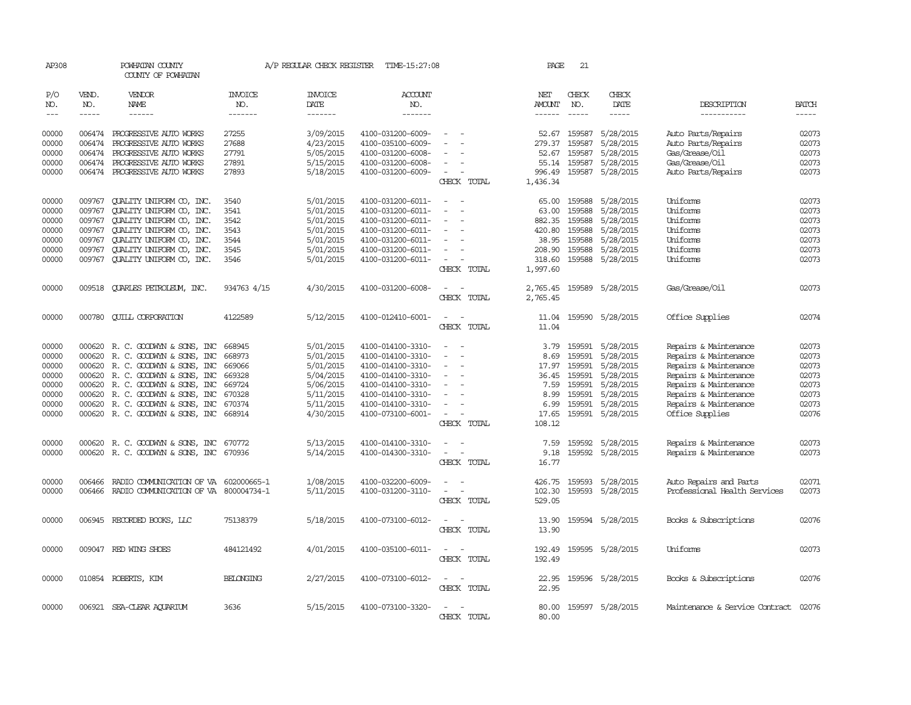| AP308                                                                |                                                                    | POWHATAN COUNTY<br>COUNTY OF POWHATAN                                                                                                                                                                                                                                                       |                                                                    |                                                                                                      | A/P REGULAR CHECK REGISTER TIME-15:27:08                                                                                                                             |                                                               | PAGE                                                                        | 21                                                                 |                                                                                                             |                                                                                                                                                                                                |                                                                      |
|----------------------------------------------------------------------|--------------------------------------------------------------------|---------------------------------------------------------------------------------------------------------------------------------------------------------------------------------------------------------------------------------------------------------------------------------------------|--------------------------------------------------------------------|------------------------------------------------------------------------------------------------------|----------------------------------------------------------------------------------------------------------------------------------------------------------------------|---------------------------------------------------------------|-----------------------------------------------------------------------------|--------------------------------------------------------------------|-------------------------------------------------------------------------------------------------------------|------------------------------------------------------------------------------------------------------------------------------------------------------------------------------------------------|----------------------------------------------------------------------|
| P/O<br>NO.<br>$\qquad \qquad - -$                                    | VEND.<br>NO.<br>$- - - - -$                                        | VENDOR<br>NAME<br>------                                                                                                                                                                                                                                                                    | <b>INVOICE</b><br>NO.<br>-------                                   | <b>INVOICE</b><br><b>DATE</b><br>-------                                                             | <b>ACCOUNT</b><br>NO.<br>-------                                                                                                                                     |                                                               | NET<br>AMOUNT<br>$- - - - - -$                                              | CHECK<br>NO.<br>$\frac{1}{2}$                                      | CHECK<br>DATE<br>-----                                                                                      | DESCRIPTION<br>-----------                                                                                                                                                                     | <b>BATCH</b><br>-----                                                |
| 00000<br>00000<br>00000<br>00000                                     | 006474<br>006474<br>006474<br>006474                               | PROGRESSIVE AUTO WORKS<br>PROGRESSIVE AUTO WORKS<br>PROGRESSIVE AUTO WORKS<br>PROGRESSIVE AUTO WORKS                                                                                                                                                                                        | 27255<br>27688<br>27791<br>27891                                   | 3/09/2015<br>4/23/2015<br>5/05/2015<br>5/15/2015                                                     | 4100-031200-6009-<br>4100-035100-6009-<br>4100-031200-6008-<br>4100-031200-6008-                                                                                     |                                                               | 52.67<br>279.37<br>52.67<br>55.14                                           | 159587<br>159587<br>159587<br>159587                               | 5/28/2015<br>5/28/2015<br>5/28/2015<br>5/28/2015                                                            | Auto Parts/Repairs<br>Auto Parts/Repairs<br>Gas/Grease/Oil<br>Gas/Grease/Oil                                                                                                                   | 02073<br>02073<br>02073<br>02073                                     |
| 00000                                                                |                                                                    | 006474 PROGRESSIVE AUTO WORKS                                                                                                                                                                                                                                                               | 27893                                                              | 5/18/2015                                                                                            | 4100-031200-6009-                                                                                                                                                    | $\sim$<br>CHECK TOTAL                                         | 996.49<br>1,436.34                                                          |                                                                    | 159587 5/28/2015                                                                                            | Auto Parts/Repairs                                                                                                                                                                             | 02073                                                                |
| 00000<br>00000<br>00000<br>00000<br>00000<br>00000<br>00000          | 009767<br>009767<br>009767<br>009767<br>009767<br>009767<br>009767 | QUALITY UNIFORM CO, INC.<br>QUALITY UNIFORM CO, INC.<br>QUALITY UNIFORM CO, INC.<br>QUALITY UNIFORM CO, INC.<br>QUALITY UNIFORM CO, INC.<br>QUALITY UNIFORM CO, INC.<br>QUALITY UNIFORM CO, INC.                                                                                            | 3540<br>3541<br>3542<br>3543<br>3544<br>3545<br>3546               | 5/01/2015<br>5/01/2015<br>5/01/2015<br>5/01/2015<br>5/01/2015<br>5/01/2015<br>5/01/2015              | 4100-031200-6011-<br>4100-031200-6011-<br>4100-031200-6011-<br>4100-031200-6011-<br>4100-031200-6011-<br>4100-031200-6011-<br>4100-031200-6011-                      | CHECK TOTAL                                                   | 65.00<br>63.00<br>882.35<br>420.80<br>38.95<br>208.90<br>318.60<br>1,997.60 | 159588<br>159588<br>159588<br>159588<br>159588<br>159588           | 5/28/2015<br>5/28/2015<br>5/28/2015<br>5/28/2015<br>5/28/2015<br>5/28/2015<br>159588 5/28/2015              | Uniforms<br>Uniforms<br>Uniforms<br>Uniforms<br>Uniforms<br>Uniforms<br>Uniforms                                                                                                               | 02073<br>02073<br>02073<br>02073<br>02073<br>02073<br>02073          |
| 00000                                                                | 009518                                                             | <b>OUARLES PETROLEUM, INC.</b>                                                                                                                                                                                                                                                              | 934763 4/15                                                        | 4/30/2015                                                                                            | 4100-031200-6008-                                                                                                                                                    | CHECK TOTAL                                                   | 2,765.45<br>2,765.45                                                        |                                                                    | 159589 5/28/2015                                                                                            | Gas/Grease/Oil                                                                                                                                                                                 | 02073                                                                |
| 00000                                                                | 000780                                                             | <b>QUILL CORPORATION</b>                                                                                                                                                                                                                                                                    | 4122589                                                            | 5/12/2015                                                                                            | 4100-012410-6001-                                                                                                                                                    | CHECK TOTAL                                                   | 11.04<br>11.04                                                              |                                                                    | 159590 5/28/2015                                                                                            | Office Supplies                                                                                                                                                                                | 02074                                                                |
| 00000<br>00000<br>00000<br>00000<br>00000<br>00000<br>00000<br>00000 | 000620                                                             | 000620 R. C. GOODWYN & SONS, INC<br>R. C. GOODWYN & SONS, INC<br>000620 R. C. GOODWYN & SONS, INC<br>000620 R. C. GOODWYN & SONS, INC<br>000620 R.C. GOODWYN & SONS, INC<br>000620 R. C. GOODWYN & SONS, INC<br>000620 R. C. GOODWYN & SONS, INC<br>000620 R. C. GOODWYN & SONS, INC 668914 | 668945<br>668973<br>669066<br>669328<br>669724<br>670328<br>670374 | 5/01/2015<br>5/01/2015<br>5/01/2015<br>5/04/2015<br>5/06/2015<br>5/11/2015<br>5/11/2015<br>4/30/2015 | 4100-014100-3310-<br>4100-014100-3310-<br>4100-014100-3310-<br>4100-014100-3310-<br>4100-014100-3310-<br>4100-014100-3310-<br>4100-014100-3310-<br>4100-073100-6001- | $\equiv$<br>$\overline{\phantom{a}}$<br>CHECK TOTAL           | 3.79<br>8.69<br>17.97<br>36.45<br>7.59<br>8.99<br>6.99<br>17.65<br>108.12   | 159591<br>159591<br>159591<br>159591<br>159591<br>159591<br>159591 | 5/28/2015<br>5/28/2015<br>5/28/2015<br>5/28/2015<br>5/28/2015<br>5/28/2015<br>5/28/2015<br>159591 5/28/2015 | Repairs & Maintenance<br>Repairs & Maintenance<br>Repairs & Maintenance<br>Repairs & Maintenance<br>Repairs & Maintenance<br>Repairs & Maintenance<br>Repairs & Maintenance<br>Office Supplies | 02073<br>02073<br>02073<br>02073<br>02073<br>02073<br>02073<br>02076 |
| 00000<br>00000                                                       |                                                                    | 000620 R.C. GOODWYN & SONS, INC 670772<br>000620 R. C. GOODWYN & SONS, INC                                                                                                                                                                                                                  | 670936                                                             | 5/13/2015<br>5/14/2015                                                                               | 4100-014100-3310-<br>4100-014300-3310-                                                                                                                               | $\overline{\phantom{a}}$<br>$\equiv$<br>$\sim$<br>CHECK TOTAL | 7.59<br>9.18<br>16.77                                                       | 159592<br>159592                                                   | 5/28/2015<br>5/28/2015                                                                                      | Repairs & Maintenance<br>Repairs & Maintenance                                                                                                                                                 | 02073<br>02073                                                       |
| 00000<br>00000                                                       | 006466                                                             | RADIO COMMUNICATION OF VA 602000665-1<br>006466 RADIO COMMUNICATION OF VA 800004734-1                                                                                                                                                                                                       |                                                                    | 1/08/2015<br>5/11/2015                                                                               | 4100-032200-6009-<br>4100-031200-3110-                                                                                                                               | $\sim$<br>CHECK TOTAL                                         | 426.75<br>102.30<br>529.05                                                  | 159593<br>159593                                                   | 5/28/2015<br>5/28/2015                                                                                      | Auto Repairs and Parts<br>Professional Health Services                                                                                                                                         | 02071<br>02073                                                       |
| 00000                                                                |                                                                    | 006945 RECORDED BOOKS, LLC                                                                                                                                                                                                                                                                  | 75138379                                                           | 5/18/2015                                                                                            | 4100-073100-6012-                                                                                                                                                    | $\sim$<br>$\overline{\phantom{a}}$<br>CHECK TOTAL             | 13.90<br>13.90                                                              |                                                                    | 159594 5/28/2015                                                                                            | Books & Subscriptions                                                                                                                                                                          | 02076                                                                |
| 00000                                                                |                                                                    | 009047 RED WING SHOES                                                                                                                                                                                                                                                                       | 484121492                                                          | 4/01/2015                                                                                            | 4100-035100-6011-                                                                                                                                                    | $\sim$<br>- -<br>CHECK TOTAL                                  | 192.49<br>192.49                                                            |                                                                    | 159595 5/28/2015                                                                                            | Uniforms                                                                                                                                                                                       | 02073                                                                |
| 00000                                                                |                                                                    | 010854 ROBERTS, KIM                                                                                                                                                                                                                                                                         | <b>BELONGING</b>                                                   | 2/27/2015                                                                                            | 4100-073100-6012-                                                                                                                                                    | CHECK TOTAL                                                   | 22.95<br>22.95                                                              |                                                                    | 159596 5/28/2015                                                                                            | Books & Subscriptions                                                                                                                                                                          | 02076                                                                |
| 00000                                                                |                                                                    | 006921 SEA-CLEAR AQUARIUM                                                                                                                                                                                                                                                                   | 3636                                                               | 5/15/2015                                                                                            | 4100-073100-3320-                                                                                                                                                    | $\sim$<br>CHECK TOTAL                                         | 80.00<br>80.00                                                              |                                                                    | 159597 5/28/2015                                                                                            | Maintenance & Service Contract 02076                                                                                                                                                           |                                                                      |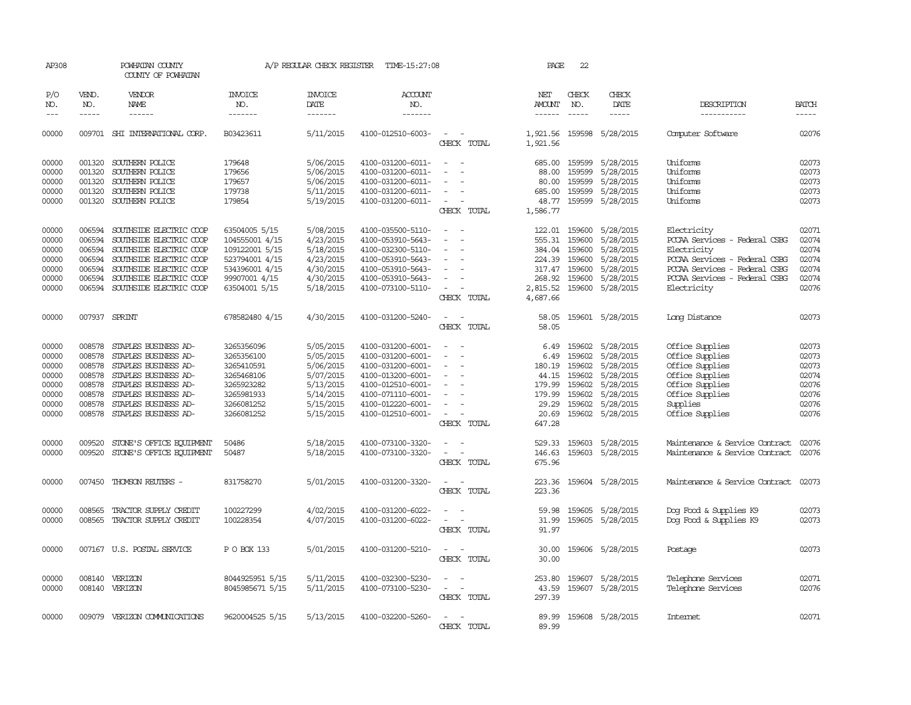| AP308         |              | POWHATAN COUNTY<br>COUNTY OF POWHATAN |                       | A/P REGULAR CHECK REGISTER | TIME-15:27:08         |                          | PAGE                 | 22            |                           |                                |              |
|---------------|--------------|---------------------------------------|-----------------------|----------------------------|-----------------------|--------------------------|----------------------|---------------|---------------------------|--------------------------------|--------------|
| P/O<br>NO.    | VEND.<br>NO. | VENDOR<br><b>NAME</b>                 | <b>INVOICE</b><br>NO. | <b>INVOICE</b><br>DATE     | <b>ACCOUNT</b><br>NO. |                          | NET<br><b>AMOUNT</b> | CHECK<br>NO.  | CHECK<br>DATE             | DESCRIPTION                    | <b>BATCH</b> |
| $\frac{1}{2}$ | $- - - - -$  | ------                                | -------               | -------                    | -------               |                          | ------               | $- - - - -$   | -----                     | -----------                    | -----        |
| 00000         |              | 009701 SHI INTERNATIONAL CORP.        | B03423611             | 5/11/2015                  | 4100-012510-6003-     | $\sim$<br>CHECK TOTAL    | 1,921.56             |               | 1,921.56 159598 5/28/2015 | Computer Software              | 02076        |
| 00000         | 001320       | SOUTHERN POLICE                       | 179648                | 5/06/2015                  | 4100-031200-6011-     | $\sim$                   | 685.00               | 159599        | 5/28/2015                 | Uniforms                       | 02073        |
| 00000         | 001320       | SOUTHERN POLICE                       | 179656                | 5/06/2015                  | 4100-031200-6011-     | $\overline{\phantom{a}}$ | 88.00                | 159599        | 5/28/2015                 | Uniforms                       | 02073        |
| 00000         | 001320       | SOUTHERN POLICE                       | 179657                | 5/06/2015                  | 4100-031200-6011-     |                          | 80.00                | 159599        | 5/28/2015                 | Uniforms                       | 02073        |
| 00000         | 001320       | SOUTHERN POLICE                       | 179738                | 5/11/2015                  | 4100-031200-6011-     |                          | 685.00               | 159599        | 5/28/2015                 | Uniforms                       | 02073        |
| 00000         |              | 001320 SOUTHERN POLICE                | 179854                | 5/19/2015                  | 4100-031200-6011-     | $\overline{\phantom{a}}$ |                      |               | 48.77 159599 5/28/2015    | Uniforms                       | 02073        |
|               |              |                                       |                       |                            |                       | CHECK TOTAL              | 1,586.77             |               |                           |                                |              |
| 00000         | 006594       | SOUTHSIDE ELECTRIC COOP               | 63504005 5/15         | 5/08/2015                  | 4100-035500-5110-     |                          | 122.01               | 159600        | 5/28/2015                 | Electricity                    | 02071        |
| 00000         | 006594       | SOUTHSIDE ELECTRIC COOP               | 104555001 4/15        | 4/23/2015                  | 4100-053910-5643-     | $\overline{\phantom{a}}$ | 555.31               | 159600        | 5/28/2015                 | PCCAA Services - Federal CSBG  | 02074        |
| 00000         | 006594       | SOUTHSIDE ELECTRIC COOP               | 109122001 5/15        | 5/18/2015                  | 4100-032300-5110-     | $\overline{\phantom{a}}$ | 384.04               | 159600        | 5/28/2015                 | Electricity                    | 02074        |
| 00000         | 006594       | SOUTHSIDE ELECTRIC COOP               | 523794001 4/15        | 4/23/2015                  | 4100-053910-5643-     |                          | 224.39               | 159600        | 5/28/2015                 | PCCAA Services - Federal CSBG  | 02074        |
| 00000         | 006594       | SOUTHSIDE ELECTRIC COOP               | 534396001 4/15        | 4/30/2015                  | 4100-053910-5643-     |                          |                      | 317.47 159600 | 5/28/2015                 | PCCAA Services - Federal CSBG  | 02074        |
| 00000         | 006594       | SOUTHSIDE ELECTRIC COOP               | 99907001 4/15         | 4/30/2015                  | 4100-053910-5643-     | $\equiv$                 |                      |               | 268.92 159600 5/28/2015   | PCCAA Services - Federal CSBG  | 02074        |
| 00000         | 006594       | SOUTHSIDE ELECTRIC COOP               | 63504001 5/15         | 5/18/2015                  | 4100-073100-5110-     | $\equiv$                 | 2,815.52             | 159600        | 5/28/2015                 | Electricity                    | 02076        |
|               |              |                                       |                       |                            |                       | CHECK TOTAL              | 4,687.66             |               |                           |                                |              |
| 00000         |              | 007937 SPRINT                         | 678582480 4/15        | 4/30/2015                  | 4100-031200-5240-     | $\equiv$                 | 58.05                |               | 159601 5/28/2015          | Long Distance                  | 02073        |
|               |              |                                       |                       |                            |                       | CHECK TOTAL              | 58.05                |               |                           |                                |              |
| 00000         | 008578       | STAPLES BUSINESS AD-                  | 3265356096            | 5/05/2015                  | 4100-031200-6001-     | $\sim$                   | 6.49                 |               | 159602 5/28/2015          | Office Supplies                | 02073        |
| 00000         | 008578       | STAPLES BUSINESS AD-                  | 3265356100            | 5/05/2015                  | 4100-031200-6001-     |                          | 6.49                 | 159602        | 5/28/2015                 | Office Supplies                | 02073        |
| 00000         | 008578       | STAPLES BUSINESS AD-                  | 3265410591            | 5/06/2015                  | 4100-031200-6001-     |                          | 180.19               | 159602        | 5/28/2015                 | Office Supplies                | 02073        |
| 00000         | 008578       | STAPLES BUSINESS AD-                  | 3265468106            | 5/07/2015                  | 4100-013200-6001-     |                          | 44.15                | 159602        | 5/28/2015                 | Office Supplies                | 02074        |
| 00000         | 008578       | STAPLES BUSINESS AD-                  | 3265923282            | 5/13/2015                  | 4100-012510-6001-     | $\equiv$                 | 179.99               |               | 159602 5/28/2015          | Office Supplies                | 02076        |
| 00000         | 008578       | STAPLES BUSINESS AD-                  | 3265981933            | 5/14/2015                  | 4100-071110-6001-     |                          | 179.99               |               | 159602 5/28/2015          | Office Supplies                | 02076        |
| 00000         | 008578       | STAPLES BUSINESS AD-                  | 3266081252            | 5/15/2015                  | 4100-012220-6001-     |                          | 29.29                |               | 159602 5/28/2015          | Supplies                       | 02076        |
| 00000         | 008578       | STAPLES BUSINESS AD-                  | 3266081252            | 5/15/2015                  | 4100-012510-6001-     | $\overline{\phantom{a}}$ | 20.69                |               | 159602 5/28/2015          | Office Supplies                | 02076        |
|               |              |                                       |                       |                            |                       | CHECK TOTAL              | 647.28               |               |                           |                                |              |
| 00000         | 009520       | STONE'S OFFICE EQUIPMENT              | 50486                 | 5/18/2015                  | 4100-073100-3320-     |                          | 529.33               |               | 159603 5/28/2015          | Maintenance & Service Contract | 02076        |
| 00000         | 009520       | STONE'S OFFICE EQUIPMENT              | 50487                 | 5/18/2015                  | 4100-073100-3320-     | $\sim$                   | 146.63               |               | 159603 5/28/2015          | Maintenance & Service Contract | 02076        |
|               |              |                                       |                       |                            |                       | CHECK TOTAL              | 675.96               |               |                           |                                |              |
| 00000         |              | 007450 THOMSON REUTERS -              | 831758270             | 5/01/2015                  | 4100-031200-3320-     | $\sim$ $\sim$            | 223.36               |               | 159604 5/28/2015          | Maintenance & Service Contract | 02073        |
|               |              |                                       |                       |                            |                       | CHECK TOTAL              | 223.36               |               |                           |                                |              |
| 00000         | 008565       | TRACTOR SUPPLY CREDIT                 | 100227299             | 4/02/2015                  | 4100-031200-6022-     |                          | 59.98                |               | 159605 5/28/2015          | Dog Food & Supplies K9         | 02073        |
| 00000         | 008565       | TRACTOR SUPPLY CREDIT                 | 100228354             | 4/07/2015                  | 4100-031200-6022-     |                          | 31.99                |               | 159605 5/28/2015          | Dog Food & Supplies K9         | 02073        |
|               |              |                                       |                       |                            |                       | CHECK TOTAL              | 91.97                |               |                           |                                |              |
| 00000         |              | 007167 U.S. POSTAL SERVICE            | P O BOX 133           | 5/01/2015                  | 4100-031200-5210-     |                          | 30.00                |               | 159606 5/28/2015          | Postage                        | 02073        |
|               |              |                                       |                       |                            |                       | CHECK TOTAL              | 30.00                |               |                           |                                |              |
| 00000         |              | 008140 VERIZON                        | 8044925951 5/15       | 5/11/2015                  | 4100-032300-5230-     |                          | 253.80               |               | 159607 5/28/2015          | Telephone Services             | 02071        |
| 00000         |              | 008140 VERIZON                        | 8045985671 5/15       | 5/11/2015                  | 4100-073100-5230-     | $\equiv$                 | 43.59                |               | 159607 5/28/2015          | Telephone Services             | 02076        |
|               |              |                                       |                       |                            |                       | CHECK TOTAL              | 297.39               |               |                           |                                |              |
|               |              |                                       |                       |                            |                       |                          |                      |               |                           |                                |              |
| 00000         |              | 009079 VERIZON COMUNICATIONS          | 9620004525 5/15       | 5/13/2015                  | 4100-032200-5260-     | $\equiv$                 | 89.99                |               | 159608 5/28/2015          | Intemet                        | 02071        |
|               |              |                                       |                       |                            |                       | CHECK TOTAL              | 89.99                |               |                           |                                |              |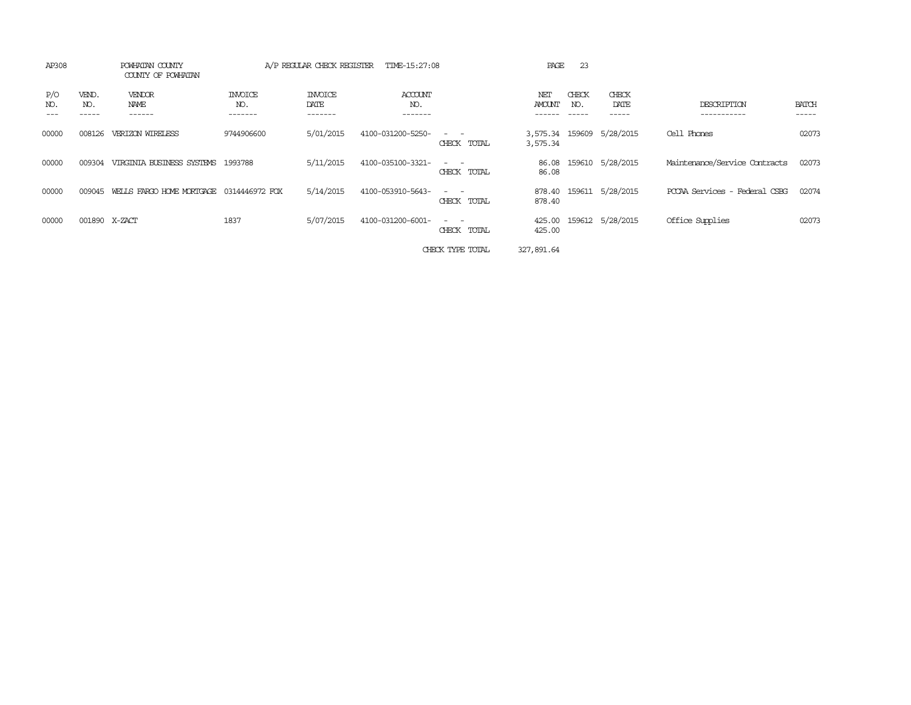| AP308                               | POWHATAN COUNTY<br>COUNTY OF POWHATAN |                           | A/P REGULAR CHECK REGISTER | TIME-15:27:08                    |                                                                                                                             | PAGE             | 23                    |                           |                               |                       |
|-------------------------------------|---------------------------------------|---------------------------|----------------------------|----------------------------------|-----------------------------------------------------------------------------------------------------------------------------|------------------|-----------------------|---------------------------|-------------------------------|-----------------------|
| P/O<br>VEND.<br>NO.<br>NO.<br>----- | VENDOR<br>NAME<br>------              | INVOICE<br>NO.<br>------- | INVOICE<br>DATE<br>------- | <b>ACCOUNT</b><br>NO.<br>------- |                                                                                                                             | NET<br>AMOUNT    | CHECK<br>NO.<br>----- | CHECK<br>DATE<br>------   | DESCRIPTION<br>-----------    | <b>BATCH</b><br>----- |
| 00000<br>008126                     | VERIZON WIRELESS                      | 9744906600                | 5/01/2015                  | 4100-031200-5250-                | CHECK TOTAL                                                                                                                 | 3,575.34         |                       | 3,575.34 159609 5/28/2015 | Cell Phones                   | 02073                 |
| 00000<br>009304                     | VIRGINIA BUSINESS SYSTEMS             | 1993788                   | 5/11/2015                  | 4100-035100-3321-                | $\frac{1}{2} \left( \frac{1}{2} \right) \left( \frac{1}{2} \right) = \frac{1}{2} \left( \frac{1}{2} \right)$<br>CHECK TOTAL | 86.08<br>86.08   |                       | 159610 5/28/2015          | Maintenance/Service Contracts | 02073                 |
| 00000<br>009045                     | WELLS FARGO HOME MORTGAGE             | 0314446972 FOX            | 5/14/2015                  | 4100-053910-5643-                | $\overline{\phantom{a}}$<br>CHECK TOTAL                                                                                     | 878.40<br>878.40 |                       | 159611 5/28/2015          | PCCAA Services - Federal CSBG | 02074                 |
| 00000                               | 001890 X-ZACT                         | 1837                      | 5/07/2015                  | 4100-031200-6001-                | $\frac{1}{2} \left( \frac{1}{2} \right) \left( \frac{1}{2} \right) = \frac{1}{2} \left( \frac{1}{2} \right)$<br>CHECK TOTAL | 425.00<br>425.00 |                       | 159612 5/28/2015          | Office Supplies               | 02073                 |
|                                     |                                       |                           |                            |                                  | CHECK TYPE TOTAL                                                                                                            | 327,891.64       |                       |                           |                               |                       |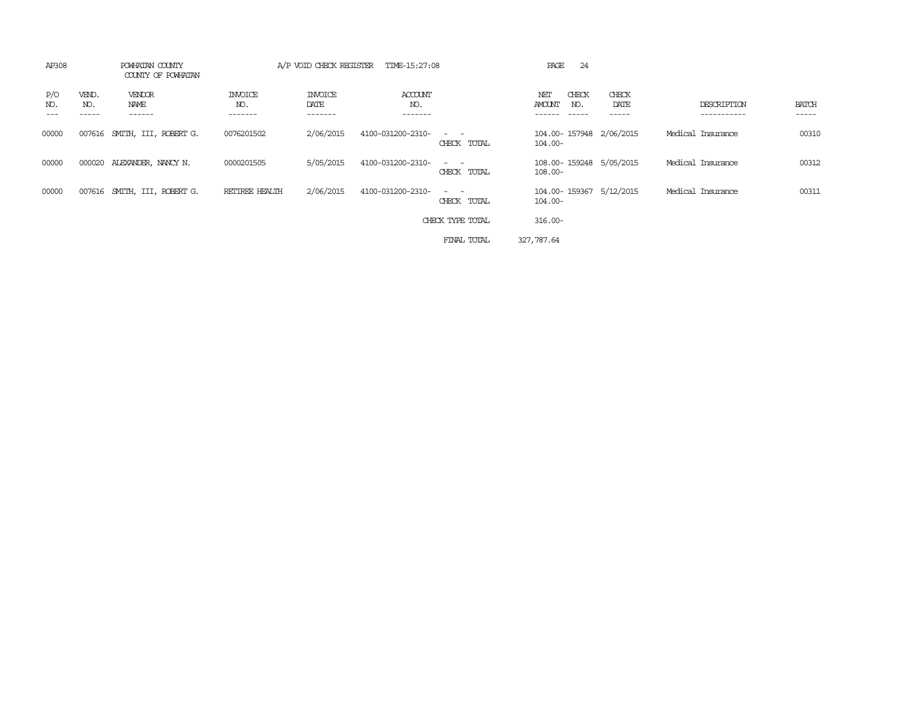| AP308      |                       | POWHATAN COUNTY<br>COUNTY OF POWHATAN |                                  | A/P VOID CHECK REGISTER           | TIME-15:27:08             |                                                                                                                                          | -24<br>PAGE                           |                             |                                      |                       |
|------------|-----------------------|---------------------------------------|----------------------------------|-----------------------------------|---------------------------|------------------------------------------------------------------------------------------------------------------------------------------|---------------------------------------|-----------------------------|--------------------------------------|-----------------------|
| P/O<br>NO. | VEND.<br>NO.<br>----- | VENDOR<br>NAME<br>------              | <b>INVOICE</b><br>NO.<br>------- | <b>INVOICE</b><br>DATE<br>------- | ACCOUNT<br>NO.<br>------- |                                                                                                                                          | CHECK<br>NET<br>AMOUNT<br>NO.         | CHECK<br>DATE<br>. <b>.</b> | DESCRIPTION<br>. _ _ _ _ _ _ _ _ _ _ | <b>BATCH</b><br>----- |
| 00000      |                       | 007616 SMITH, III, ROBERT G.          | 0076201502                       | 2/06/2015                         | 4100-031200-2310-         | $\frac{1}{2} \left( \frac{1}{2} \right) \left( \frac{1}{2} \right) \left( \frac{1}{2} \right) \left( \frac{1}{2} \right)$<br>CHECK TOTAL | 104.00-157948 2/06/2015<br>$104.00 -$ |                             | Medical Insurance                    | 00310                 |
| 00000      |                       | 000020 ALEXANDER, NANCY N.            | 0000201505                       | 5/05/2015                         | 4100-031200-2310-         | $\frac{1}{2} \left( \frac{1}{2} \right) \left( \frac{1}{2} \right) \left( \frac{1}{2} \right) \left( \frac{1}{2} \right)$<br>CHECK TOTAL | 108.00-159248 5/05/2015<br>$108.00 -$ |                             | Medical Insurance                    | 00312                 |
| 00000      |                       | 007616 SMITH, III, ROBERT G.          | RETIREE HEALTH                   | 2/06/2015                         | 4100-031200-2310-         | $\sim$ $ \sim$<br>CHECK TOTAL                                                                                                            | 104.00-159367 5/12/2015<br>$104.00 -$ |                             | Medical Insurance                    | 00311                 |
|            |                       |                                       |                                  |                                   |                           | CHECK TYPE TOTAL                                                                                                                         | $316.00 -$                            |                             |                                      |                       |
|            |                       |                                       |                                  |                                   |                           | FINAL TOTAL                                                                                                                              | 327,787.64                            |                             |                                      |                       |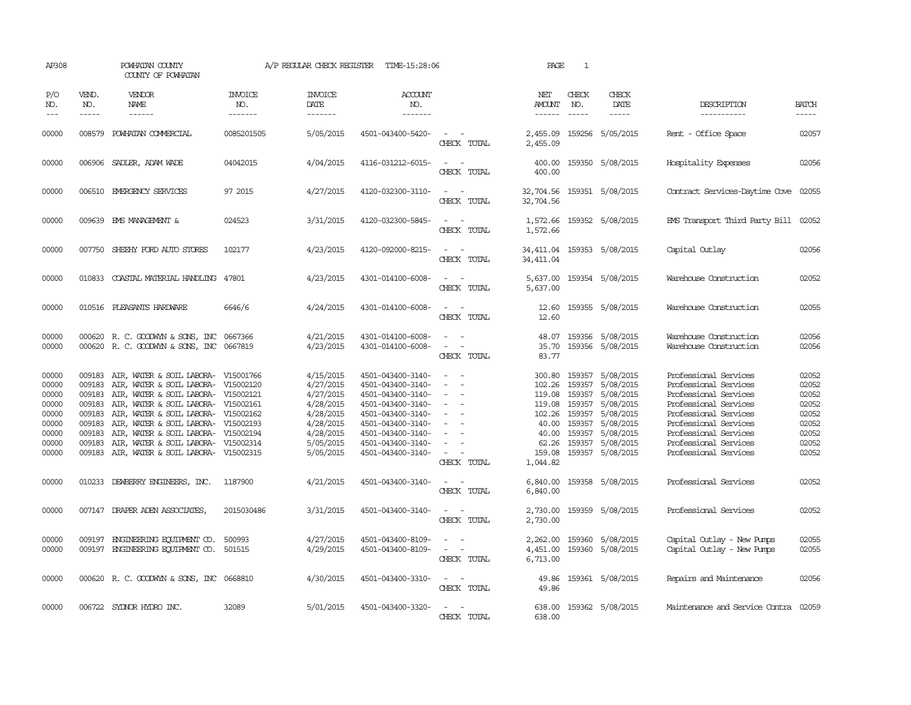| AP308                                                                         |                                                                              | POWHATAN COUNTY<br>COUNTY OF POWHATAN                                                                                                                                                                                                                                                                                                          |                                  | A/P REGULAR CHECK REGISTER                                                                                        | TIME-15:28:06                                                                                                                                                                             |                                                                                                                             | PAGE                                                                                   | $\mathbf{1}$                         |                                                                                                                                                            |                                                                                                                                                                                                                               |                                                                               |
|-------------------------------------------------------------------------------|------------------------------------------------------------------------------|------------------------------------------------------------------------------------------------------------------------------------------------------------------------------------------------------------------------------------------------------------------------------------------------------------------------------------------------|----------------------------------|-------------------------------------------------------------------------------------------------------------------|-------------------------------------------------------------------------------------------------------------------------------------------------------------------------------------------|-----------------------------------------------------------------------------------------------------------------------------|----------------------------------------------------------------------------------------|--------------------------------------|------------------------------------------------------------------------------------------------------------------------------------------------------------|-------------------------------------------------------------------------------------------------------------------------------------------------------------------------------------------------------------------------------|-------------------------------------------------------------------------------|
| P/O<br>NO.<br>$---$                                                           | VEND.<br>NO.<br>$- - - - -$                                                  | <b>VENDOR</b><br>NAME                                                                                                                                                                                                                                                                                                                          | <b>INVOICE</b><br>NO.<br>------- | <b>INVOICE</b><br>DATE<br>-------                                                                                 | <b>ACCOUNT</b><br>NO.<br>-------                                                                                                                                                          |                                                                                                                             | NET<br>AMOUNT<br>$- - - - - -$                                                         | CHECK<br>NO.                         | CHECK<br>DATE<br>$- - - - -$                                                                                                                               | DESCRIPTION<br>-----------                                                                                                                                                                                                    | <b>BATCH</b><br>$- - - - -$                                                   |
| 00000                                                                         | 008579                                                                       | POWHATAN COMMERCIAL                                                                                                                                                                                                                                                                                                                            | 0085201505                       | 5/05/2015                                                                                                         | 4501-043400-5420-                                                                                                                                                                         | $\sim$<br>CHECK TOTAL                                                                                                       | 2,455.09<br>2,455.09                                                                   |                                      | 159256 5/05/2015                                                                                                                                           | - Office Space<br>Rent                                                                                                                                                                                                        | 02057                                                                         |
| 00000                                                                         |                                                                              | 006906 SADLER, ADAM WADE                                                                                                                                                                                                                                                                                                                       | 04042015                         | 4/04/2015                                                                                                         | 4116-031212-6015-                                                                                                                                                                         | $\sim$<br>$\overline{\phantom{a}}$<br>CHECK TOTAL                                                                           | 400.00<br>400.00                                                                       |                                      | 159350 5/08/2015                                                                                                                                           | Hospitality Expenses                                                                                                                                                                                                          | 02056                                                                         |
| 00000                                                                         |                                                                              | 006510 EMERGENCY SERVICES                                                                                                                                                                                                                                                                                                                      | 97 2015                          | 4/27/2015                                                                                                         | 4120-032300-3110-                                                                                                                                                                         | $\sim$<br>CHECK TOTAL                                                                                                       | 32,704.56<br>32,704.56                                                                 |                                      | 159351 5/08/2015                                                                                                                                           | Contract Services-Daytime Cove 02055                                                                                                                                                                                          |                                                                               |
| 00000                                                                         |                                                                              | 009639 EMS MANAGEMENT &                                                                                                                                                                                                                                                                                                                        | 024523                           | 3/31/2015                                                                                                         | 4120-032300-5845-                                                                                                                                                                         | $\sim$<br>CHECK TOTAL                                                                                                       | 1,572.66<br>1,572.66                                                                   |                                      | 159352 5/08/2015                                                                                                                                           | EMS Transport Third Party Bill 02052                                                                                                                                                                                          |                                                                               |
| 00000                                                                         |                                                                              | 007750 SHEEHY FORD AUTO STORES                                                                                                                                                                                                                                                                                                                 | 102177                           | 4/23/2015                                                                                                         | 4120-092000-8215-                                                                                                                                                                         | $ -$<br>CHECK TOTAL                                                                                                         | 34, 411.04                                                                             |                                      | 34, 411.04 159353 5/08/2015                                                                                                                                | Capital Outlay                                                                                                                                                                                                                | 02056                                                                         |
| 00000                                                                         |                                                                              | 010833 COASTAL MATERIAL HANDLING 47801                                                                                                                                                                                                                                                                                                         |                                  | 4/23/2015                                                                                                         | 4301-014100-6008-                                                                                                                                                                         | $\frac{1}{2} \left( \frac{1}{2} \right) \left( \frac{1}{2} \right) = \frac{1}{2} \left( \frac{1}{2} \right)$<br>CHECK TOTAL | 5,637.00                                                                               |                                      | 5,637.00 159354 5/08/2015                                                                                                                                  | Warehouse Construction                                                                                                                                                                                                        | 02052                                                                         |
| 00000                                                                         |                                                                              | 010516 PLEASANTS HARDWARE                                                                                                                                                                                                                                                                                                                      | 6646/6                           | 4/24/2015                                                                                                         | 4301-014100-6008-                                                                                                                                                                         | $\sim$<br>CHECK TOTAL                                                                                                       | 12.60<br>12.60                                                                         |                                      | 159355 5/08/2015                                                                                                                                           | Warehouse Construction                                                                                                                                                                                                        | 02055                                                                         |
| 00000<br>00000                                                                |                                                                              | 000620 R. C. GOODWYN & SONS, INC 0667366<br>000620 R. C. GOODWYN & SONS, INC 0667819                                                                                                                                                                                                                                                           |                                  | 4/21/2015<br>4/23/2015                                                                                            | 4301-014100-6008-<br>4301-014100-6008-                                                                                                                                                    | $\sim$<br>$\sim$<br>CHECK TOTAL                                                                                             | 48.07<br>35.70<br>83.77                                                                |                                      | 159356 5/08/2015<br>159356 5/08/2015                                                                                                                       | Warehouse Construction<br>Warehouse Construction                                                                                                                                                                              | 02056<br>02056                                                                |
| 00000<br>00000<br>00000<br>00000<br>00000<br>00000<br>00000<br>00000<br>00000 | 009183<br>009183<br>009183<br>009183<br>009183<br>009183<br>009183<br>009183 | AIR, WATER & SOIL LABORA- V15001766<br>AIR, WATER & SOIL LABORA- V15002120<br>AIR, WATER & SOIL LABORA- V15002121<br>AIR, WATER & SOIL LABORA-<br>AIR, WATER & SOIL LABORA-<br>AIR, WATER & SOIL LABORA- V15002193<br>AIR, WATER & SOIL LABORA- V15002194<br>AIR, WATER & SOIL LABORA- V15002314<br>009183 AIR, WATER & SOIL LABORA- V15002315 | V15002161<br>V15002162           | 4/15/2015<br>4/27/2015<br>4/27/2015<br>4/28/2015<br>4/28/2015<br>4/28/2015<br>4/28/2015<br>5/05/2015<br>5/05/2015 | 4501-043400-3140-<br>4501-043400-3140-<br>4501-043400-3140-<br>4501-043400-3140-<br>4501-043400-3140-<br>4501-043400-3140-<br>4501-043400-3140-<br>4501-043400-3140-<br>4501-043400-3140- | $\sim$<br>$\sim$<br>$\sim$<br>$\equiv$<br>$\equiv$<br>$\sim$<br>CHECK TOTAL                                                 | 300.80<br>102.26<br>119.08<br>119.08<br>102.26<br>40.00<br>40.00<br>159.08<br>1,044.82 | 159357<br>159357<br>159357<br>159357 | 159357 5/08/2015<br>5/08/2015<br>159357 5/08/2015<br>5/08/2015<br>5/08/2015<br>5/08/2015<br>159357 5/08/2015<br>62.26 159357 5/08/2015<br>159357 5/08/2015 | Professional Services<br>Professional Services<br>Professional Services<br>Professional Services<br>Professional Services<br>Professional Services<br>Professional Services<br>Professional Services<br>Professional Services | 02052<br>02052<br>02052<br>02052<br>02052<br>02052<br>02052<br>02052<br>02052 |
| 00000                                                                         |                                                                              | 010233 DEWBERRY ENGINEERS, INC.                                                                                                                                                                                                                                                                                                                | 1187900                          | 4/21/2015                                                                                                         | 4501-043400-3140-                                                                                                                                                                         | CHECK TOTAL                                                                                                                 | 6,840.00<br>6,840.00                                                                   |                                      | 159358 5/08/2015                                                                                                                                           | Professional Services                                                                                                                                                                                                         | 02052                                                                         |
| 00000                                                                         |                                                                              | 007147 DRAPER ADEN ASSOCIATES,                                                                                                                                                                                                                                                                                                                 | 2015030486                       | 3/31/2015                                                                                                         | 4501-043400-3140-                                                                                                                                                                         | $\sim$<br>CHECK TOTAL                                                                                                       | 2,730.00<br>2,730.00                                                                   |                                      | 159359 5/08/2015                                                                                                                                           | Professional Services                                                                                                                                                                                                         | 02052                                                                         |
| 00000<br>00000                                                                | 009197                                                                       | ENGINEERING EQUIPMENT CO.<br>009197 ENGINEERING EQUIPMENT CO. 501515                                                                                                                                                                                                                                                                           | 500993                           | 4/27/2015<br>4/29/2015                                                                                            | 4501-043400-8109-<br>4501-043400-8109-                                                                                                                                                    | $\frac{1}{2} \left( \frac{1}{2} \right) \left( \frac{1}{2} \right) = \frac{1}{2} \left( \frac{1}{2} \right)$<br>CHECK TOTAL | 2,262.00<br>4,451.00<br>6,713.00                                                       |                                      | 159360 5/08/2015<br>159360 5/08/2015                                                                                                                       | Capital Outlay - New Pumps<br>Capital Outlay - New Pumps                                                                                                                                                                      | 02055<br>02055                                                                |
| 00000                                                                         |                                                                              | 000620 R. C. GOODWYN & SONS, INC 0668810                                                                                                                                                                                                                                                                                                       |                                  | 4/30/2015                                                                                                         | 4501-043400-3310-                                                                                                                                                                         | $\sim$ $\sim$<br>CHECK TOTAL                                                                                                | 49.86                                                                                  |                                      | 49.86 159361 5/08/2015                                                                                                                                     | Repairs and Maintenance                                                                                                                                                                                                       | 02056                                                                         |
| 00000                                                                         |                                                                              | 006722 SYLNOR HYDRO INC.                                                                                                                                                                                                                                                                                                                       | 32089                            | 5/01/2015                                                                                                         | 4501-043400-3320-                                                                                                                                                                         | $\sim$<br>CHECK TOTAL                                                                                                       | 638.00<br>638.00                                                                       |                                      | 159362 5/08/2015                                                                                                                                           | Maintenance and Service Contra                                                                                                                                                                                                | 02059                                                                         |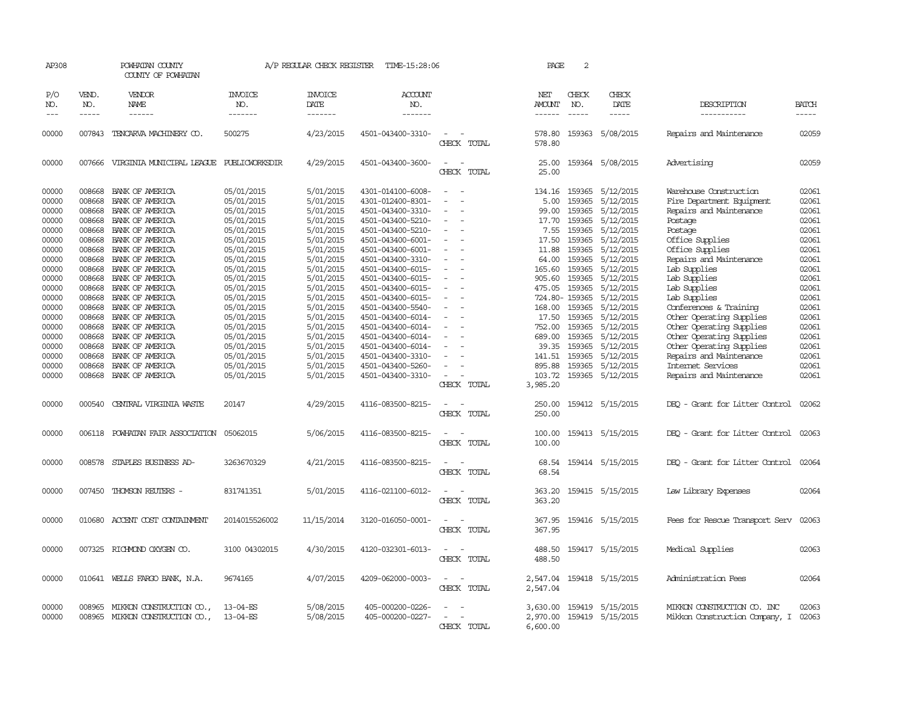| AP308                   |               | POWHATAN COUNTY<br>COUNTY OF POWHATAN                                      |                                        |                                     | A/P REGULAR CHECK REGISTER TIME-15:28:06                    |                                                   | PAGE                               | 2                |                                                          |                                                                                 |                         |
|-------------------------|---------------|----------------------------------------------------------------------------|----------------------------------------|-------------------------------------|-------------------------------------------------------------|---------------------------------------------------|------------------------------------|------------------|----------------------------------------------------------|---------------------------------------------------------------------------------|-------------------------|
| P/O<br>NO.              | VEND.<br>NO.  | VENDOR<br>NAME                                                             | <b>INVOICE</b><br>NO.                  | <b>INVOICE</b><br>DATE              | <b>ACCOUNT</b><br>NO.                                       |                                                   | NET<br>AMOUNT                      | CHECK<br>NO.     | CHECK<br>DATE                                            | DESCRIPTION                                                                     | BATCH                   |
| $---$                   | $\frac{1}{2}$ | $- - - - - -$                                                              | -------                                | -------                             | -------                                                     |                                                   | $- - - - - -$                      | $- - - - -$      | -----                                                    | -----------                                                                     | -----                   |
| 00000                   | 007843        | TENCARVA MACHINERY CO.                                                     | 500275                                 | 4/23/2015                           | 4501-043400-3310-                                           | $\sim$<br>CHECK TOTAL                             | 578.80<br>578.80                   |                  | 159363 5/08/2015                                         | Repairs and Maintenance                                                         | 02059                   |
| 00000                   |               | 007666 VIRGINIA MUNICIPAL LEAGUE PUBLICWORKSDIR                            |                                        | 4/29/2015                           | 4501-043400-3600-                                           | CHECK TOTAL                                       | 25.00<br>25.00                     |                  | 159364 5/08/2015                                         | Advertising                                                                     | 02059                   |
| 00000<br>00000<br>00000 | 008668        | 008668 BANK OF AMERICA<br>008668 BANK OF AMERICA<br>BANK OF AMERICA        | 05/01/2015<br>05/01/2015<br>05/01/2015 | 5/01/2015<br>5/01/2015<br>5/01/2015 | 4301-014100-6008-<br>4301-012400-8301-<br>4501-043400-3310- |                                                   | 134.16<br>5.00<br>99.00            | 159365           | 159365 5/12/2015<br>159365 5/12/2015<br>5/12/2015        | Warehouse Construction<br>Fire Department Equipment<br>Repairs and Maintenance  | 02061<br>02061<br>02061 |
| 00000<br>00000<br>00000 |               | 008668 BANK OF AMERICA<br>008668 BANK OF AMERICA<br>008668 BANK OF AMERICA | 05/01/2015<br>05/01/2015<br>05/01/2015 | 5/01/2015<br>5/01/2015<br>5/01/2015 | 4501-043400-5210-<br>4501-043400-5210-<br>4501-043400-6001- |                                                   | 17.70<br>7.55<br>17.50             | 159365<br>159365 | 159365 5/12/2015<br>5/12/2015<br>5/12/2015               | Postage<br>Postage<br>Office Supplies                                           | 02061<br>02061<br>02061 |
| 00000<br>00000<br>00000 |               | 008668 BANK OF AMERICA<br>008668 BANK OF AMERICA<br>008668 BANK OF AMERICA | 05/01/2015<br>05/01/2015<br>05/01/2015 | 5/01/2015<br>5/01/2015<br>5/01/2015 | 4501-043400-6001-<br>4501-043400-3310-<br>4501-043400-6015- |                                                   | 11.88<br>64.00<br>165.60           |                  | 159365 5/12/2015<br>159365 5/12/2015<br>159365 5/12/2015 | Office Supplies<br>Repairs and Maintenance<br>Lab Supplies                      | 02061<br>02061<br>02061 |
| 00000<br>00000<br>00000 |               | 008668 BANK OF AMERICA<br>008668 BANK OF AMERICA<br>008668 BANK OF AMERICA | 05/01/2015<br>05/01/2015<br>05/01/2015 | 5/01/2015<br>5/01/2015<br>5/01/2015 | 4501-043400-6015-<br>4501-043400-6015-<br>4501-043400-6015- |                                                   | 905.60<br>475.05<br>724.80- 159365 | 159365           | 5/12/2015<br>159365 5/12/2015<br>5/12/2015               | Lab Supplies<br>Lab Supplies<br>Lab Supplies                                    | 02061<br>02061<br>02061 |
| 00000<br>00000<br>00000 |               | 008668 BANK OF AMERICA<br>008668 BANK OF AMERICA<br>008668 BANK OF AMERICA | 05/01/2015<br>05/01/2015<br>05/01/2015 | 5/01/2015<br>5/01/2015<br>5/01/2015 | 4501-043400-5540-<br>4501-043400-6014-<br>4501-043400-6014- |                                                   | 168.00<br>17.50<br>752.00          | 159365           | 159365 5/12/2015<br>5/12/2015<br>159365 5/12/2015        | Conferences & Training<br>Other Operating Supplies<br>Other Operating Supplies  | 02061<br>02061<br>02061 |
| 00000<br>00000<br>00000 |               | 008668 BANK OF AMERICA<br>008668 BANK OF AMERICA<br>008668 BANK OF AMERICA | 05/01/2015<br>05/01/2015<br>05/01/2015 | 5/01/2015<br>5/01/2015<br>5/01/2015 | 4501-043400-6014-<br>4501-043400-6014-<br>4501-043400-3310- |                                                   | 689.00<br>39.35<br>141.51          | 159365<br>159365 | 159365 5/12/2015<br>5/12/2015<br>5/12/2015               | Other Operating Supplies<br>Other Operating Supplies<br>Repairs and Maintenance | 02061<br>02061<br>02061 |
| 00000<br>00000          | 008668        | BANK OF AMERICA<br>008668 BANK OF AMERICA                                  | 05/01/2015<br>05/01/2015               | 5/01/2015<br>5/01/2015              | 4501-043400-5260-<br>4501-043400-3310-                      | $\overline{\phantom{a}}$<br>CHECK TOTAL           | 895.88<br>103.72<br>3,985.20       |                  | 159365 5/12/2015<br>159365 5/12/2015                     | Internet Services<br>Repairs and Maintenance                                    | 02061<br>02061          |
| 00000                   | 000540        | CENTRAL VIRGINIA WASTE                                                     | 20147                                  | 4/29/2015                           | 4116-083500-8215-                                           | $\sim$<br>$\sim$<br>CHECK TOTAL                   | 250.00<br>250.00                   |                  | 159412 5/15/2015                                         | DEO - Grant for Litter Control                                                  | 02062                   |
| 00000                   | 006118        | POWHATAN FAIR ASSOCIATION                                                  | 05062015                               | 5/06/2015                           | 4116-083500-8215-                                           | $\overline{\phantom{a}}$<br>CHECK TOTAL           | 100.00<br>100.00                   |                  | 159413 5/15/2015                                         | DEO - Grant for Litter Control                                                  | 02063                   |
| 00000                   |               | 008578 STAPLES BUSINESS AD-                                                | 3263670329                             | 4/21/2015                           | 4116-083500-8215-                                           | $\sim$<br>CHECK TOTAL                             | 68.54<br>68.54                     |                  | 159414 5/15/2015                                         | DEO - Grant for Litter Control                                                  | 02064                   |
| 00000                   |               | 007450 THOMSON REUTERS -                                                   | 831741351                              | 5/01/2015                           | 4116-021100-6012-                                           | $\sim$<br>$\overline{\phantom{a}}$<br>CHECK TOTAL | 363.20<br>363.20                   |                  | 159415 5/15/2015                                         | Law Library Expenses                                                            | 02064                   |
| 00000                   |               | 010680 ACCENT COST CONTAINMENT                                             | 2014015526002                          | 11/15/2014                          | 3120-016050-0001-                                           | $\overline{\phantom{a}}$<br>CHECK TOTAL           | 367.95<br>367.95                   |                  | 159416 5/15/2015                                         | Fees for Rescue Transport Serv                                                  | 02063                   |
| 00000                   | 007325        | RICHMOND OXYGEN CO.                                                        | 3100 04302015                          | 4/30/2015                           | 4120-032301-6013-                                           | CHECK TOTAL                                       | 488.50<br>488.50                   |                  | 159417 5/15/2015                                         | Medical Supplies                                                                | 02063                   |
| 00000                   |               | 010641 WELLS FARGO BANK, N.A.                                              | 9674165                                | 4/07/2015                           | 4209-062000-0003-                                           | $\sim$<br>CHECK TOTAL                             | 2,547.04<br>2,547.04               |                  | 159418 5/15/2015                                         | Administration Fees                                                             | 02064                   |
| 00000<br>00000          | 008965        | MIKKON CONSTRUCTION CO.,<br>008965 MIKKON CONSTRUCTION CO.,                | $13 - 04 - ES$<br>13-04-ES             | 5/08/2015<br>5/08/2015              | 405-000200-0226-<br>405-000200-0227-                        | CHECK TOTAL                                       | 3,630.00<br>2,970.00<br>6,600.00   |                  | 159419 5/15/2015<br>159419 5/15/2015                     | MIKKON CONSTRUCTION CO. INC<br>Mikkan Construction Company, I                   | 02063<br>02063          |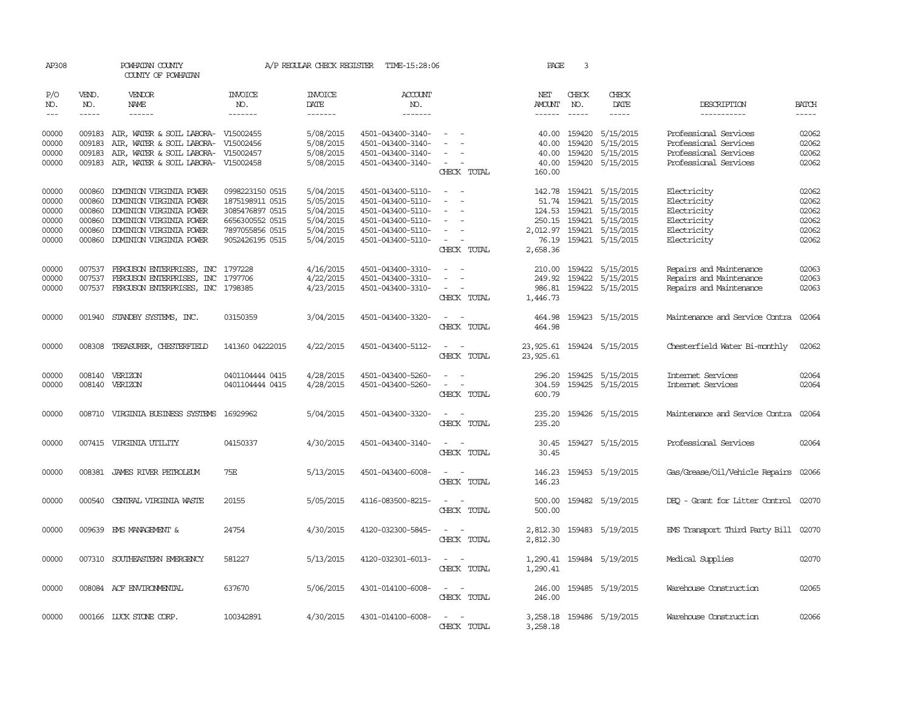| AP308                                              |                                                          | POWHATAN COUNTY<br>COUNTY OF POWHATAN                                                                                                                          |                                                                                                                | A/P REGULAR CHECK REGISTER                                                 | TIME-15:28:06                                                                                                              |                                                                                                           | PAGE                                                        | 3                                    |                                                                                                |                                                                                        |                                                    |
|----------------------------------------------------|----------------------------------------------------------|----------------------------------------------------------------------------------------------------------------------------------------------------------------|----------------------------------------------------------------------------------------------------------------|----------------------------------------------------------------------------|----------------------------------------------------------------------------------------------------------------------------|-----------------------------------------------------------------------------------------------------------|-------------------------------------------------------------|--------------------------------------|------------------------------------------------------------------------------------------------|----------------------------------------------------------------------------------------|----------------------------------------------------|
| P/O<br>NO.<br>$---$                                | VEND.<br>NO.<br>$\frac{1}{2}$                            | VENDOR<br><b>NAME</b><br>$- - - - - -$                                                                                                                         | <b>INVOICE</b><br>NO.<br>-------                                                                               | <b>INVOICE</b><br>DATE<br>-------                                          | <b>ACCOUNT</b><br>NO.<br>-------                                                                                           |                                                                                                           | NET<br>AMOUNT<br>------                                     | CHECK<br>NO.<br>$\frac{1}{2}$        | CHECK<br>DATE<br>-----                                                                         | DESCRIPTION<br>-----------                                                             | <b>BATCH</b><br>$- - - - -$                        |
| 00000<br>00000<br>00000                            | 009183<br>009183<br>009183                               | AIR, WATER & SOIL LABORA- V15002455<br>AIR, WATER & SOIL LABORA-<br>AIR, WATER & SOIL LABORA-                                                                  | V15002456<br>V15002457                                                                                         | 5/08/2015<br>5/08/2015<br>5/08/2015                                        | 4501-043400-3140-<br>4501-043400-3140-<br>4501-043400-3140-                                                                |                                                                                                           | 40.00<br>40.00<br>40.00                                     | 159420<br>159420<br>159420           | 5/15/2015<br>5/15/2015<br>5/15/2015                                                            | Professional Services<br>Professional Services<br>Professional Services                | 02062<br>02062<br>02062                            |
| 00000                                              |                                                          | 009183 AIR, WATER & SOIL LABORA-                                                                                                                               | V15002458                                                                                                      | 5/08/2015                                                                  | 4501-043400-3140-                                                                                                          | $\sim$<br>CHECK TOTAL                                                                                     | 40.00<br>160.00                                             | 159420                               | 5/15/2015                                                                                      | Professional Services                                                                  | 02062                                              |
| 00000<br>00000<br>00000<br>00000<br>00000<br>00000 | 000860<br>000860<br>000860<br>000860<br>000860<br>000860 | DOMINION VIRGINIA POWER<br>DOMINION VIRGINIA POWER<br>DOMINION VIRGINIA POWER<br>DOMINION VIRGINIA POWER<br>DOMINION VIRGINIA POWER<br>DOMINION VIRGINIA POWER | 0998223150 0515<br>1875198911 0515<br>3085476897 0515<br>6656300552 0515<br>7897055856 0515<br>9052426195 0515 | 5/04/2015<br>5/05/2015<br>5/04/2015<br>5/04/2015<br>5/04/2015<br>5/04/2015 | 4501-043400-5110-<br>4501-043400-5110-<br>4501-043400-5110-<br>4501-043400-5110-<br>4501-043400-5110-<br>4501-043400-5110- | $\overline{\phantom{a}}$<br>$\sim$<br>$\overline{\phantom{a}}$<br>$\overline{\phantom{a}}$<br>CHECK TOTAL | 142.78<br>51.74<br>124.53<br>250.15<br>2,012.97<br>2,658.36 | 159421<br>159421<br>159421<br>159421 | 5/15/2015<br>5/15/2015<br>159421 5/15/2015<br>5/15/2015<br>5/15/2015<br>76.19 159421 5/15/2015 | Electricity<br>Electricity<br>Electricity<br>Electricity<br>Electricity<br>Electricity | 02062<br>02062<br>02062<br>02062<br>02062<br>02062 |
| 00000<br>00000<br>00000                            | 007537<br>007537                                         | FERGUSON ENTERPRISES, INC<br>FERGUSON ENTERPRISES, INC<br>007537 FERGUSON ENTERPRISES, INC 1798385                                                             | 1797228<br>1797706                                                                                             | 4/16/2015<br>4/22/2015<br>4/23/2015                                        | 4501-043400-3310-<br>4501-043400-3310-<br>4501-043400-3310-                                                                | $\sim$<br>$\overline{\phantom{a}}$<br>CHECK TOTAL                                                         | 210.00<br>249.92<br>986.81<br>1,446.73                      | 159422                               | 5/15/2015<br>159422 5/15/2015<br>159422 5/15/2015                                              | Repairs and Maintenance<br>Repairs and Maintenance<br>Repairs and Maintenance          | 02063<br>02063<br>02063                            |
| 00000                                              |                                                          | 001940 STANDBY SYSTEMS, INC.                                                                                                                                   | 03150359                                                                                                       | 3/04/2015                                                                  | 4501-043400-3320-                                                                                                          | $\sim$<br>CHECK TOTAL                                                                                     | 464.98<br>464.98                                            |                                      | 159423 5/15/2015                                                                               | Maintenance and Service Contra                                                         | 02064                                              |
| 00000                                              |                                                          | 008308 TREASURER, CHESTERFIELD                                                                                                                                 | 141360 04222015                                                                                                | 4/22/2015                                                                  | 4501-043400-5112-                                                                                                          | $\overline{\phantom{a}}$<br>$\sim$<br>CHECK TOTAL                                                         | 23, 925.61 159424 5/15/2015<br>23,925.61                    |                                      |                                                                                                | Chesterfield Water Bi-monthly                                                          | 02062                                              |
| 00000<br>00000                                     | 008140<br>008140                                         | VERIZON<br>VERIZON                                                                                                                                             | 0401104444 0415<br>0401104444 0415                                                                             | 4/28/2015<br>4/28/2015                                                     | 4501-043400-5260-<br>4501-043400-5260-                                                                                     | $\overline{a}$<br>CHECK TOTAL                                                                             | 296.20<br>304.59<br>600.79                                  | 159425                               | 5/15/2015<br>159425 5/15/2015                                                                  | Internet Services<br>Internet Services                                                 | 02064<br>02064                                     |
| 00000                                              | 008710                                                   | VIRGINIA BUSINESS SYSTEMS                                                                                                                                      | 16929962                                                                                                       | 5/04/2015                                                                  | 4501-043400-3320-                                                                                                          | CHECK TOTAL                                                                                               | 235.20<br>235.20                                            |                                      | 159426 5/15/2015                                                                               | Maintenance and Service Contra                                                         | 02064                                              |
| 00000                                              |                                                          | 007415 VIRGINIA UTILITY                                                                                                                                        | 04150337                                                                                                       | 4/30/2015                                                                  | 4501-043400-3140-                                                                                                          | $\overline{\phantom{a}}$<br>$\sim$<br>CHECK TOTAL                                                         | 30.45<br>30.45                                              |                                      | 159427 5/15/2015                                                                               | Professional Services                                                                  | 02064                                              |
| 00000                                              |                                                          | 008381 JAMES RIVER PEIROLEUM                                                                                                                                   | 75E                                                                                                            | 5/13/2015                                                                  | 4501-043400-6008-                                                                                                          | $\overline{\phantom{a}}$<br>CHECK TOTAL                                                                   | 146.23<br>146.23                                            |                                      | 159453 5/19/2015                                                                               | Gas/Grease/Oil/Vehicle Repairs                                                         | 02066                                              |
| 00000                                              |                                                          | 000540 CENTRAL VIRGINIA WASTE                                                                                                                                  | 20155                                                                                                          | 5/05/2015                                                                  | 4116-083500-8215-                                                                                                          | $\sim$<br>CHECK TOTAL                                                                                     | 500.00<br>500.00                                            |                                      | 159482 5/19/2015                                                                               | DEO - Grant for Litter Control 02070                                                   |                                                    |
| 00000                                              |                                                          | 009639 EMS MANAGEMENT &                                                                                                                                        | 24754                                                                                                          | 4/30/2015                                                                  | 4120-032300-5845-                                                                                                          | $\sim$<br>CHECK TOTAL                                                                                     | 2,812.30<br>2,812.30                                        |                                      | 159483 5/19/2015                                                                               | EMS Transport Third Party Bill 02070                                                   |                                                    |
| 00000                                              |                                                          | 007310 SOUTHEASTERN EMERGENCY                                                                                                                                  | 581227                                                                                                         | 5/13/2015                                                                  | 4120-032301-6013-                                                                                                          | $\sim$<br>CHECK TOTAL                                                                                     | 1,290.41<br>1,290.41                                        |                                      | 159484 5/19/2015                                                                               | Medical Supplies                                                                       | 02070                                              |
| 00000                                              |                                                          | 008084 ACF ENVIRONMENTAL                                                                                                                                       | 637670                                                                                                         | 5/06/2015                                                                  | 4301-014100-6008-                                                                                                          | $ -$<br>CHECK TOTAL                                                                                       | 246.00<br>246.00                                            |                                      | 159485 5/19/2015                                                                               | Warehouse Construction                                                                 | 02065                                              |
| 00000                                              |                                                          | 000166 LUCK STONE CORP.                                                                                                                                        | 100342891                                                                                                      | 4/30/2015                                                                  | 4301-014100-6008-                                                                                                          | $\sim$<br>CHECK TOTAL                                                                                     | 3,258.18                                                    |                                      | 3,258.18 159486 5/19/2015                                                                      | Warehouse Construction                                                                 | 02066                                              |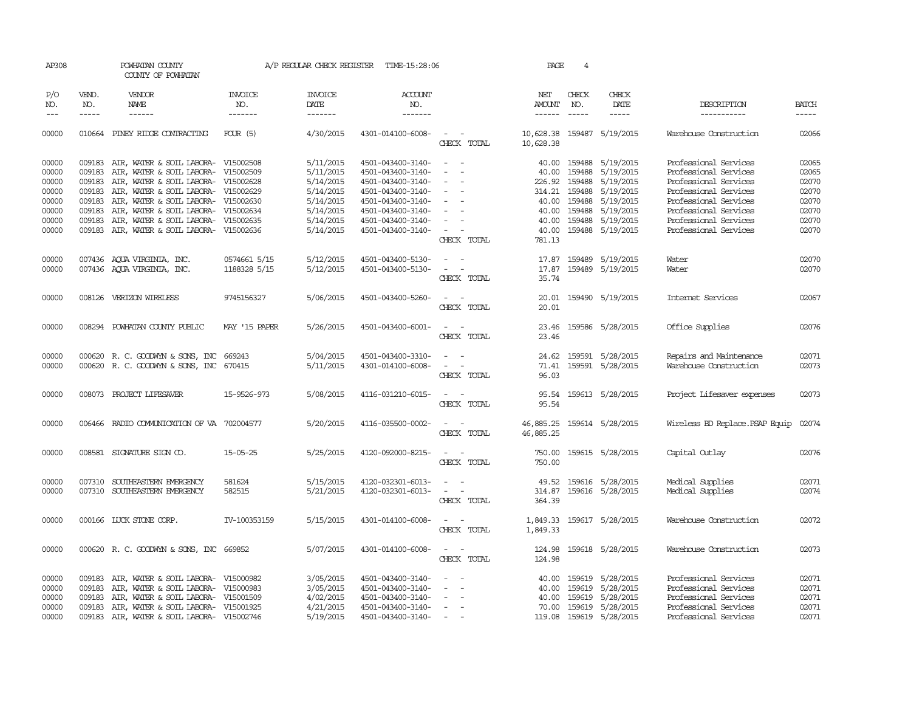| AP308                                     |                            | POWHATAN COUNTY<br>COUNTY OF POWHATAN                                                                                                                                                                         |                              | A/P REGULAR CHECK REGISTER                                    | TIME-15:28:06                                                                                         |                                                                                                                             | PAGE                                    | 4                          |                                                                                           |                                                                                                                           |                                                                                                                                                                                                                                                                                                                                                                                                                                                                                     |
|-------------------------------------------|----------------------------|---------------------------------------------------------------------------------------------------------------------------------------------------------------------------------------------------------------|------------------------------|---------------------------------------------------------------|-------------------------------------------------------------------------------------------------------|-----------------------------------------------------------------------------------------------------------------------------|-----------------------------------------|----------------------------|-------------------------------------------------------------------------------------------|---------------------------------------------------------------------------------------------------------------------------|-------------------------------------------------------------------------------------------------------------------------------------------------------------------------------------------------------------------------------------------------------------------------------------------------------------------------------------------------------------------------------------------------------------------------------------------------------------------------------------|
| P/O<br>NO.                                | VEND.<br>NO.               | <b>VENDOR</b><br>NAME                                                                                                                                                                                         | <b>INVOICE</b><br>NO.        | <b>INVOICE</b><br>DATE                                        | <b>ACCOUNT</b><br>NO.                                                                                 |                                                                                                                             | NET<br>AMOUNT                           | CHECK<br>NO.               | CHECK<br>DATE                                                                             | DESCRIPTION                                                                                                               | <b>BATCH</b>                                                                                                                                                                                                                                                                                                                                                                                                                                                                        |
| $ -$                                      | $\frac{1}{2}$              | ------                                                                                                                                                                                                        | -------                      | -------                                                       | -------                                                                                               |                                                                                                                             | $- - - - - -$                           | $- - - - -$                | -----                                                                                     | -----------                                                                                                               | $\begin{tabular}{ccccc} \multicolumn{2}{c}{} & \multicolumn{2}{c}{} & \multicolumn{2}{c}{} & \multicolumn{2}{c}{} & \multicolumn{2}{c}{} & \multicolumn{2}{c}{} & \multicolumn{2}{c}{} & \multicolumn{2}{c}{} & \multicolumn{2}{c}{} & \multicolumn{2}{c}{} & \multicolumn{2}{c}{} & \multicolumn{2}{c}{} & \multicolumn{2}{c}{} & \multicolumn{2}{c}{} & \multicolumn{2}{c}{} & \multicolumn{2}{c}{} & \multicolumn{2}{c}{} & \multicolumn{2}{c}{} & \multicolumn{2}{c}{} & \mult$ |
| 00000                                     |                            | 010664 PINEY RIDGE CONTRACTING                                                                                                                                                                                | $FOLR$ (5)                   | 4/30/2015                                                     | 4301-014100-6008-                                                                                     | $\sim$ $ \sim$<br>CHECK TOTAL                                                                                               | 10,628.38 159487 5/19/2015<br>10,628.38 |                            |                                                                                           | Warehouse Construction                                                                                                    | 02066                                                                                                                                                                                                                                                                                                                                                                                                                                                                               |
| 00000<br>00000<br>00000<br>00000          | 009183<br>009183<br>009183 | 009183 AIR, WATER & SOIL LABORA- V15002508<br>AIR, WATER & SOIL LABORA- V15002509<br>AIR, WATER & SOIL LABORA- V15002628<br>AIR, WATER & SOIL LABORA- V15002629                                               |                              | 5/11/2015<br>5/11/2015<br>5/14/2015<br>5/14/2015              | 4501-043400-3140-<br>4501-043400-3140-<br>4501-043400-3140-<br>4501-043400-3140-                      | $\sim$<br>$\sim$<br>$\overline{\phantom{a}}$<br>$\overline{\phantom{a}}$<br>$\overline{\phantom{a}}$<br>$\sim$              | 40.00<br>226.92<br>314.21               | 159488<br>159488<br>159488 | 40.00 159488 5/19/2015<br>5/19/2015<br>5/19/2015<br>5/19/2015                             | Professional Services<br>Professional Services<br>Professional Services<br>Professional Services                          | 02065<br>02065<br>02070<br>02070                                                                                                                                                                                                                                                                                                                                                                                                                                                    |
| 00000<br>00000<br>00000<br>00000          | 009183<br>009183<br>009183 | AIR, WATER & SOIL LABORA- V15002630<br>AIR, WATER & SOIL LABORA- V15002634<br>AIR, WATER & SOIL LABORA- V15002635<br>009183 AIR, WATER & SOIL LABORA- V15002636                                               |                              | 5/14/2015<br>5/14/2015<br>5/14/2015<br>5/14/2015              | 4501-043400-3140-<br>4501-043400-3140-<br>4501-043400-3140-<br>4501-043400-3140-                      | $\overline{\phantom{a}}$<br>$\overline{\phantom{a}}$<br>$\sim$<br>CHECK TOTAL                                               | 40.00<br>40.00<br>781.13                | 40.00 159488<br>159488     | 5/19/2015<br>5/19/2015<br>40.00 159488 5/19/2015<br>159488 5/19/2015                      | Professional Services<br>Professional Services<br>Professional Services<br>Professional Services                          | 02070<br>02070<br>02070<br>02070                                                                                                                                                                                                                                                                                                                                                                                                                                                    |
| 00000<br>00000                            |                            | 007436 AQUA VIRGINIA, INC.<br>007436 AQUA VIRGINIA, INC.                                                                                                                                                      | 0574661 5/15<br>1188328 5/15 | 5/12/2015<br>5/12/2015                                        | 4501-043400-5130-<br>4501-043400-5130-                                                                | $\sim$<br>$\overline{\phantom{a}}$<br>$\overline{\phantom{a}}$<br>$\overline{\phantom{a}}$<br>CHECK TOTAL                   | 17.87<br>17.87<br>35.74                 |                            | 159489 5/19/2015<br>159489 5/19/2015                                                      | Water<br>Water                                                                                                            | 02070<br>02070                                                                                                                                                                                                                                                                                                                                                                                                                                                                      |
| 00000                                     |                            | 008126 VERIZON WIRELESS                                                                                                                                                                                       | 9745156327                   | 5/06/2015                                                     | 4501-043400-5260-                                                                                     | $\sim$<br>CHECK TOTAL                                                                                                       | 20.01                                   |                            | 20.01 159490 5/19/2015                                                                    | Internet Services                                                                                                         | 02067                                                                                                                                                                                                                                                                                                                                                                                                                                                                               |
| 00000                                     |                            | 008294 POWHATAN COUNTY PUBLIC                                                                                                                                                                                 | MAY '15 PAPER                | 5/26/2015                                                     | 4501-043400-6001-                                                                                     | $\sim$<br>$\sim$<br>CHECK TOTAL                                                                                             | 23.46                                   |                            | 23.46 159586 5/28/2015                                                                    | Office Supplies                                                                                                           | 02076                                                                                                                                                                                                                                                                                                                                                                                                                                                                               |
| 00000<br>00000                            |                            | 000620 R. C. GOODWYN & SONS, INC<br>000620 R. C. GOODWYN & SONS, INC 670415                                                                                                                                   | 669243                       | 5/04/2015<br>5/11/2015                                        | 4501-043400-3310-<br>4301-014100-6008-                                                                | $\sim$<br>$\sim$<br>CHECK TOTAL                                                                                             | 24.62<br>71.41<br>96.03                 |                            | 159591 5/28/2015<br>159591 5/28/2015                                                      | Repairs and Maintenance<br>Warehouse Construction                                                                         | 02071<br>02073                                                                                                                                                                                                                                                                                                                                                                                                                                                                      |
| 00000                                     |                            | 008073 PROJECT LIFESAVER                                                                                                                                                                                      | 15-9526-973                  | 5/08/2015                                                     | 4116-031210-6015-                                                                                     | CHECK TOTAL                                                                                                                 | 95.54<br>95.54                          |                            | 159613 5/28/2015                                                                          | Project Lifesaver expenses                                                                                                | 02073                                                                                                                                                                                                                                                                                                                                                                                                                                                                               |
| 00000                                     |                            | 006466 RADIO COMMUNICATION OF VA 702004577                                                                                                                                                                    |                              | 5/20/2015                                                     | 4116-035500-0002-                                                                                     | $\frac{1}{2} \left( \frac{1}{2} \right) \left( \frac{1}{2} \right) = \frac{1}{2} \left( \frac{1}{2} \right)$<br>CHECK TOTAL | 46,885.25<br>46,885.25                  |                            | 159614 5/28/2015                                                                          | Wireless BD Replace.PSAP Equip                                                                                            | 02074                                                                                                                                                                                                                                                                                                                                                                                                                                                                               |
| 00000                                     |                            | 008581 SIGNATURE SIGN CO.                                                                                                                                                                                     | $15 - 05 - 25$               | 5/25/2015                                                     | 4120-092000-8215-                                                                                     | $\sim$<br>CHECK TOTAL                                                                                                       | 750.00                                  |                            | 750.00 159615 5/28/2015                                                                   | Capital Outlay                                                                                                            | 02076                                                                                                                                                                                                                                                                                                                                                                                                                                                                               |
| 00000<br>00000                            | 007310                     | SOUTHEASTERN EMERGENCY<br>007310 SOUTHEASTERN EMERGENCY                                                                                                                                                       | 581624<br>582515             | 5/15/2015<br>5/21/2015                                        | 4120-032301-6013-<br>4120-032301-6013-                                                                | $\omega_{\rm{max}}$ and $\omega_{\rm{max}}$<br>CHECK TOTAL                                                                  | 314.87<br>364.39                        |                            | 49.52 159616 5/28/2015<br>159616 5/28/2015                                                | Medical Supplies<br>Medical Supplies                                                                                      | 02071<br>02074                                                                                                                                                                                                                                                                                                                                                                                                                                                                      |
| 00000                                     |                            | 000166 LUCK STONE CORP.                                                                                                                                                                                       | IV-100353159                 | 5/15/2015                                                     | 4301-014100-6008-                                                                                     | $\sim$ $\sim$<br>CHECK TOTAL                                                                                                | 1,849.33                                |                            | 1,849.33 159617 5/28/2015                                                                 | Warehouse Construction                                                                                                    | 02072                                                                                                                                                                                                                                                                                                                                                                                                                                                                               |
| 00000                                     |                            | 000620 R. C. GOODWYN & SONS, INC 669852                                                                                                                                                                       |                              | 5/07/2015                                                     | 4301-014100-6008-                                                                                     | $\sim$ $\sim$<br>CHECK TOTAL                                                                                                | 124.98<br>124.98                        |                            | 159618 5/28/2015                                                                          | Warehouse Construction                                                                                                    | 02073                                                                                                                                                                                                                                                                                                                                                                                                                                                                               |
| 00000<br>00000<br>00000<br>00000<br>00000 | 009183<br>009183<br>009183 | AIR, WATER & SOIL LABORA- V15000982<br>AIR, WATER & SOIL LABORA- V15000983<br>AIR, WATER & SOIL LABORA- V15001509<br>009183 AIR, WATER & SOIL LABORA- V15001925<br>009183 AIR, WATER & SOIL LABORA- V15002746 |                              | 3/05/2015<br>3/05/2015<br>4/02/2015<br>4/21/2015<br>5/19/2015 | 4501-043400-3140-<br>4501-043400-3140-<br>4501-043400-3140-<br>4501-043400-3140-<br>4501-043400-3140- | $\sim$<br>$\sim$<br>$\sim$                                                                                                  | 40.00<br>40.00<br>40.00<br>70.00        | 159619<br>159619           | 159619 5/28/2015<br>5/28/2015<br>5/28/2015<br>159619 5/28/2015<br>119.08 159619 5/28/2015 | Professional Services<br>Professional Services<br>Professional Services<br>Professional Services<br>Professional Services | 02071<br>02071<br>02071<br>02071<br>02071                                                                                                                                                                                                                                                                                                                                                                                                                                           |